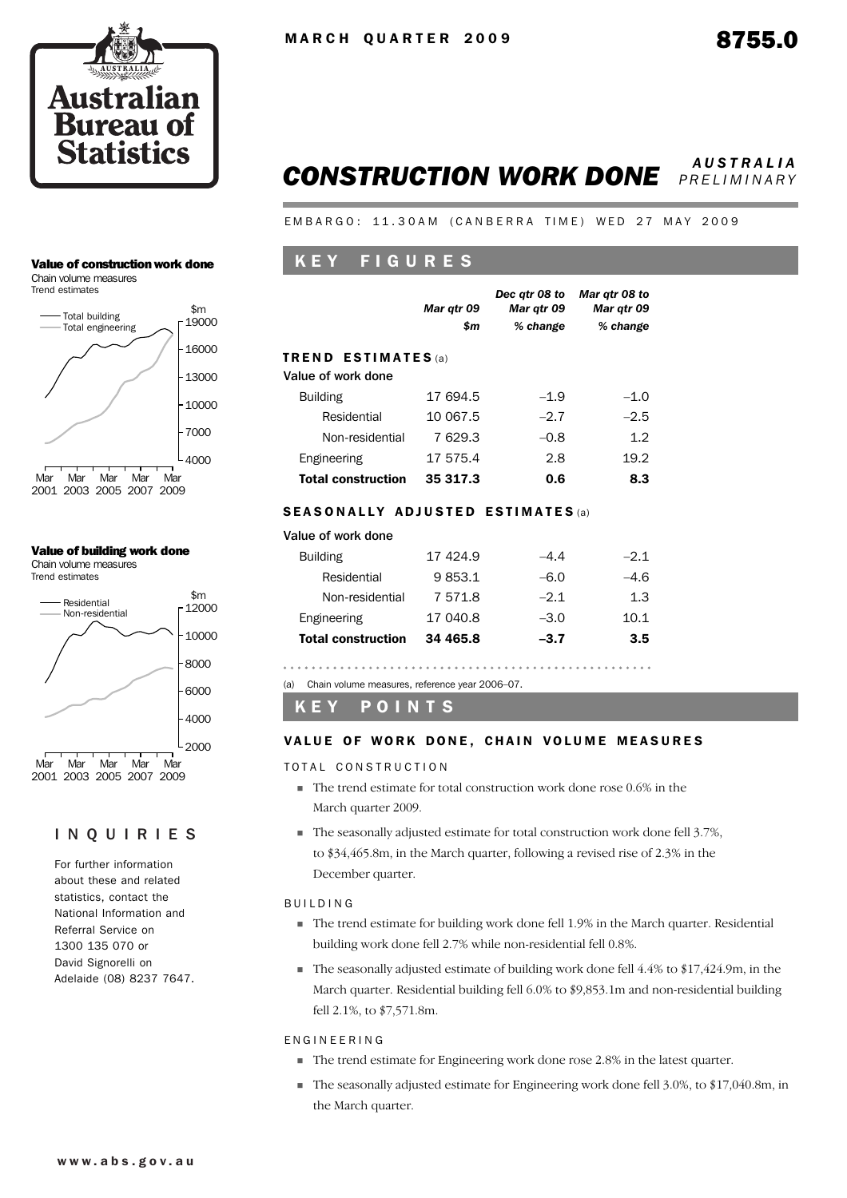

## *CONSTRUCTION WORK DONE AUSTRALIA PRELIMINARY*

EMBARGO: 11.30AM (CANBERRA TIME) WED 27 MAY 2009

# K E Y F I G U R E S

|                                                  | Mar qtr 09<br>\$m | Dec atr 08 to<br>Mar qtr 09<br>% change | Mar qtr 08 to<br>Mar gtr 09<br>% change |  |  |  |  |  |  |
|--------------------------------------------------|-------------------|-----------------------------------------|-----------------------------------------|--|--|--|--|--|--|
| <b>TREND ESTIMATES</b> (a)<br>Value of work done |                   |                                         |                                         |  |  |  |  |  |  |
| <b>Building</b>                                  | 17 694.5          | $-1.9$                                  | $-1.0$                                  |  |  |  |  |  |  |
| Residential                                      | 10 067.5          | $-2.7$                                  | $-2.5$                                  |  |  |  |  |  |  |
| Non-residential                                  | 7629.3            | $-0.8$                                  | 1.2                                     |  |  |  |  |  |  |
| Engineering                                      | 17 575.4          | 2.8                                     | 19.2                                    |  |  |  |  |  |  |
| <b>Total construction</b>                        | 35 317.3          | 0.6                                     | 8.3                                     |  |  |  |  |  |  |

## SEASONALLY ADJUSTED ESTIMATES (a)

## Value of work done

| <b>Building</b>           | 17 424.9 | $-4.4$ | $-2.1$ |
|---------------------------|----------|--------|--------|
| Residential               | 9853.1   | $-6.0$ | $-4.6$ |
| Non-residential           | 7571.8   | $-2.1$ | 1.3    |
| Engineering               | 17 040.8 | $-3.0$ | 10.1   |
| <b>Total construction</b> | 34 465.8 | $-3.7$ | 3.5    |
|                           |          |        |        |

(a) Chain volume measures, reference year 2006–07.

K E Y P O I N T S

## VALUE OF WORK DONE, CHAIN VOLUME MEASURES

TOTAL CONSTRUCTION

- ! The trend estimate for total construction work done rose 0.6% in the March quarter 2009.
- ! The seasonally adjusted estimate for total construction work done fell 3.7%, to \$34,465.8m, in the March quarter, following a revised rise of 2.3% in the December quarter.

## BUILDING

- ! The trend estimate for building work done fell 1.9% in the March quarter. Residential building work done fell 2.7% while non-residential fell 0.8%.
- $\blacksquare$  The seasonally adjusted estimate of building work done fell 4.4% to \$17,424.9m, in the March quarter. Residential building fell 6.0% to \$9,853.1m and non-residential building fell 2.1%, to \$7,571.8m.

## ENGINEERING

- ! The trend estimate for Engineering work done rose 2.8% in the latest quarter.
- $\blacksquare$  The seasonally adjusted estimate for Engineering work done fell 3.0%, to \$17,040.8m, in the March quarter.

## Value of construction work done

Chain volume measures Trend estimates



### Value of building work done

Chain volume measures Trend estimates



## INQUIRIES

For further information about these and related statistics, contact the National Information and Referral Service on 1300 135 070 or David Signorelli on Adelaide (08) 8237 7647.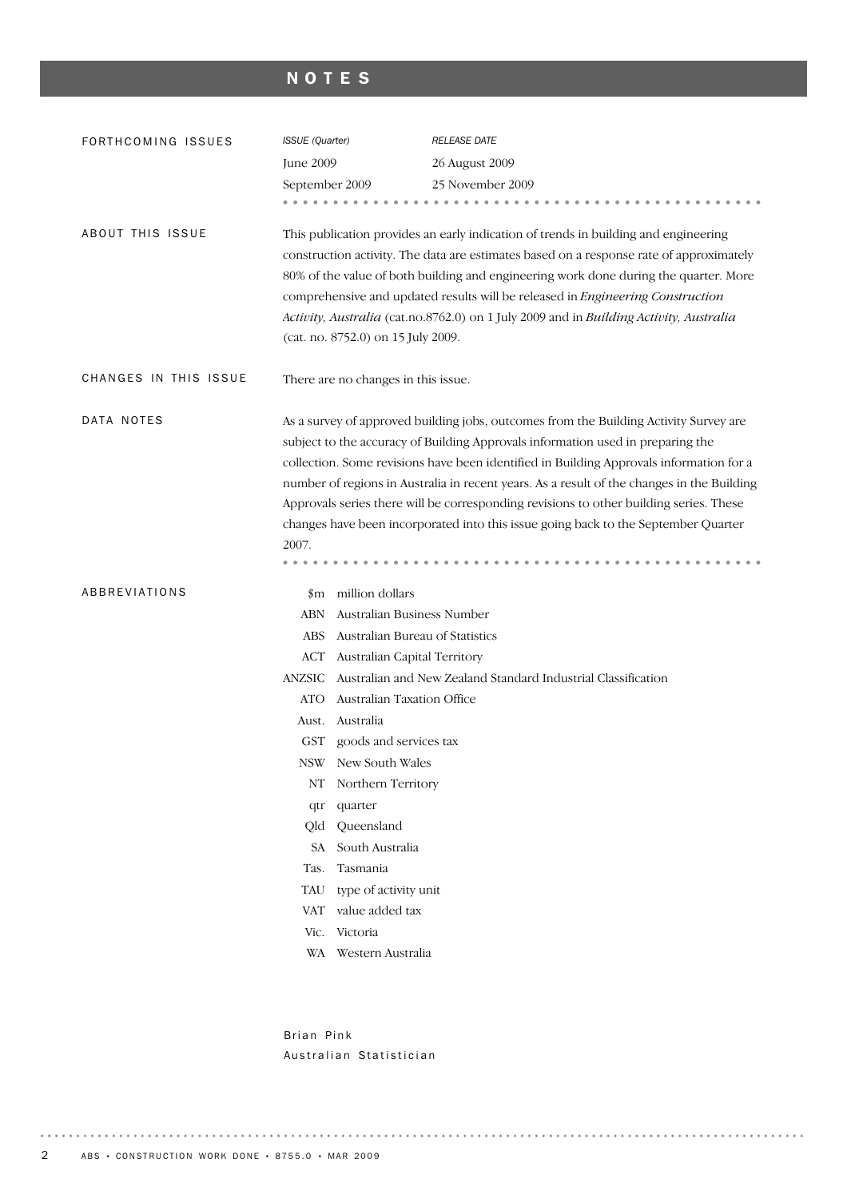# NOTES

| FORTHCOMING ISSUES      | <b>ISSUE</b> (Quarter)                                                                                                                                                       |                                                                                                                                                                                                                                                                                                                                                                                                                                                                                          | <b>RELEASE DATE</b>                                                                                                                                                      |  |  |  |  |  |
|-------------------------|------------------------------------------------------------------------------------------------------------------------------------------------------------------------------|------------------------------------------------------------------------------------------------------------------------------------------------------------------------------------------------------------------------------------------------------------------------------------------------------------------------------------------------------------------------------------------------------------------------------------------------------------------------------------------|--------------------------------------------------------------------------------------------------------------------------------------------------------------------------|--|--|--|--|--|
|                         | June 2009                                                                                                                                                                    |                                                                                                                                                                                                                                                                                                                                                                                                                                                                                          | 26 August 2009                                                                                                                                                           |  |  |  |  |  |
|                         | September 2009                                                                                                                                                               |                                                                                                                                                                                                                                                                                                                                                                                                                                                                                          | 25 November 2009                                                                                                                                                         |  |  |  |  |  |
|                         |                                                                                                                                                                              |                                                                                                                                                                                                                                                                                                                                                                                                                                                                                          |                                                                                                                                                                          |  |  |  |  |  |
| <b>ABOUT THIS ISSUE</b> |                                                                                                                                                                              | This publication provides an early indication of trends in building and engineering<br>construction activity. The data are estimates based on a response rate of approximately<br>80% of the value of both building and engineering work done during the quarter. More<br>comprehensive and updated results will be released in Engineering Construction<br>Activity, Australia (cat.no.8762.0) on 1 July 2009 and in Building Activity, Australia<br>(cat. no. 8752.0) on 15 July 2009. |                                                                                                                                                                          |  |  |  |  |  |
| CHANGES IN THIS ISSUE   |                                                                                                                                                                              | There are no changes in this issue.                                                                                                                                                                                                                                                                                                                                                                                                                                                      |                                                                                                                                                                          |  |  |  |  |  |
| DATA NOTES              |                                                                                                                                                                              |                                                                                                                                                                                                                                                                                                                                                                                                                                                                                          | As a survey of approved building jobs, outcomes from the Building Activity Survey are<br>subject to the accuracy of Building Approvals information used in preparing the |  |  |  |  |  |
|                         | collection. Some revisions have been identified in Building Approvals information for a                                                                                      |                                                                                                                                                                                                                                                                                                                                                                                                                                                                                          |                                                                                                                                                                          |  |  |  |  |  |
|                         | number of regions in Australia in recent years. As a result of the changes in the Building                                                                                   |                                                                                                                                                                                                                                                                                                                                                                                                                                                                                          |                                                                                                                                                                          |  |  |  |  |  |
|                         | Approvals series there will be corresponding revisions to other building series. These<br>changes have been incorporated into this issue going back to the September Quarter |                                                                                                                                                                                                                                                                                                                                                                                                                                                                                          |                                                                                                                                                                          |  |  |  |  |  |
|                         | 2007.                                                                                                                                                                        |                                                                                                                                                                                                                                                                                                                                                                                                                                                                                          |                                                                                                                                                                          |  |  |  |  |  |
|                         |                                                                                                                                                                              |                                                                                                                                                                                                                                                                                                                                                                                                                                                                                          |                                                                                                                                                                          |  |  |  |  |  |
| ABBREVIATIONS           |                                                                                                                                                                              | \$m million dollars                                                                                                                                                                                                                                                                                                                                                                                                                                                                      |                                                                                                                                                                          |  |  |  |  |  |
|                         | ABN                                                                                                                                                                          | Australian Business Number                                                                                                                                                                                                                                                                                                                                                                                                                                                               |                                                                                                                                                                          |  |  |  |  |  |
|                         | ABS                                                                                                                                                                          | Australian Bureau of Statistics                                                                                                                                                                                                                                                                                                                                                                                                                                                          |                                                                                                                                                                          |  |  |  |  |  |
|                         | ACT                                                                                                                                                                          | Australian Capital Territory                                                                                                                                                                                                                                                                                                                                                                                                                                                             |                                                                                                                                                                          |  |  |  |  |  |
|                         | <b>ANZSIC</b>                                                                                                                                                                |                                                                                                                                                                                                                                                                                                                                                                                                                                                                                          | Australian and New Zealand Standard Industrial Classification                                                                                                            |  |  |  |  |  |
|                         | ATO                                                                                                                                                                          | <b>Australian Taxation Office</b>                                                                                                                                                                                                                                                                                                                                                                                                                                                        |                                                                                                                                                                          |  |  |  |  |  |
|                         | Aust.                                                                                                                                                                        | Australia                                                                                                                                                                                                                                                                                                                                                                                                                                                                                |                                                                                                                                                                          |  |  |  |  |  |
|                         | GST                                                                                                                                                                          | goods and services tax                                                                                                                                                                                                                                                                                                                                                                                                                                                                   |                                                                                                                                                                          |  |  |  |  |  |
|                         |                                                                                                                                                                              | NSW New South Wales                                                                                                                                                                                                                                                                                                                                                                                                                                                                      |                                                                                                                                                                          |  |  |  |  |  |
|                         | NT                                                                                                                                                                           | Northern Territory                                                                                                                                                                                                                                                                                                                                                                                                                                                                       |                                                                                                                                                                          |  |  |  |  |  |
|                         | qtr                                                                                                                                                                          | quarter                                                                                                                                                                                                                                                                                                                                                                                                                                                                                  |                                                                                                                                                                          |  |  |  |  |  |
|                         | Old                                                                                                                                                                          | Queensland                                                                                                                                                                                                                                                                                                                                                                                                                                                                               |                                                                                                                                                                          |  |  |  |  |  |
|                         | SA                                                                                                                                                                           | South Australia                                                                                                                                                                                                                                                                                                                                                                                                                                                                          |                                                                                                                                                                          |  |  |  |  |  |
|                         | Tas.                                                                                                                                                                         | Tasmania                                                                                                                                                                                                                                                                                                                                                                                                                                                                                 |                                                                                                                                                                          |  |  |  |  |  |
|                         | TAU                                                                                                                                                                          | type of activity unit                                                                                                                                                                                                                                                                                                                                                                                                                                                                    |                                                                                                                                                                          |  |  |  |  |  |
|                         | VAT                                                                                                                                                                          | value added tax<br>Victoria                                                                                                                                                                                                                                                                                                                                                                                                                                                              |                                                                                                                                                                          |  |  |  |  |  |
|                         | Vic.                                                                                                                                                                         | WA Western Australia                                                                                                                                                                                                                                                                                                                                                                                                                                                                     |                                                                                                                                                                          |  |  |  |  |  |
|                         |                                                                                                                                                                              |                                                                                                                                                                                                                                                                                                                                                                                                                                                                                          |                                                                                                                                                                          |  |  |  |  |  |

Brian Pink Australian Statistician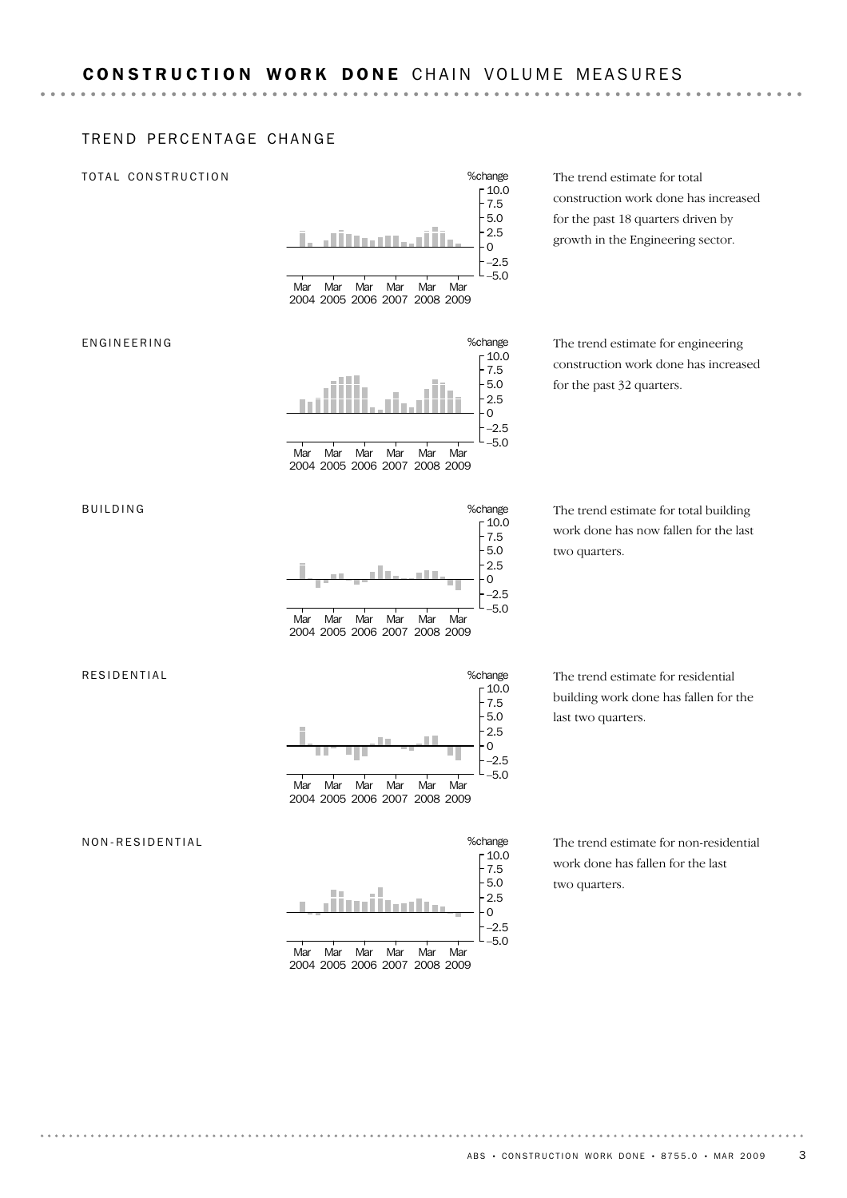## TREND PERCENTAGE CHANGE

**\*\*\*\*\*\*\*\*\*\*\*** 

## TOTAL CONSTRUCTION



The trend estimate for total construction work done has increased for the past 18 quarters driven by growth in the Engineering sector.

The trend estimate for engineering construction work done has increased for the past 32 quarters.

The trend estimate for total building work done has now fallen for the last two quarters.

The trend estimate for residential building work done has fallen for the last two quarters.

The trend estimate for non-residential work done has fallen for the last two quarters.

### ENGINEERING



BUILDING



2004 2005 2006 2007 2008 2009

#### RESIDENTIAL



#### NON-RESIDENTIAL

|     |     |     |                               |     |     | %change |
|-----|-----|-----|-------------------------------|-----|-----|---------|
|     |     |     |                               |     |     | $-10.0$ |
|     |     |     |                               |     |     | 7.5     |
|     |     |     |                               |     |     | 5.0     |
|     |     |     |                               |     |     | 2.5     |
|     |     |     |                               |     |     |         |
|     |     |     |                               |     |     | $-2.5$  |
|     |     |     |                               |     |     |         |
| Mar | Mar | Mar | Mar                           | Mar | Mar |         |
|     |     |     | 2004 2005 2006 2007 2008 2009 |     |     |         |
|     |     |     |                               |     |     |         |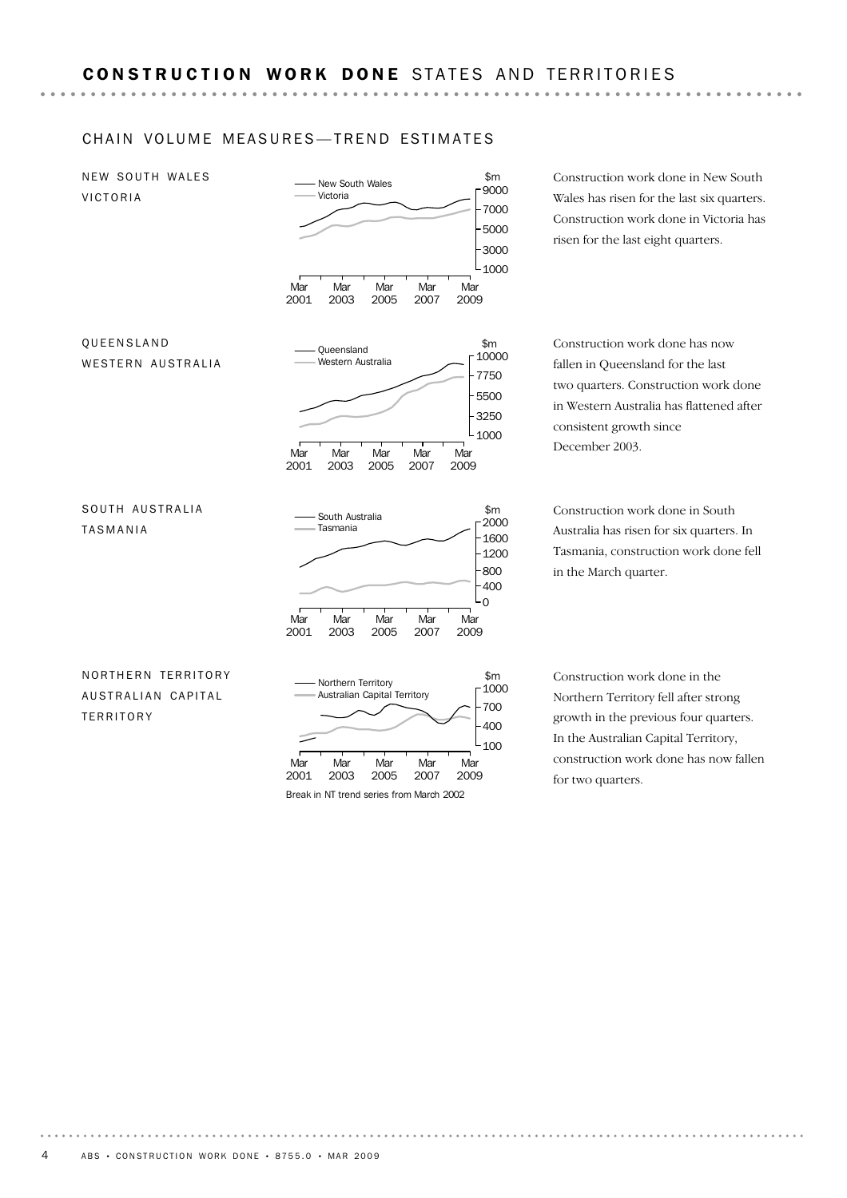## CHAIN VOLUME MEASURES-TREND ESTIMATES

NEW SOUTH WALES VICTORIA



Wales has risen for the last six quarters. Construction work done in Victoria has risen for the last eight quarters.

Construction work done in New South

Construction work done has now fallen in Queensland for the last two quarters. Construction work done in Western Australia has flattened after consistent growth since

Construction work done in South Australia has risen for six quarters. In Tasmania, construction work done fell in the March quarter.

Construction work done in the Northern Territory fell after strong growth in the previous four quarters. In the Australian Capital Territory, construction work done has now fallen for two quarters.

NORTHERN TERRITORY AUSTRALIAN CAPITAL **TERRITORY** 

TASMANIA

QUEENSLAND



Break in NT trend series from March 2002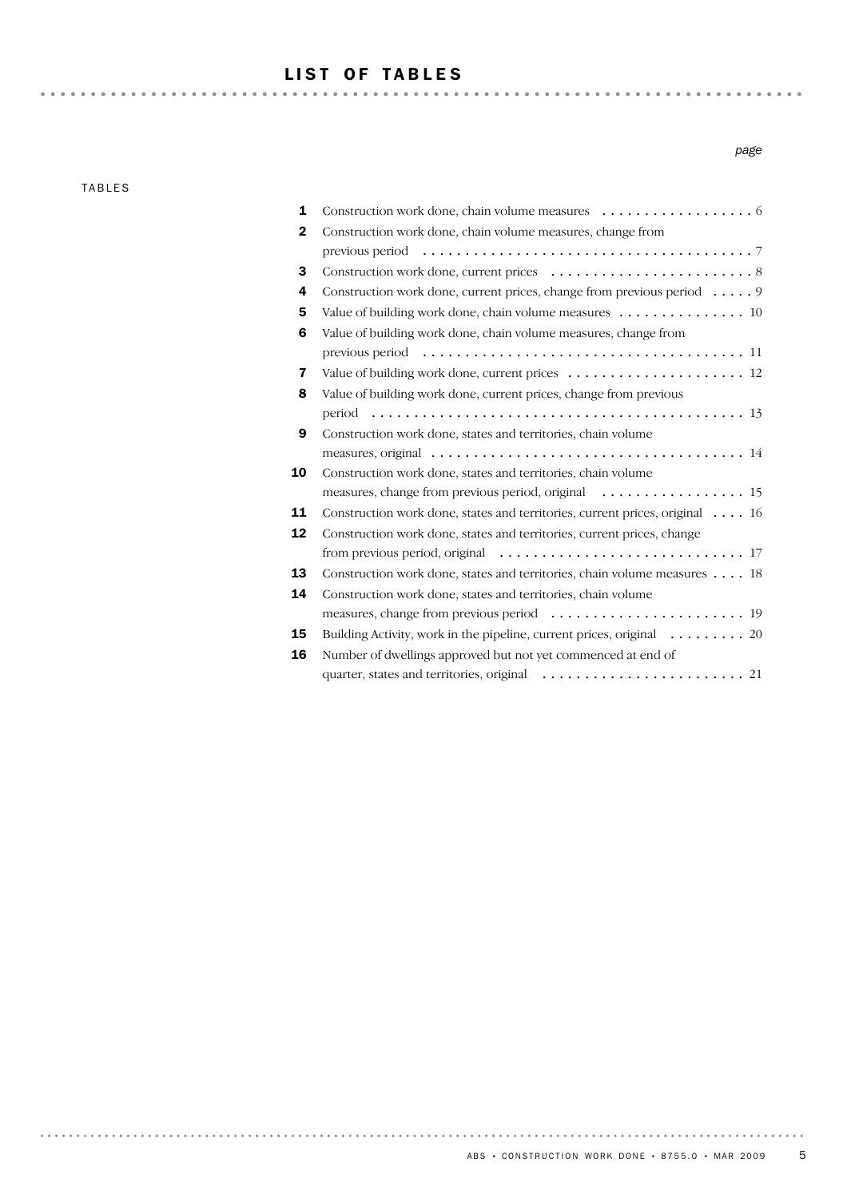# LIST OF TABLES

TABLES

 $\sim$   $\sim$ 

. . . . . . . .

| 1 |                                                                                                                 |
|---|-----------------------------------------------------------------------------------------------------------------|
| 2 | Construction work done, chain volume measures, change from                                                      |
|   |                                                                                                                 |
| 3 |                                                                                                                 |
| 4 | Construction work done, current prices, change from previous period $\dots$ .                                   |
| 5 | Value of building work done, chain volume measures 10                                                           |
| 6 | Value of building work done, chain volume measures, change from                                                 |
|   |                                                                                                                 |
| 7 | Value of building work done, current prices $\dots \dots \dots \dots \dots \dots \dots \dots$                   |
| 8 | Value of building work done, current prices, change from previous                                               |
|   |                                                                                                                 |
| 9 | Construction work done, states and territories, chain volume                                                    |
|   | measures, original $\ldots \ldots \ldots \ldots \ldots \ldots \ldots \ldots \ldots \ldots \ldots \ldots \ldots$ |
|   |                                                                                                                 |

*page*

| 8  | Value of building work done, current prices, change from previous                        |
|----|------------------------------------------------------------------------------------------|
|    |                                                                                          |
| 9  | Construction work done, states and territories, chain volume                             |
|    |                                                                                          |
| 10 | Construction work done, states and territories, chain volume                             |
|    |                                                                                          |
| 11 | Construction work done, states and territories, current prices, original 16              |
| 12 | Construction work done, states and territories, current prices, change                   |
|    |                                                                                          |
| 13 | Construction work done, states and territories, chain volume measures 18                 |
| 14 | Construction work done, states and territories, chain volume                             |
|    |                                                                                          |
| 15 | Building Activity, work in the pipeline, current prices, original $\dots \dots \dots$ 20 |
| 16 | Number of dwellings approved but not vet commenced at end of                             |
|    |                                                                                          |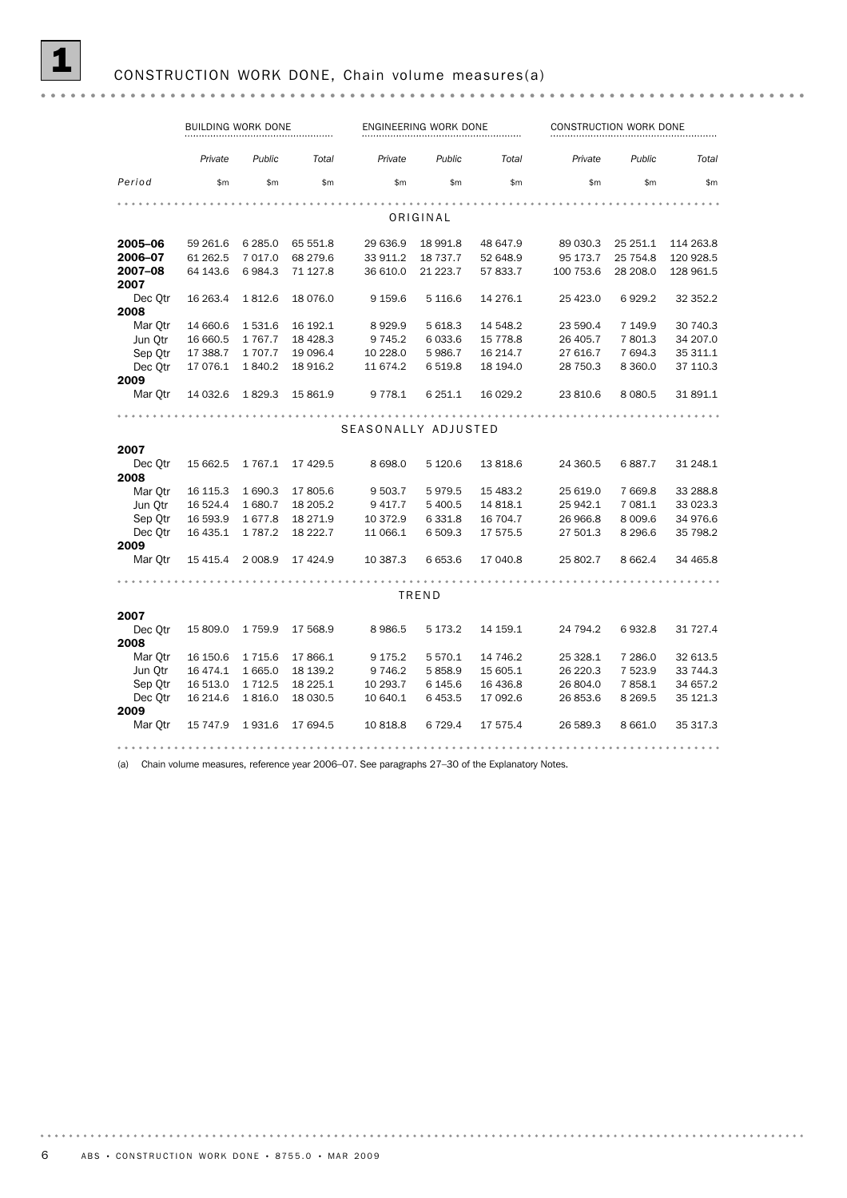|                 | BUILDING WORK DONE |           |           |                     | ENGINEERING WORK DONE |           |           | CONSTRUCTION WORK DONE |           |  |  |
|-----------------|--------------------|-----------|-----------|---------------------|-----------------------|-----------|-----------|------------------------|-----------|--|--|
|                 | Private            | Public    | Total     | Private             | Public                | Total     | Private   | Public                 | Total     |  |  |
| Period          | \$m                | \$m       | \$m       | \$m\$               | \$m                   | \$m\$     | \$m\$     | \$m\$                  | \$m\$     |  |  |
|                 |                    |           |           |                     | ORIGINAL              |           |           |                        |           |  |  |
| 2005-06         | 59 261.6           | 6 285.0   | 65 551.8  | 29 636.9            | 18 991.8              | 48 647.9  | 89 030.3  | 25 251.1               | 114 263.8 |  |  |
|                 |                    |           |           |                     |                       |           |           |                        |           |  |  |
| 2006-07         | 61 262.5           | 7 017.0   | 68 279.6  | 33 911.2            | 18 737.7              | 52 648.9  | 95 173.7  | 25 754.8               | 120 928.5 |  |  |
| 2007-08<br>2007 | 64 143.6           | 6984.3    | 71 127.8  | 36 610.0            | 21 223.7              | 57 833.7  | 100 753.6 | 28 208.0               | 128 961.5 |  |  |
| Dec Otr         | 16 263.4           | 1812.6    | 18 076.0  | 9 1 5 9.6           | 5 1 1 6 . 6           | 14 276.1  | 25 4 23.0 | 6929.2                 | 32 352.2  |  |  |
| 2008            |                    |           |           |                     |                       |           |           |                        |           |  |  |
| Mar Otr         | 14 660.6           | 1531.6    | 16 192.1  | 8929.9              | 5 618.3               | 14 548.2  | 23 590.4  | 7 149.9                | 30 740.3  |  |  |
| Jun Otr         | 16 660.5           | 1767.7    | 18 4 28.3 | 9 7 4 5.2           | 6 0 3 3.6             | 15 778.8  | 26 405.7  | 7 801.3                | 34 207.0  |  |  |
| Sep Otr         | 17 388.7           | 1 707.7   | 19 096.4  | 10 228.0            | 5986.7                | 16 214.7  | 27 616.7  | 7 694.3                | 35 311.1  |  |  |
| Dec Otr         | 17 076.1           | 1840.2    | 18 916.2  | 11 674.2            | 6519.8                | 18 194.0  | 28 750.3  | 8 3 6 0.0              | 37 110.3  |  |  |
| 2009            |                    |           |           |                     |                       |           |           |                        |           |  |  |
| Mar Qtr         | 14 032.6           | 1829.3    | 15 861.9  | 9 7 7 8 . 1         | 6 251.1               | 16 029.2  | 23 810.6  | 8 0 8 0.5              | 31 891.1  |  |  |
|                 |                    |           |           |                     |                       |           |           |                        |           |  |  |
|                 |                    |           |           | SEASONALLY ADJUSTED |                       |           |           |                        |           |  |  |
| 2007            |                    |           |           |                     |                       |           |           |                        |           |  |  |
| Dec Otr         | 15 662.5           | 1 767.1   | 17 429.5  | 8 6 9 8.0           | 5 1 2 0.6             | 13 818.6  | 24 360.5  | 6887.7                 | 31 248.1  |  |  |
| 2008            |                    |           |           |                     |                       |           |           |                        |           |  |  |
| Mar Otr         |                    | 1 690.3   | 17 805.6  | 9 503.7             | 5979.5                | 15 483.2  | 25 619.0  | 7 6 6 9.8              | 33 288.8  |  |  |
|                 | 16 115.3           |           |           |                     |                       |           |           |                        |           |  |  |
| Jun Otr         | 16 524.4           | 1 680.7   | 18 205.2  | 9 417.7             | 5 400.5               | 14 818.1  | 25 942.1  | 7 081.1                | 33 023.3  |  |  |
| Sep Qtr         | 16 593.9           | 1677.8    | 18 27 1.9 | 10 372.9            | 6 3 3 1.8             | 16 704.7  | 26 966.8  | 8 0 0 9.6              | 34 976.6  |  |  |
| Dec Otr<br>2009 | 16 435.1           | 1 787.2   | 18 222.7  | 11 066.1            | 6 509.3               | 17 575.5  | 27 501.3  | 8 2 9 6.6              | 35 798.2  |  |  |
| Mar Otr         | 15 4 15.4          | 2 0 0 8.9 | 17 424.9  | 10 387.3            | 6653.6                | 17 040.8  | 25 802.7  | 8 6 6 2.4              | 34 465.8  |  |  |
|                 |                    |           |           |                     |                       |           |           |                        |           |  |  |
|                 |                    |           |           |                     | TREND                 |           |           |                        |           |  |  |
| 2007            |                    |           |           |                     |                       |           |           |                        |           |  |  |
| Dec Otr         | 15 809.0           | 1759.9    | 17 568.9  | 8 9 8 6.5           | 5 173.2               | 14 159.1  | 24 794.2  | 6932.8                 | 31 727.4  |  |  |
| 2008            |                    |           |           |                     |                       |           |           |                        |           |  |  |
| Mar Qtr         | 16 150.6           | 1 7 1 5.6 | 17 866.1  | 9 175.2             | 5 5 7 0.1             | 14 746.2  | 25 328.1  | 7 286.0                | 32 613.5  |  |  |
| Jun Otr         | 16 474.1           | 1 665.0   | 18 139.2  | 9 7 4 6.2           | 5858.9                | 15 605.1  | 26 220.3  | 7 523.9                | 33 744.3  |  |  |
| Sep Otr         | 16 513.0           | 1 7 1 2.5 | 18 225.1  | 10 293.7            | 6 145.6               | 16 43 6.8 | 26 804.0  | 7858.1                 | 34 657.2  |  |  |
| Dec Otr         | 16 214.6           | 1816.0    | 18 030.5  | 10 640.1            | 6453.5                | 17 092.6  | 26 853.6  | 8 2 6 9.5              | 35 121.3  |  |  |
| 2009            |                    |           |           |                     |                       |           |           |                        |           |  |  |
| Mar Otr         | 15 747.9           | 1931.6    | 17 694.5  | 10 818.8            | 6 7 2 9.4             | 17 575.4  | 26 589.3  | 8 6 6 1.0              | 35 317.3  |  |  |
|                 |                    |           |           |                     |                       |           |           |                        |           |  |  |

(a) Chain volume measures, reference year 2006–07. See paragraphs 27–30 of the Explanatory Notes.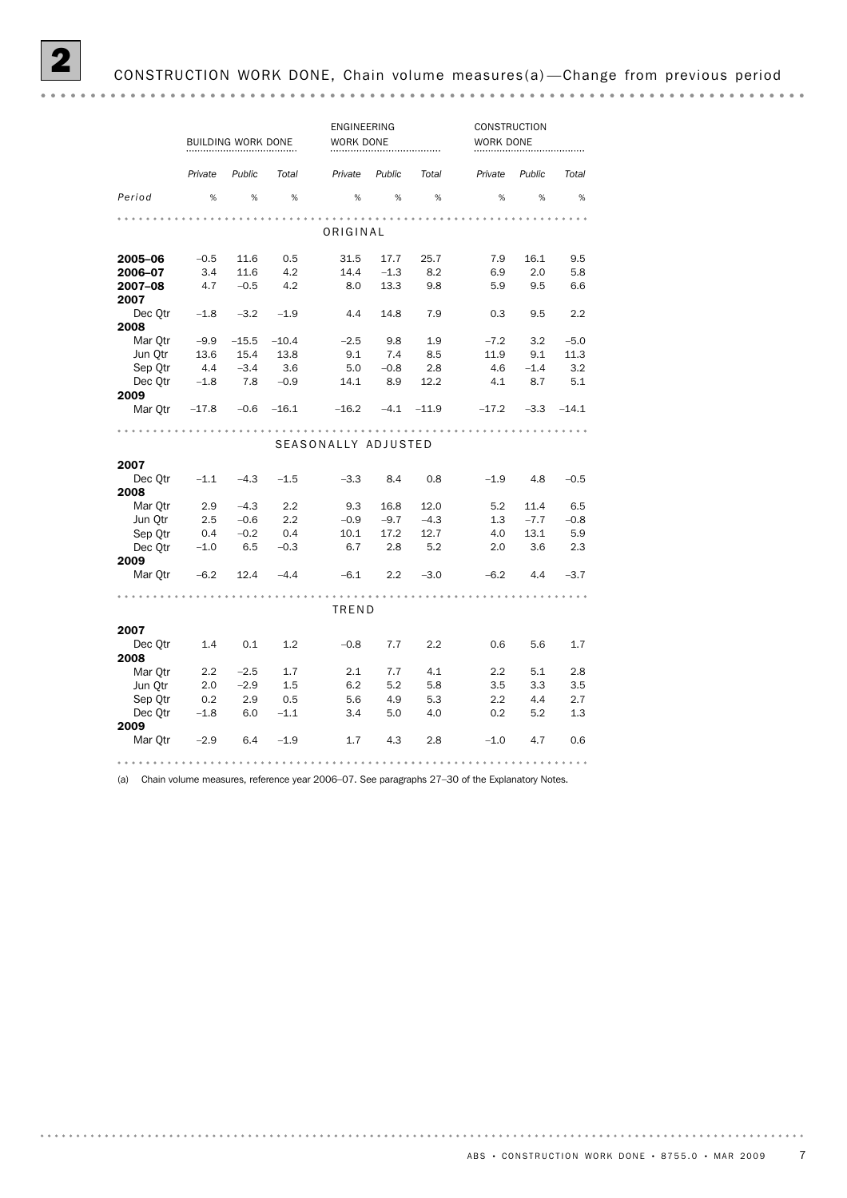|                     | BUILDING WORK DONE |         |         | ENGINEERING<br>WORK DONE |        |         | CONSTRUCTION<br>WORK DONE |        |         |  |  |  |
|---------------------|--------------------|---------|---------|--------------------------|--------|---------|---------------------------|--------|---------|--|--|--|
|                     | Private            | Public  | Total   | Private                  | Public | Total   | Private                   | Public | Total   |  |  |  |
| Period              | %                  | $\%$    | $\%$    | %                        | $\%$   | %       | %                         | $\%$   | $\%$    |  |  |  |
|                     |                    |         |         |                          |        |         |                           |        |         |  |  |  |
| ORIGINAL            |                    |         |         |                          |        |         |                           |        |         |  |  |  |
| 2005-06             | $-0.5$             | 11.6    | 0.5     | 31.5                     | 17.7   | 25.7    | 7.9                       | 16.1   | 9.5     |  |  |  |
| 2006-07             | 3.4                | 11.6    | 4.2     | 14.4                     | $-1.3$ | 8.2     | 6.9                       | 2.0    | 5.8     |  |  |  |
| 2007-08<br>2007     | 4.7                | $-0.5$  | 4.2     | 8.0                      | 13.3   | 9.8     | 5.9                       | 9.5    | 6.6     |  |  |  |
| Dec Otr             | $-1.8$             | $-3.2$  | $-1.9$  | 4.4                      | 14.8   | 7.9     | 0.3                       | 9.5    | 2.2     |  |  |  |
| 2008                |                    |         |         |                          |        |         |                           |        |         |  |  |  |
| Mar Otr             | $-9.9$             | $-15.5$ | $-10.4$ | $-2.5$                   | 9.8    | 1.9     | $-7.2$                    | 3.2    | $-5.0$  |  |  |  |
| Jun Otr             | 13.6               | 15.4    | 13.8    | 9.1                      | 7.4    | 8.5     | 11.9                      | 9.1    | 11.3    |  |  |  |
| Sep Qtr             | 4.4                | $-3.4$  | 3.6     | 5.0                      | $-0.8$ | 2.8     | 4.6                       | $-1.4$ | 3.2     |  |  |  |
| Dec Otr             | $-1.8$             | 7.8     | $-0.9$  | 14.1                     | 8.9    | 12.2    | 4.1                       | 8.7    | 5.1     |  |  |  |
| 2009<br>Mar Otr     | $-17.8$            | $-0.6$  | $-16.1$ | $-16.2$                  | $-4.1$ | $-11.9$ | $-17.2$                   | $-3.3$ | $-14.1$ |  |  |  |
|                     |                    |         |         |                          |        |         |                           |        |         |  |  |  |
| SEASONALLY ADJUSTED |                    |         |         |                          |        |         |                           |        |         |  |  |  |
| 2007                |                    |         |         |                          |        |         |                           |        |         |  |  |  |
| Dec Otr<br>2008     | $-1.1$             | $-4.3$  | $-1.5$  | $-3.3$                   | 8.4    | 0.8     | $-1.9$                    | 4.8    | $-0.5$  |  |  |  |
| Mar Otr             | 2.9                | $-4.3$  | 2.2     | 9.3                      | 16.8   | 12.0    | 5.2                       | 11.4   | 6.5     |  |  |  |
| Jun Qtr             | 2.5                | $-0.6$  | 2.2     | $-0.9$                   | $-9.7$ | $-4.3$  | 1.3                       | $-7.7$ | $-0.8$  |  |  |  |
| Sep Qtr             | 0.4                | $-0.2$  | 0.4     | 10.1                     | 17.2   | 12.7    | 4.0                       | 13.1   | 5.9     |  |  |  |
| Dec Otr             | $-1.0$             | 6.5     | $-0.3$  | 6.7                      | 2.8    | 5.2     | 2.0                       | 3.6    | 2.3     |  |  |  |
| 2009<br>Mar Otr     | $-6.2$             | 12.4    | $-4.4$  | $-6.1$                   | 2.2    | $-3.0$  | $-6.2$                    | 4.4    | $-3.7$  |  |  |  |
|                     |                    |         |         |                          |        |         |                           |        |         |  |  |  |
|                     |                    |         |         | TREND                    |        |         |                           |        |         |  |  |  |
| 2007                |                    |         |         |                          |        |         |                           |        |         |  |  |  |
| Dec Qtr<br>2008     | 1.4                | 0.1     | 1.2     | $-0.8$                   | 7.7    | 2.2     | 0.6                       | 5.6    | 1.7     |  |  |  |
| Mar Otr             | 2.2                | $-2.5$  | 1.7     | 2.1                      | 7.7    | 4.1     | 2.2                       | 5.1    | 2.8     |  |  |  |
| Jun Otr             | 2.0                | $-2.9$  | 1.5     | 6.2                      | 5.2    | 5.8     | 3.5                       | 3.3    | 3.5     |  |  |  |
| Sep Qtr             | 0.2                | 2.9     | 0.5     | 5.6                      | 4.9    | 5.3     | 2.2                       | 4.4    | 2.7     |  |  |  |
| Dec Otr<br>2009     | $-1.8$             | 6.0     | $-1.1$  | 3.4                      | 5.0    | 4.0     | 0.2                       | 5.2    | 1.3     |  |  |  |
| Mar Qtr             | $-2.9$             | 6.4     | $-1.9$  | 1.7                      | 4.3    | 2.8     | $-1.0$                    | 4.7    | 0.6     |  |  |  |
|                     |                    |         |         |                          |        |         |                           |        |         |  |  |  |

(a) Chain volume measures, reference year 2006–07. See paragraphs 27–30 of the Explanatory Notes.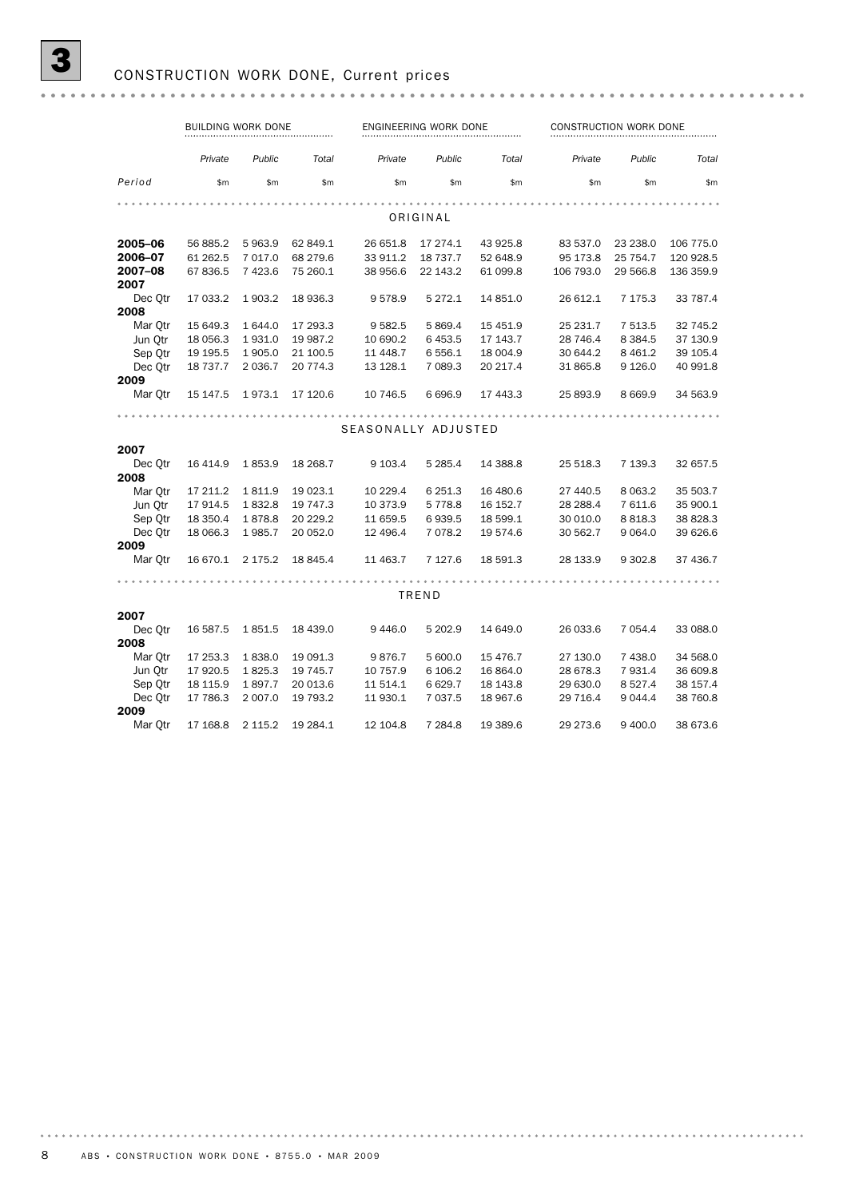|                 | <b>BUILDING WORK DONE</b> |             |          |                     | ENGINEERING WORK DONE |          | CONSTRUCTION WORK DONE |            |           |  |
|-----------------|---------------------------|-------------|----------|---------------------|-----------------------|----------|------------------------|------------|-----------|--|
|                 | Private                   | Public      | Total    | Private             | Public                | Total    | Private                | Public     | Total     |  |
| Period          | \$m\$                     | \$m\$       | \$m      | \$m                 | \$m\$                 | \$m      | \$m\$                  | \$m\$      | \$m\$     |  |
|                 |                           |             |          |                     |                       |          |                        |            |           |  |
|                 |                           |             |          |                     | ORIGINAL              |          |                        |            |           |  |
| 2005-06         | 56 885.2                  | 5 963.9     | 62 849.1 | 26 651.8            | 17 274.1              | 43 925.8 | 83 537.0               | 23 238.0   | 106 775.0 |  |
| 2006-07         | 61 262.5                  | 7 017.0     | 68 279.6 | 33 911.2            | 18 737.7              | 52 648.9 | 95 173.8               | 25 754.7   | 120 928.5 |  |
| 2007-08<br>2007 | 67 836.5                  | 7 4 23.6    | 75 260.1 | 38 956.6            | 22 143.2              | 61 099.8 | 106 793.0              | 29 566.8   | 136 359.9 |  |
| Dec Otr<br>2008 | 17 033.2                  | 1 903.2     | 18 936.3 | 9578.9              | 5 272.1               | 14 851.0 | 26 612.1               | 7 175.3    | 33 787.4  |  |
| Mar Otr         | 15 649.3                  | 1 644.0     | 17 293.3 | 9 5 8 2.5           | 5 869.4               | 15 451.9 | 25 231.7               | 7 5 1 3.5  | 32 745.2  |  |
| Jun Otr         | 18 056.3                  | 1931.0      | 19 987.2 | 10 690.2            | 6453.5                | 17 143.7 | 28 746.4               | 8 3 8 4 .5 | 37 130.9  |  |
| Sep Otr         | 19 195.5                  | 1 905.0     | 21 100.5 | 11 448.7            | 6 556.1               | 18 004.9 | 30 644.2               | 8 4 6 1.2  | 39 105.4  |  |
| Dec Otr         | 18 737.7                  | 2 0 3 6.7   | 20 774.3 | 13 128.1            | 7 089.3               | 20 217.4 | 31 865.8               | 9 1 2 6.0  | 40 991.8  |  |
| 2009            |                           |             |          |                     |                       |          |                        |            |           |  |
| Mar Qtr         | 15 147.5                  | 1973.1      | 17 120.6 | 10 746.5            | 6 6 9 6.9             | 17 443.3 | 25 893.9               | 8 6 6 9.9  | 34 563.9  |  |
|                 |                           |             |          |                     |                       |          |                        |            |           |  |
|                 |                           |             |          | SEASONALLY ADJUSTED |                       |          |                        |            |           |  |
| 2007            |                           |             |          |                     |                       |          |                        |            |           |  |
| Dec Otr         | 16 414.9                  | 1853.9      | 18 268.7 | 9 103.4             | 5 2 8 5.4             | 14 388.8 | 25 518.3               | 7 139.3    | 32 657.5  |  |
| 2008            |                           |             |          |                     |                       |          |                        |            |           |  |
| Mar Otr         | 17 211.2                  | 1811.9      | 19 023.1 | 10 229.4            | 6 2 5 1.3             | 16 480.6 | 27 440.5               | 8 0 63.2   | 35 503.7  |  |
| Jun Otr         | 17 914.5                  | 1832.8      | 19 747.3 | 10 373.9            | 5778.8                | 16 152.7 | 28 288.4               | 7611.6     | 35 900.1  |  |
| Sep Otr         | 18 350.4                  | 1878.8      | 20 229.2 | 11 659.5            | 6939.5                | 18 599.1 | 30 010.0               | 8818.3     | 38 828.3  |  |
| Dec Otr         | 18 066.3                  | 1985.7      | 20 052.0 | 12 496.4            | 7 0 7 8.2             | 19 574.6 | 30 562.7               | 9 0 64.0   | 39 626.6  |  |
| 2009            |                           |             |          |                     |                       |          |                        |            |           |  |
| Mar Otr         | 16 670.1                  | 2 175.2     | 18 845.4 | 11 463.7            | 7 127.6               | 18 591.3 | 28 133.9               | 9 3 0 2.8  | 37 436.7  |  |
|                 |                           |             |          |                     |                       |          |                        |            |           |  |
|                 |                           |             |          |                     | TREND                 |          |                        |            |           |  |
| 2007            |                           |             |          |                     |                       |          |                        |            |           |  |
| Dec Otr         | 16 587.5                  | 1851.5      | 18 439.0 | 9 4 4 6.0           | 5 202.9               | 14 649.0 | 26 033.6               | 7 0 5 4.4  | 33 088.0  |  |
| 2008            |                           |             |          |                     |                       |          |                        |            |           |  |
| Mar Otr         | 17 253.3                  | 1838.0      | 19 091.3 | 9876.7              | 5 600.0               | 15 476.7 | 27 130.0               | 7 438.0    | 34 568.0  |  |
| Jun Otr         | 17 920.5                  | 1825.3      | 19 745.7 | 10 757.9            | 6 106.2               | 16 864.0 | 28 678.3               | 7 9 3 1.4  | 36 609.8  |  |
| Sep Otr         | 18 115.9                  | 1897.7      | 20 013.6 | 11 514.1            | 6629.7                | 18 143.8 | 29 630.0               | 8 5 27.4   | 38 157.4  |  |
| Dec Otr         | 17 786.3                  | 2 007.0     | 19 793.2 | 11 930.1            | 7 0 3 7 .5            | 18 967.6 | 29 716.4               | 9 0 4 4.4  | 38 760.8  |  |
| 2009            |                           |             |          |                     |                       |          |                        |            |           |  |
| Mar Otr         | 17 168.8                  | 2 1 1 5 . 2 | 19 284.1 | 12 104.8            | 7 2 8 4.8             | 19 389.6 | 29 273.6               | 9 400.0    | 38 673.6  |  |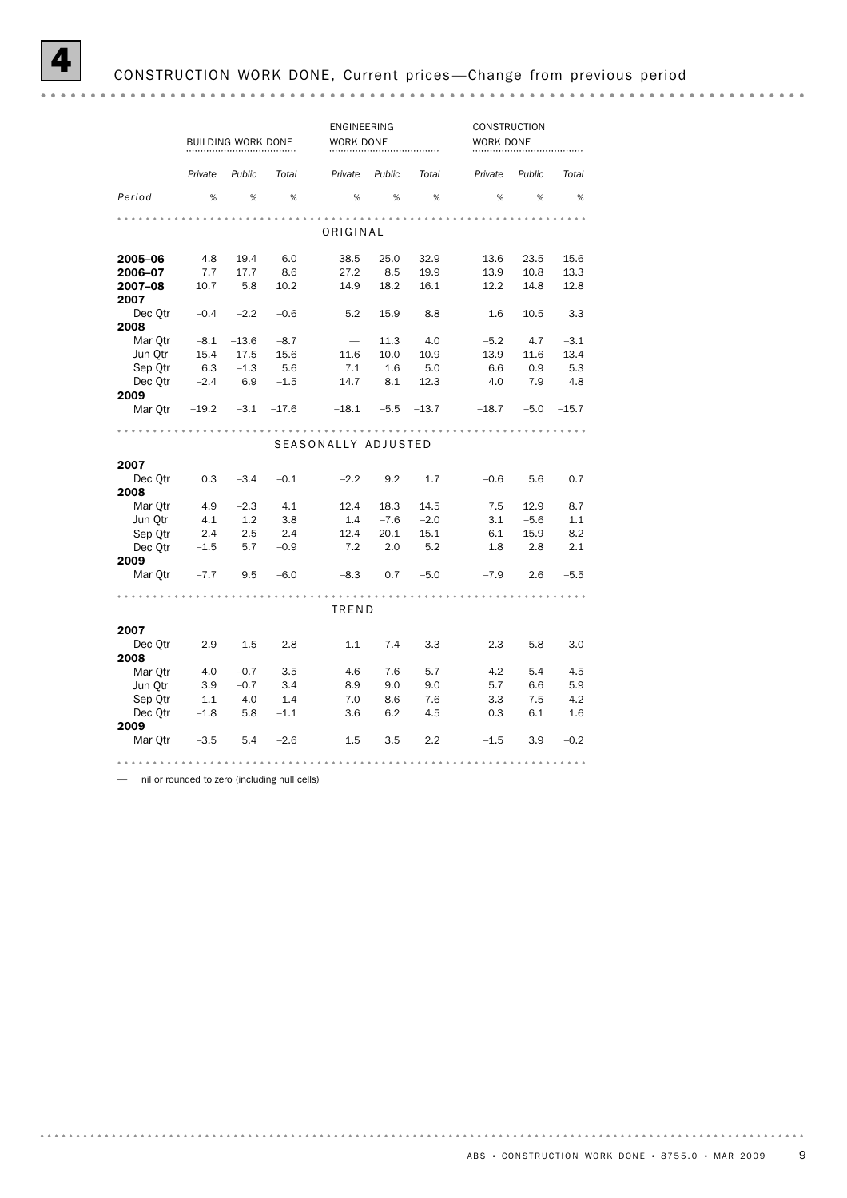|                                          | BUILDING WORK DONE              |                                  |                                 | ENGINEERING<br>WORK DONE                |                                 |                            | <b>CONSTRUCTION</b><br>WORK DONE |                           |                              |  |  |
|------------------------------------------|---------------------------------|----------------------------------|---------------------------------|-----------------------------------------|---------------------------------|----------------------------|----------------------------------|---------------------------|------------------------------|--|--|
|                                          | Private                         | Public                           | Total                           | Private                                 | Public                          | Total                      | Private                          | Public                    | Total                        |  |  |
| Period                                   | %                               | %                                | %                               | %                                       | %                               | %                          | %                                | %                         | %                            |  |  |
| ORIGINAL                                 |                                 |                                  |                                 |                                         |                                 |                            |                                  |                           |                              |  |  |
| 2005-06<br>2006-07<br>2007-08<br>2007    | 4.8<br>7.7<br>10.7              | 19.4<br>17.7<br>5.8              | 6.0<br>8.6<br>10.2              | 38.5<br>27.2<br>14.9                    | 25.0<br>8.5<br>18.2             | 32.9<br>19.9<br>16.1       | 13.6<br>13.9<br>12.2             | 23.5<br>10.8<br>14.8      | 15.6<br>13.3<br>12.8         |  |  |
| Dec Otr<br>2008                          | $-0.4$                          | $-2.2$                           | $-0.6$                          | 5.2                                     | 15.9                            | 8.8                        | 1.6                              | 10.5                      | 3.3                          |  |  |
| Mar Otr<br>Jun Otr<br>Sep Qtr<br>Dec Otr | $-8.1$<br>15.4<br>6.3<br>$-2.4$ | $-13.6$<br>17.5<br>$-1.3$<br>6.9 | $-8.7$<br>15.6<br>5.6<br>$-1.5$ | $\overline{\phantom{0}}$<br>11.6<br>7.1 | 11.3<br>10.0<br>1.6<br>14.7 8.1 | 4.0<br>10.9<br>5.0<br>12.3 | $-5.2$<br>13.9<br>6.6<br>4.0     | 4.7<br>11.6<br>0.9<br>7.9 | $-3.1$<br>13.4<br>5.3<br>4.8 |  |  |
| 2009<br>Mar Otr                          | $-19.2$                         | $-3.1 -17.6$                     |                                 | $-18.1$ $-5.5$ $-13.7$                  |                                 |                            | $-18.7$ $-5.0$ $-15.7$           |                           |                              |  |  |
| SEASONALLY ADJUSTED                      |                                 |                                  |                                 |                                         |                                 |                            |                                  |                           |                              |  |  |
| 2007<br>Dec Otr                          | 0.3                             | $-3.4$                           | $-0.1$                          | $-2.2$                                  | 9.2                             | 1.7                        | $-0.6$                           | 5.6                       | 0.7                          |  |  |
| 2008<br>Mar Otr<br>Jun Qtr<br>Sep Otr    | 4.9<br>4.1<br>2.4               | $-2.3$<br>1.2<br>2.5             | 4.1<br>3.8<br>2.4               | 12.4<br>$1.4\,$<br>12.4                 | 18.3<br>$-7.6$<br>20.1          | 14.5<br>$-2.0$<br>15.1     | 7.5<br>3.1<br>6.1                | 12.9<br>$-5.6$<br>15.9    | 8.7<br>1.1<br>8.2            |  |  |
| Dec Qtr<br>2009<br>Mar Otr               | $-1.5$<br>$-7.7$                | 5.7<br>9.5                       | $-0.9$<br>$-6.0$                | 7.2<br>$-8.3$                           | 2.0<br>$0.7 -5.0$               | 5.2                        | 1.8<br>$-7.9$                    | 2.8<br>2.6                | 2.1<br>$-5.5$                |  |  |
|                                          |                                 |                                  |                                 | TREND                                   |                                 |                            |                                  |                           |                              |  |  |
| 2007<br>Dec Otr<br>2008                  | 2.9                             | 1.5                              | 2.8                             | 1.1                                     | 7.4                             | 3.3                        | 2.3                              | 5.8                       | 3.0                          |  |  |
| Mar Otr<br>Jun Otr<br>Sep Qtr<br>Dec Qtr | 4.0<br>3.9<br>1.1<br>$-1.8$     | $-0.7$<br>$-0.7$<br>4.0<br>5.8   | - 3.5<br>3.4<br>1.4<br>$-1.1$   | 4.6<br>8.9<br>7.0<br>3.6                | 7.6<br>9.0<br>8.6<br>6.2        | 5.7<br>9.0<br>7.6<br>4.5   | 4.2<br>5.7<br>3.3<br>0.3         | 5.4<br>6.6<br>7.5<br>6.1  | 4.5<br>5.9<br>4.2<br>1.6     |  |  |
| 2009<br>Mar Qtr                          | $-3.5$                          | 5.4                              | $-2.6$                          | $1.5\,$                                 | 3.5                             | 2.2                        | $-1.5$                           | 3.9                       | $-0.2$                       |  |  |

— nil or rounded to zero (including null cells)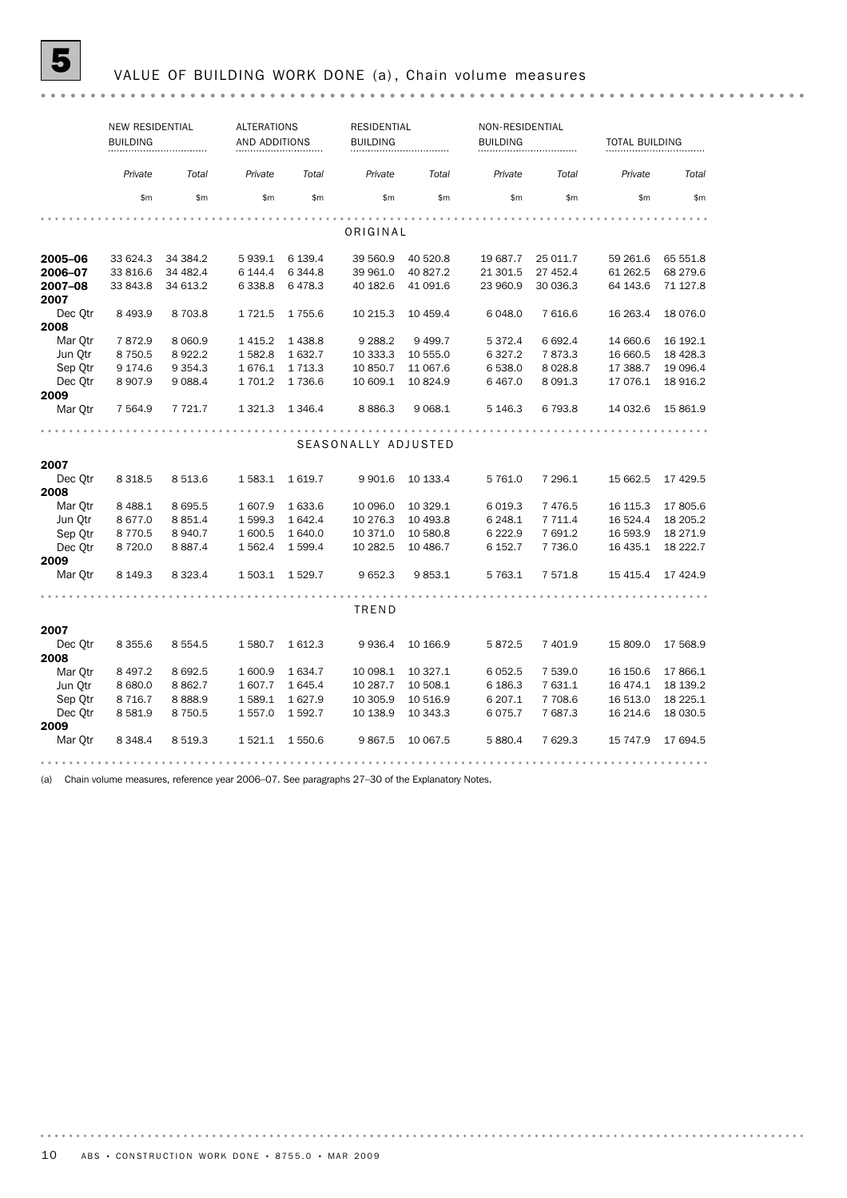# **5** VALUE OF BUILDING WORK DONE (a), Chain volume measures

|         | <b>NEW RESIDENTIAL</b><br><b>BUILDING</b> |             |             | <b>ALTERATIONS</b><br>AND ADDITIONS |                     | <b>RESIDENTIAL</b> | NON-RESIDENTIAL<br><b>BUILDING</b> |           |           | <b>TOTAL BUILDING</b> |  |  |
|---------|-------------------------------------------|-------------|-------------|-------------------------------------|---------------------|--------------------|------------------------------------|-----------|-----------|-----------------------|--|--|
|         | Private                                   | Total       | Private     | Total                               | Private             | Total              | Private                            | Total     | Private   | Total                 |  |  |
|         | \$m                                       | \$m         | \$m\$       | \$m                                 | \$m                 | \$m\$              | \$m                                | \$m       | \$m       | \$m                   |  |  |
|         |                                           |             |             |                                     |                     |                    |                                    |           |           |                       |  |  |
|         | ORIGINAL                                  |             |             |                                     |                     |                    |                                    |           |           |                       |  |  |
| 2005-06 | 33 624.3                                  | 34 384.2    | 5939.1      | 6 139.4                             | 39 560.9            | 40 520.8           | 19 687.7                           | 25 011.7  | 59 261.6  | 65 551.8              |  |  |
| 2006-07 | 33 816.6                                  | 34 482.4    | 6 144.4     | 6 3 4 4.8                           | 39 961.0            | 40 827.2           | 21 301.5                           | 27 452.4  | 61 262.5  | 68 279.6              |  |  |
| 2007-08 | 33 843.8                                  | 34 613.2    | 6 3 3 8.8   | 6478.3                              | 40 182.6            | 41 091.6           | 23 960.9                           | 30 036.3  | 64 143.6  | 71 127.8              |  |  |
| 2007    |                                           |             |             |                                     |                     |                    |                                    |           |           |                       |  |  |
| Dec Otr | 8 4 9 3.9                                 | 8703.8      | 1721.5      | 1755.6                              | 10 215.3            | 10 459.4           | 6 0 48.0                           | 7 616.6   | 16 263.4  | 18 0 76.0             |  |  |
| 2008    |                                           |             |             |                                     |                     |                    |                                    |           |           |                       |  |  |
| Mar Otr | 7872.9                                    | 8 0 6 0.9   | 1 4 1 5 . 2 | 1438.8                              | 9 2 8 8.2           | 9499.7             | 5 372.4                            | 6 6 9 2.4 | 14 660.6  | 16 192.1              |  |  |
| Jun Otr | 8750.5                                    | 8922.2      | 1582.8      | 1 632.7                             | 10 333.3            | 10 555.0           | 6 3 2 7 . 2                        | 7873.3    | 16 660.5  | 18 4 28.3             |  |  |
| Sep Qtr | 9 174.6                                   | 9 3 5 4 . 3 | 1676.1      | 1 7 1 3 . 3                         | 10 850.7            | 11 067.6           | 6 538.0                            | 8 0 28.8  | 17 388.7  | 19 096.4              |  |  |
| Dec Otr | 8907.9                                    | 9 0 88.4    | 1 701.2     | 1736.6                              | 10 609.1            | 10824.9            | 6467.0                             | 8 0 9 1.3 | 17 076.1  | 18 916.2              |  |  |
| 2009    |                                           |             |             |                                     |                     |                    |                                    |           |           |                       |  |  |
| Mar Otr | 7 5 64.9                                  | 7 7 2 1.7   | 1 3 2 1 . 3 | 1 3 4 6 . 4                         | 8886.3              | 9 0 68.1           | 5 146.3                            | 6 793.8   | 14 032.6  | 15 861.9              |  |  |
|         |                                           |             |             |                                     |                     |                    |                                    |           |           |                       |  |  |
|         |                                           |             |             |                                     | SEASONALLY ADJUSTED |                    |                                    |           |           |                       |  |  |
| 2007    |                                           |             |             |                                     |                     |                    |                                    |           |           |                       |  |  |
| Dec Otr | 8 3 1 8 .5                                | 8 5 1 3.6   | 1583.1      | 1619.7                              | 9 9 0 1.6           | 10 133.4           | 5 761.0                            | 7 296.1   | 15 662.5  | 17 429.5              |  |  |
| 2008    |                                           |             |             |                                     |                     |                    |                                    |           |           |                       |  |  |
| Mar Otr | 8 4 8 8.1                                 | 8 6 9 5.5   | 1 607.9     | 1 633.6                             | 10 096.0            | 10 329.1           | 6 0 19.3                           | 7 4 7 6.5 | 16 115.3  | 17805.6               |  |  |
| Jun Otr | 8677.0                                    | 8 8 5 1.4   | 1599.3      | 1 642.4                             | 10 276.3            | 10 493.8           | 6 248.1                            | 7 7 1 1.4 | 16 524.4  | 18 205.2              |  |  |
| Sep Otr | 8770.5                                    | 8940.7      | 1 600.5     | 1 640.0                             | 10 371.0            | 10 580.8           | 6 2 2 2.9                          | 7 691.2   | 16 593.9  | 18 271.9              |  |  |
| Dec Otr | 8 7 2 0.0                                 | 8887.4      | 1 5 6 2.4   | 1 599.4                             | 10 282.5            | 10 486.7           | 6 152.7                            | 7 736.0   | 16 435.1  | 18 222.7              |  |  |
| 2009    |                                           |             |             |                                     |                     |                    |                                    |           |           |                       |  |  |
| Mar Qtr | 8 1 4 9 . 3                               | 8 3 2 3.4   | 1 503.1     | 1529.7                              | 9652.3              | 9853.1             | 5 763.1                            | 7 571.8   | 15 4 15.4 | 17 424.9              |  |  |
|         |                                           |             |             |                                     |                     |                    |                                    |           |           |                       |  |  |
|         |                                           |             |             |                                     | TREND               |                    |                                    |           |           |                       |  |  |
| 2007    |                                           |             |             |                                     |                     |                    |                                    |           |           |                       |  |  |
| Dec Otr | 8 3 5 5.6                                 | 8 5 5 4 . 5 | 1580.7      | 1 612.3                             | 9936.4              | 10 166.9           | 5872.5                             | 7 401.9   | 15 809.0  | 17 568.9              |  |  |
| 2008    |                                           |             |             |                                     |                     |                    |                                    |           |           |                       |  |  |
| Mar Otr | 8 4 9 7.2                                 | 8692.5      | 1 600.9     | 1634.7                              | 10 098.1            | 10 327.1           | 6 0 5 2.5                          | 7 539.0   | 16 150.6  | 17866.1               |  |  |
| Jun Otr | 8 680.0                                   | 8862.7      | 1607.7      | 1 645.4                             | 10 287.7            | 10 508.1           | 6 186.3                            | 7 631.1   | 16 474.1  | 18 139.2              |  |  |
| Sep Qtr | 8 7 1 6.7                                 | 8888.9      | 1589.1      | 1627.9                              | 10 305.9            | 10 516.9           | 6 207.1                            | 7 708.6   | 16 513.0  | 18 2 25.1             |  |  |
| Dec Otr | 8581.9                                    | 8 7 5 0.5   | 1 557.0     | 1 592.7                             | 10 138.9            | 10 343.3           | 6075.7                             | 7687.3    | 16 214.6  | 18 030.5              |  |  |
| 2009    |                                           |             |             |                                     |                     |                    |                                    |           |           |                       |  |  |
| Mar Otr | 8 3 4 8.4                                 | 8 5 1 9 . 3 | 1521.1      | 1 550.6                             | 9867.5              | 10 067.5           | 5 880.4                            | 7 629.3   | 15 747.9  | 17 694.5              |  |  |
|         |                                           |             |             |                                     |                     |                    |                                    |           |           |                       |  |  |

(a) Chain volume measures, reference year 2006–07. See paragraphs 27–30 of the Explanatory Notes.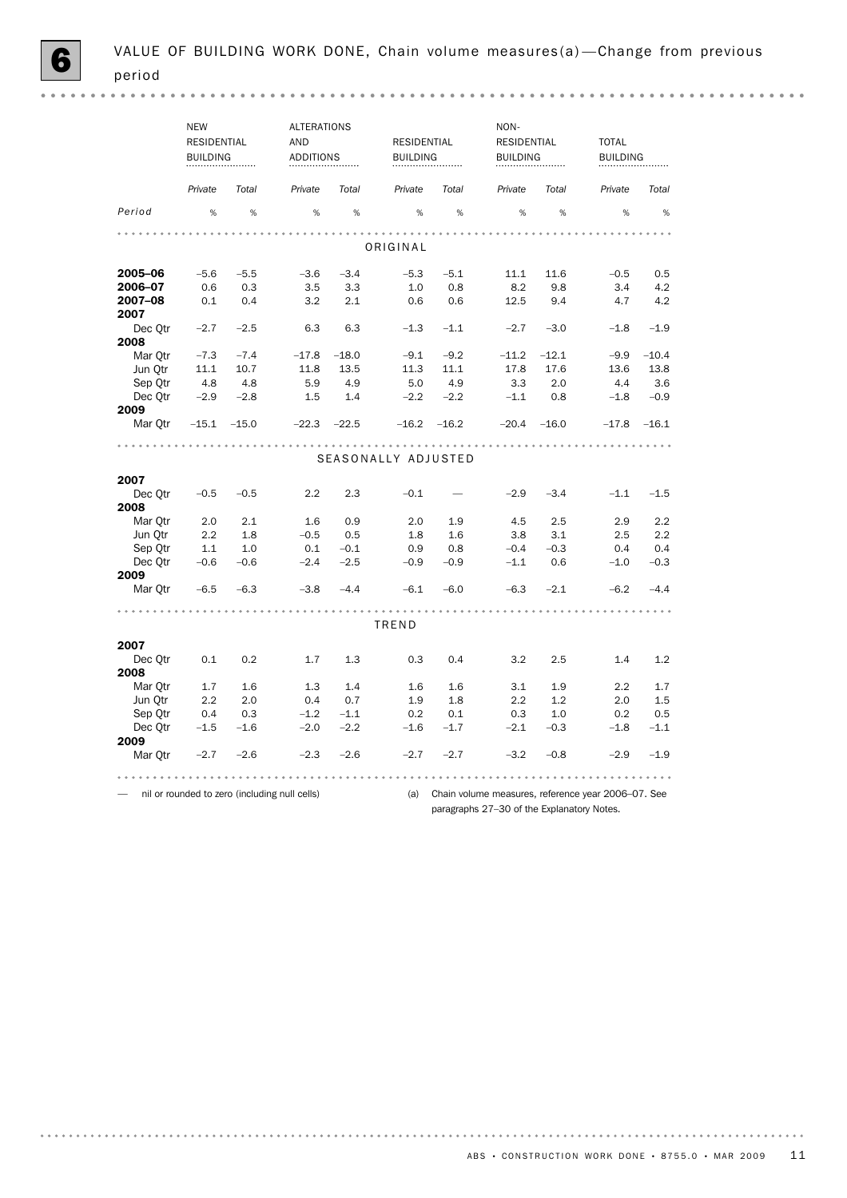|         | <b>NEW</b><br><b>ALTERATIONS</b>          |        | NON-    |                      |                    |                     |         |                     |         |                     |  |
|---------|-------------------------------------------|--------|---------|----------------------|--------------------|---------------------|---------|---------------------|---------|---------------------|--|
|         | <b>RESIDENTIAL</b><br><b>BUILDING</b><br> |        | AND     |                      | <b>RESIDENTIAL</b> |                     |         | <b>RESIDENTIAL</b>  |         | <b>TOTAL</b>        |  |
|         |                                           |        |         | <b>ADDITIONS</b><br> |                    | <b>BUILDING</b><br> |         | <b>BUILDING</b><br> |         | <b>BUILDING</b><br> |  |
|         | Private                                   | Total  | Private | Total                | Private            | Total               | Private | Total               | Private | Total               |  |
| Period  | %                                         | %      | %       | %                    | %                  | %                   | %       | %                   | %       | %                   |  |
|         |                                           |        |         |                      |                    |                     |         |                     |         |                     |  |
|         |                                           |        |         |                      | ORIGINAL           |                     |         |                     |         |                     |  |
| 2005-06 | $-5.6$                                    | $-5.5$ | $-3.6$  | $-3.4$               | $-5.3$             | $-5.1$              | 11.1    | 11.6                | $-0.5$  | 0.5                 |  |
| 2006-07 | 0.6                                       | 0.3    | 3.5     | 3.3                  | 1.0                | 0.8                 | 8.2     | 9.8                 | 3.4     | 4.2                 |  |
| 2007-08 | 0.1                                       | 0.4    | 3.2     | 2.1                  | 0.6                | 0.6                 | 12.5    | 9.4                 | 4.7     | 4.2                 |  |
| 2007    |                                           |        |         |                      |                    |                     |         |                     |         |                     |  |
| Dec Otr | $-2.7$                                    | $-2.5$ | 6.3     | 6.3                  | $-1.3$             | $-1.1$              | $-2.7$  | $-3.0$              | $-1.8$  | $-1.9$              |  |
| 2008    |                                           |        |         |                      |                    |                     |         |                     |         |                     |  |

| Jun Qtr | 11.1    | 10.7    | 11.8                                          | 13.5    | 11.3                | 11.1    | 17.8                                               | 17.6    | 13.6    | 13.8    |
|---------|---------|---------|-----------------------------------------------|---------|---------------------|---------|----------------------------------------------------|---------|---------|---------|
| Sep Otr | 4.8     | 4.8     | 5.9                                           | 4.9     | 5.0                 | 4.9     | 3.3                                                | 2.0     | 4.4     | 3.6     |
| Dec Otr | $-2.9$  | $-2.8$  | 1.5                                           | 1.4     | $-2.2$              | $-2.2$  | $-1.1$                                             | 0.8     | $-1.8$  | $-0.9$  |
| 2009    |         |         |                                               |         |                     |         |                                                    |         |         |         |
| Mar Otr | $-15.1$ | $-15.0$ | $-22.3$                                       | $-22.5$ | $-16.2$             | $-16.2$ | $-20.4$                                            | $-16.0$ | $-17.8$ | $-16.1$ |
|         |         |         |                                               |         |                     |         |                                                    |         |         |         |
|         |         |         |                                               |         | SEASONALLY ADJUSTED |         |                                                    |         |         |         |
| 2007    |         |         |                                               |         |                     |         |                                                    |         |         |         |
| Dec Otr | $-0.5$  | $-0.5$  | 2.2                                           | 2.3     | $-0.1$              |         | $-2.9$                                             | $-3.4$  | $-1.1$  | $-1.5$  |
| 2008    |         |         |                                               |         |                     |         |                                                    |         |         |         |
| Mar Otr | 2.0     | 2.1     | 1.6                                           | 0.9     | 2.0                 | 1.9     | 4.5                                                | 2.5     | 2.9     | 2.2     |
| Jun Otr | 2.2     | 1.8     | $-0.5$                                        | 0.5     | 1.8                 | 1.6     | 3.8                                                | 3.1     | 2.5     | 2.2     |
| Sep Otr | 1.1     | 1.0     | 0.1                                           | $-0.1$  | 0.9                 | 0.8     | $-0.4$                                             | $-0.3$  | 0.4     | 0.4     |
| Dec Otr | $-0.6$  | $-0.6$  | $-2.4$                                        | $-2.5$  | $-0.9$              | $-0.9$  | $-1.1$                                             | 0.6     | $-1.0$  | $-0.3$  |
| 2009    |         |         |                                               |         |                     |         |                                                    |         |         |         |
| Mar Otr | $-6.5$  | $-6.3$  | $-3.8$                                        | $-4.4$  | $-6.1$              | $-6.0$  | $-6.3$                                             | $-2.1$  | $-6.2$  | $-4.4$  |
|         |         |         |                                               |         |                     |         |                                                    |         |         |         |
|         |         |         |                                               |         | TREND               |         |                                                    |         |         |         |
| 2007    |         |         |                                               |         |                     |         |                                                    |         |         |         |
| Dec Otr | 0.1     | 0.2     | 1.7                                           | 1.3     | 0.3                 | 0.4     | 3.2                                                | 2.5     | 1.4     | 1.2     |
| 2008    |         |         |                                               |         |                     |         |                                                    |         |         |         |
| Mar Otr | 1.7     | 1.6     | 1.3                                           | 1.4     | 1.6                 | 1.6     | 3.1                                                | 1.9     | 2.2     | 1.7     |
| Jun Otr | 2.2     | 2.0     | 0.4                                           | 0.7     | 1.9                 | 1.8     | 2.2                                                | 1.2     | 2.0     | 1.5     |
| Sep Otr | 0.4     | 0.3     | $-1.2$                                        | $-1.1$  | 0.2                 | 0.1     | 0.3                                                | 1.0     | 0.2     | 0.5     |
| Dec Otr | $-1.5$  | $-1.6$  | $-2.0$                                        | $-2.2$  | $-1.6$              | $-1.7$  | $-2.1$                                             | $-0.3$  | $-1.8$  | $-1.1$  |
| 2009    |         |         |                                               |         |                     |         |                                                    |         |         |         |
| Mar Qtr | $-2.7$  | $-2.6$  | $-2.3$                                        | $-2.6$  | $-2.7$              | $-2.7$  | $-3.2$                                             | $-0.8$  | $-2.9$  | $-1.9$  |
|         |         |         |                                               |         |                     |         |                                                    |         |         |         |
|         |         |         | nil or rounded to zero (including null cells) |         | (a)                 |         | Chain volume measures, reference year 2006-07. See |         |         |         |

Mar Qtr –7.3 –7.4 –17.8 –18.0 –9.1 –9.2 –11.2 –12.1 –9.9 –10.4

paragraphs 27–30 of the Explanatory Notes.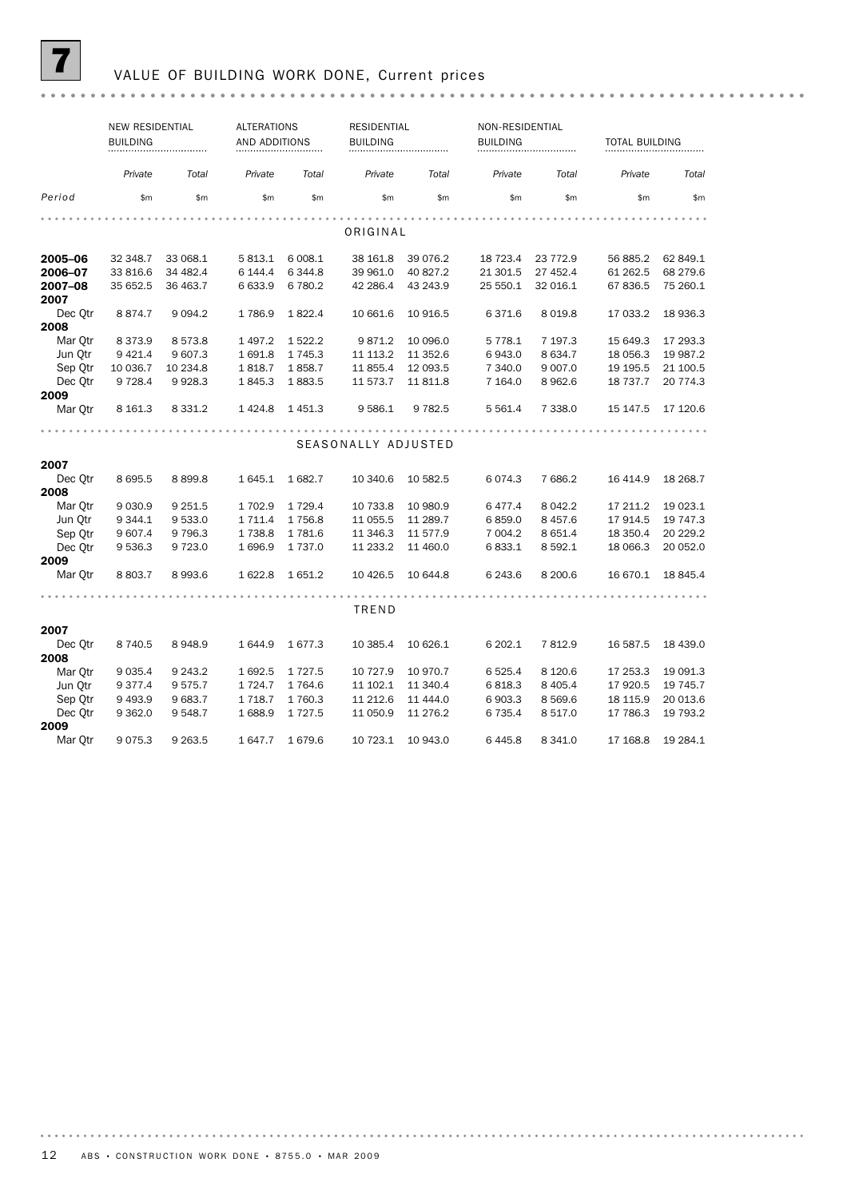

# 7 VALUE OF BUILDING WORK DONE, Current prices

|                 | <b>NEW RESIDENTIAL</b><br><b>BUILDING</b> |             |             | <b>ALTERATIONS</b><br>AND ADDITIONS |                     | <b>RESIDENTIAL</b><br><b>BUILDING</b> |           | NON-RESIDENTIAL |           | <b>TOTAL BUILDING</b> |  |
|-----------------|-------------------------------------------|-------------|-------------|-------------------------------------|---------------------|---------------------------------------|-----------|-----------------|-----------|-----------------------|--|
|                 | Private                                   | Total       | Private     | Total                               | Private             | Total                                 | Private   | Total           | Private   | Total                 |  |
| Period          | \$m                                       | \$m         | \$m         | \$m                                 | \$m                 | \$m                                   | \$m       | \$m             | \$m       | \$m                   |  |
|                 |                                           |             |             |                                     |                     |                                       |           |                 |           |                       |  |
|                 |                                           |             |             |                                     | ORIGINAL            |                                       |           |                 |           |                       |  |
| 2005-06         | 32 348.7                                  | 33 068.1    | 5 813.1     | 6 008.1                             | 38 161.8            | 39 0 76.2                             | 18 723.4  | 23 772.9        | 56 885.2  | 62 849.1              |  |
| 2006-07         | 33 816.6                                  | 34 482.4    | 6 144.4     | 6 3 4 4.8                           | 39 961.0            | 40 827.2                              | 21 301.5  | 27 452.4        | 61 262.5  | 68 279.6              |  |
| 2007-08<br>2007 | 35 652.5                                  | 36 463.7    | 6 633.9     | 6 780.2                             | 42 286.4            | 43 243.9                              | 25 550.1  | 32 016.1        | 67 836.5  | 75 260.1              |  |
| Dec Qtr         | 8874.7                                    | 9 0 9 4.2   | 1786.9      | 1822.4                              | 10 661.6            | 10 916.5                              | 6371.6    | 8 0 1 9.8       | 17 033.2  | 18 936.3              |  |
| 2008            |                                           |             |             |                                     |                     |                                       |           |                 |           |                       |  |
| Mar Otr         | 8 3 7 3 . 9                               | 8573.8      | 1497.2      | 1522.2                              | 9871.2              | 10 096.0                              | 5 7 7 8.1 | 7 197.3         | 15 649.3  | 17 293.3              |  |
| Jun Otr         | 9 4 2 1.4                                 | 9 607.3     | 1691.8      | 1 7 4 5 . 3                         | 11 113.2            | 11 352.6                              | 6943.0    | 8 6 3 4.7       | 18 056.3  | 19 987.2              |  |
| Sep Qtr         | 10 036.7                                  | 10 234.8    | 1818.7      | 1858.7                              | 11 855.4            | 12 093.5                              | 7 340.0   | 9 0 0 7.0       | 19 19 5.5 | 21 100.5              |  |
| Dec Otr         | 9 7 28.4                                  | 9928.3      | 1845.3      | 1883.5                              | 11 573.7            | 11 811.8                              | 7 1 64.0  | 8962.6          | 18 7 37.7 | 20 774.3              |  |
| 2009            |                                           |             |             |                                     |                     |                                       |           |                 |           |                       |  |
| Mar Qtr         | 8 1 6 1.3                                 | 8 3 3 1 . 2 | 1424.8      | 1451.3                              | 9 5 8 6.1           | 9 7 8 2.5                             | 5 5 6 1.4 | 7 338.0         | 15 147.5  | 17 120.6              |  |
|                 |                                           |             |             |                                     |                     |                                       |           |                 |           |                       |  |
|                 |                                           |             |             |                                     | SEASONALLY ADJUSTED |                                       |           |                 |           |                       |  |
| 2007            |                                           |             |             |                                     |                     |                                       |           |                 |           |                       |  |
| Dec Otr         | 8 6 9 5.5                                 | 8899.8      | 1 645.1     | 1682.7                              | 10 340.6            | 10 582.5                              | 6074.3    | 7686.2          | 16 4 14.9 | 18 268.7              |  |
| 2008            |                                           |             |             |                                     |                     |                                       |           |                 |           |                       |  |
| Mar Otr         | 9 0 3 0.9                                 | 9 2 5 1.5   | 1 702.9     | 1 7 2 9.4                           | 10 733.8            | 10 980.9                              | 6477.4    | 8 0 4 2.2       | 17 211.2  | 19 023.1              |  |
| Jun Qtr         | 9 3 4 4.1                                 | 9 5 3 3.0   | 1 7 1 1.4   | 1756.8                              | 11 055.5            | 11 289.7                              | 6859.0    | 8 4 5 7.6       | 17 914.5  | 19 747.3              |  |
| Sep Otr         | 9 607.4                                   | 9 7 9 6.3   | 1 7 3 8.8   | 1 781.6                             | 11 346.3            | 11 577.9                              | 7 004.2   | 8 6 5 1.4       | 18 350.4  | 20 229.2              |  |
| Dec Otr         | 9 5 3 6.3                                 | 9723.0      | 1696.9      | 1 7 3 7 .0                          | 11 233.2            | 11 460.0                              | 6833.1    | 8 5 9 2.1       | 18 066.3  | 20 052.0              |  |
| 2009            |                                           |             |             |                                     |                     |                                       |           |                 |           |                       |  |
| Mar Otr         | 8 8 0 3.7                                 | 8993.6      | 1622.8      | 1651.2                              | 10 4 26.5           | 10 644.8                              | 6 2 4 3.6 | 8 200.6         | 16 670.1  | 18 845.4              |  |
|                 |                                           |             |             |                                     |                     |                                       |           |                 |           |                       |  |
|                 |                                           |             |             |                                     | TREND               |                                       |           |                 |           |                       |  |
| 2007            |                                           |             |             |                                     |                     |                                       |           |                 |           |                       |  |
| Dec Qtr         | 8 7 4 0.5                                 | 8948.9      | 1 644.9     | 1677.3                              | 10 385.4            | 10 626.1                              | 6 202.1   | 7812.9          | 16 587.5  | 18 439.0              |  |
| 2008            |                                           |             |             |                                     |                     |                                       |           |                 |           |                       |  |
| Mar Otr         | 9 0 35.4                                  | 9 2 4 3 . 2 | 1692.5      | 1 7 2 7 .5                          | 10 727.9            | 10 970.7                              | 6 5 2 5.4 | 8 1 2 0.6       | 17 253.3  | 19 091.3              |  |
| Jun Otr         | 9 3 7 7 . 4                               | 9575.7      | 1 7 2 4 . 7 | 1764.6                              | 11 102.1            | 11 340.4                              | 6818.3    | 8 4 0 5.4       | 17 920.5  | 19 745.7              |  |
| Sep Qtr         | 9 4 9 3.9                                 | 9683.7      | 1 7 1 8.7   | 1760.3                              | 11 212.6            | 11 444.0                              | 6903.3    | 8 5 6 9.6       | 18 115.9  | 20 013.6              |  |
| Dec Otr         | 9 3 6 2.0                                 | 9 5 4 8.7   | 1688.9      | 1 7 2 7 .5                          | 11 050.9            | 11 276.2                              | 6 7 3 5.4 | 8 5 1 7 .0      | 17 786.3  | 19 793.2              |  |
| 2009            |                                           |             |             |                                     |                     |                                       |           |                 |           |                       |  |
| Mar Otr         | 9075.3                                    | 9 2 6 3 .5  | 1647.7      | 1679.6                              | 10 723.1            | 10 943.0                              | 6445.8    | 8 341.0         | 17 168.8  | 19 284.1              |  |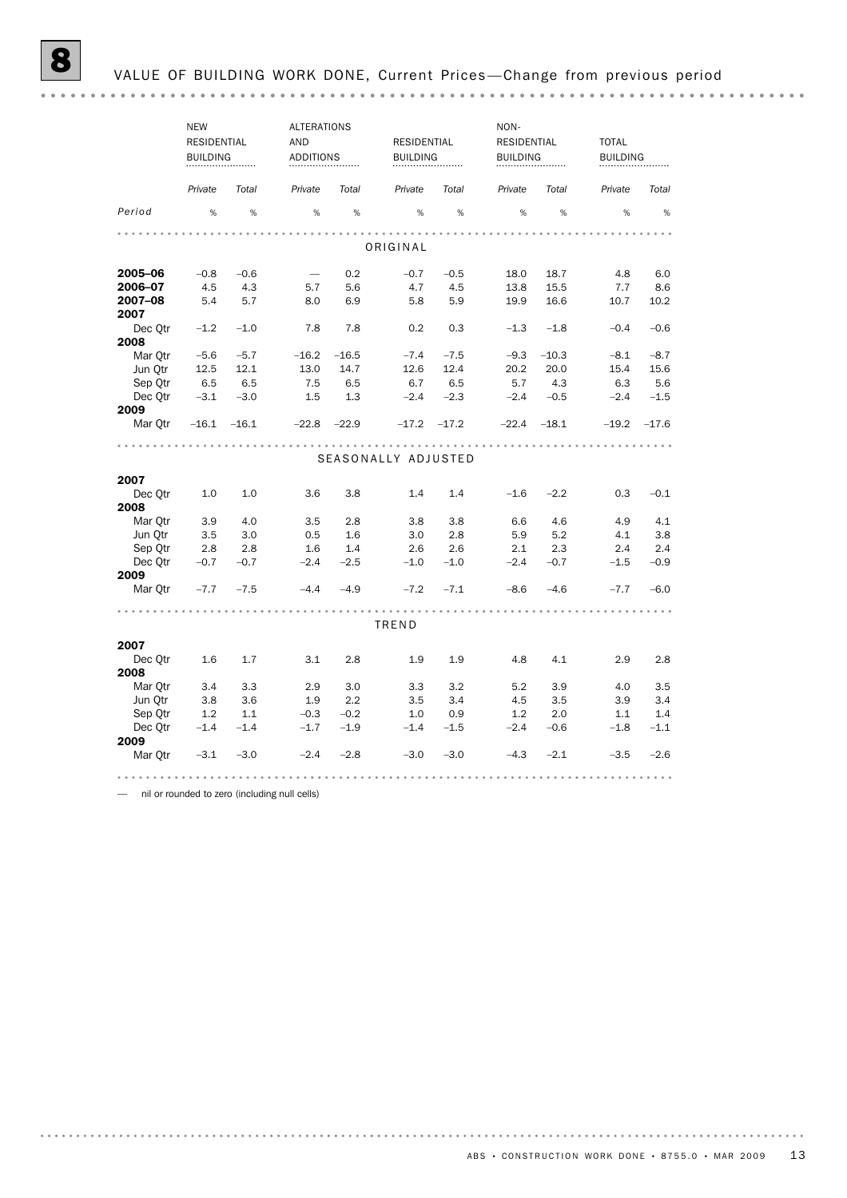|                 | <b>NEW</b>      |                | <b>ALTERATIONS</b> |                 |                     |                | NON-               |                 |                 |         |
|-----------------|-----------------|----------------|--------------------|-----------------|---------------------|----------------|--------------------|-----------------|-----------------|---------|
|                 | RESIDENTIAL     |                | <b>AND</b>         |                 | RESIDENTIAL         |                | <b>RESIDENTIAL</b> |                 | <b>TOTAL</b>    |         |
|                 | <b>BUILDING</b> |                | <b>ADDITIONS</b>   |                 | <b>BUILDING</b>     |                | <b>BUILDING</b>    |                 | <b>BUILDING</b> |         |
|                 |                 |                |                    |                 |                     |                |                    |                 |                 |         |
|                 | Private         | Total          | Private            | Total           | Private             | Total          | Private            | Total           | Private         | Total   |
| Period          | %               | %              | %                  | $\%$            | %                   | %              | %                  | %               | %               | $\%$    |
|                 |                 |                |                    |                 |                     |                |                    |                 |                 |         |
|                 |                 |                |                    |                 | ORIGINAL            |                |                    |                 |                 |         |
| 2005-06         | $-0.8$          | $-0.6$         |                    | 0.2             | $-0.7$              | $-0.5$         | 18.0               | 18.7            | 4.8             | 6.0     |
| 2006-07         | 4.5             | 4.3            | 5.7                | 5.6             | 4.7                 | 4.5            | 13.8               | 15.5            | 7.7             | 8.6     |
| 2007-08         | 5.4             | 5.7            | 8.0                | 6.9             | 5.8                 | 5.9            | 19.9               | 16.6            | 10.7            | 10.2    |
| 2007            |                 |                |                    |                 |                     |                |                    |                 |                 |         |
| Dec Otr         | $-1.2$          | $-1.0$         | 7.8                | 7.8             | 0.2                 | 0.3            | $-1.3$             | $-1.8$          | $-0.4$          | $-0.6$  |
| 2008            |                 |                |                    |                 |                     |                |                    |                 |                 |         |
| Mar Otr         | $-5.6$          | $-5.7$<br>12.1 | $-16.2$<br>13.0    | $-16.5$<br>14.7 | $-7.4$<br>12.6      | $-7.5$<br>12.4 | $-9.3$             | $-10.3$<br>20.0 | $-8.1$<br>15.4  | $-8.7$  |
| Jun Otr         | 12.5            |                |                    |                 |                     |                | 20.2               |                 |                 | 15.6    |
| Sep Otr         | 6.5             | 6.5            | 7.5                | 6.5             | 6.7                 | 6.5            | 5.7                | 4.3             | 6.3             | 5.6     |
| Dec Qtr         | $-3.1$          | $-3.0$         | 1.5                | 1.3             | $-2.4$              | $-2.3$         | $-2.4$             | $-0.5$          | $-2.4$          | $-1.5$  |
| 2009<br>Mar Otr | $-16.1$         | $-16.1$        | $-22.8$            | $-22.9$         | $-17.2$             | $-17.2$        | $-22.4$            | $-18.1$         | $-19.2$         | $-17.6$ |
|                 |                 |                |                    |                 |                     |                |                    |                 |                 |         |
|                 |                 |                |                    |                 | SEASONALLY ADJUSTED |                |                    |                 |                 |         |
|                 |                 |                |                    |                 |                     |                |                    |                 |                 |         |
| 2007            |                 |                |                    |                 |                     |                |                    |                 |                 |         |
| Dec Otr<br>2008 | 1.0             | 1.0            | 3.6                | 3.8             | 1.4                 | 1.4            | $-1.6$             | $-2.2$          | 0.3             | $-0.1$  |
| Mar Otr         | 3.9             | 4.0            | 3.5                | 2.8             | 3.8                 | 3.8            | 6.6                | 4.6             | 4.9             | 4.1     |
| Jun Otr         | 3.5             | 3.0            | 0.5                | 1.6             | 3.0                 | 2.8            | 5.9                | 5.2             | 4.1             | 3.8     |
| Sep Qtr         | 2.8             | 2.8            | 1.6                | 1.4             | 2.6                 | 2.6            | 2.1                | 2.3             | 2.4             | 2.4     |
| Dec Otr         | $-0.7$          | $-0.7$         | $-2.4$             | $-2.5$          | $-1.0$              | $-1.0$         | $-2.4$             | $-0.7$          | $-1.5$          | $-0.9$  |
| 2009            |                 |                |                    |                 |                     |                |                    |                 |                 |         |
| Mar Otr         | $-7.7$          | $-7.5$         | $-4.4$             | $-4.9$          | $-7.2$              | $-7.1$         | $-8.6$             | $-4.6$          | $-7.7$          | $-6.0$  |
|                 |                 |                |                    |                 |                     |                |                    |                 |                 |         |
|                 |                 |                |                    |                 | TREND               |                |                    |                 |                 |         |
| 2007            |                 |                |                    |                 |                     |                |                    |                 |                 |         |
| Dec Otr<br>2008 | 1.6             | 1.7            | 3.1                | 2.8             | 1.9                 | 1.9            | 4.8                | 4.1             | 2.9             | 2.8     |
| Mar Otr         | 3.4             | 3.3            | 2.9                | 3.0             | 3.3                 | 3.2            | 5.2                | 3.9             | 4.0             | 3.5     |
| Jun Otr         | 3.8             | 3.6            | 1.9                | 2.2             | 3.5                 | 3.4            | 4.5                | 3.5             | 3.9             | 3.4     |
| Sep Qtr         | 1.2             | 1.1            | $-0.3$             | $-0.2$          | 1.0                 | 0.9            | 1.2                | 2.0             | 1.1             | 1.4     |
| Dec Qtr         | $-1.4$          | $-1.4$         | $-1.7$             | $-1.9$          | $-1.4$              | $-1.5$         | $-2.4$             | $-0.6$          | $-1.8$          | $-1.1$  |
| 2009            |                 |                |                    |                 |                     |                |                    |                 |                 |         |
| Mar Otr         | $-3.1$          | $-3.0$         | $-2.4$             | $-2.8$          | $-3.0$              | $-3.0$         | $-4.3$             | $-2.1$          | $-3.5$          | $-2.6$  |
|                 |                 |                |                    |                 |                     |                |                    |                 |                 |         |
|                 |                 |                |                    |                 |                     |                |                    |                 |                 |         |

— nil or rounded to zero (including null cells)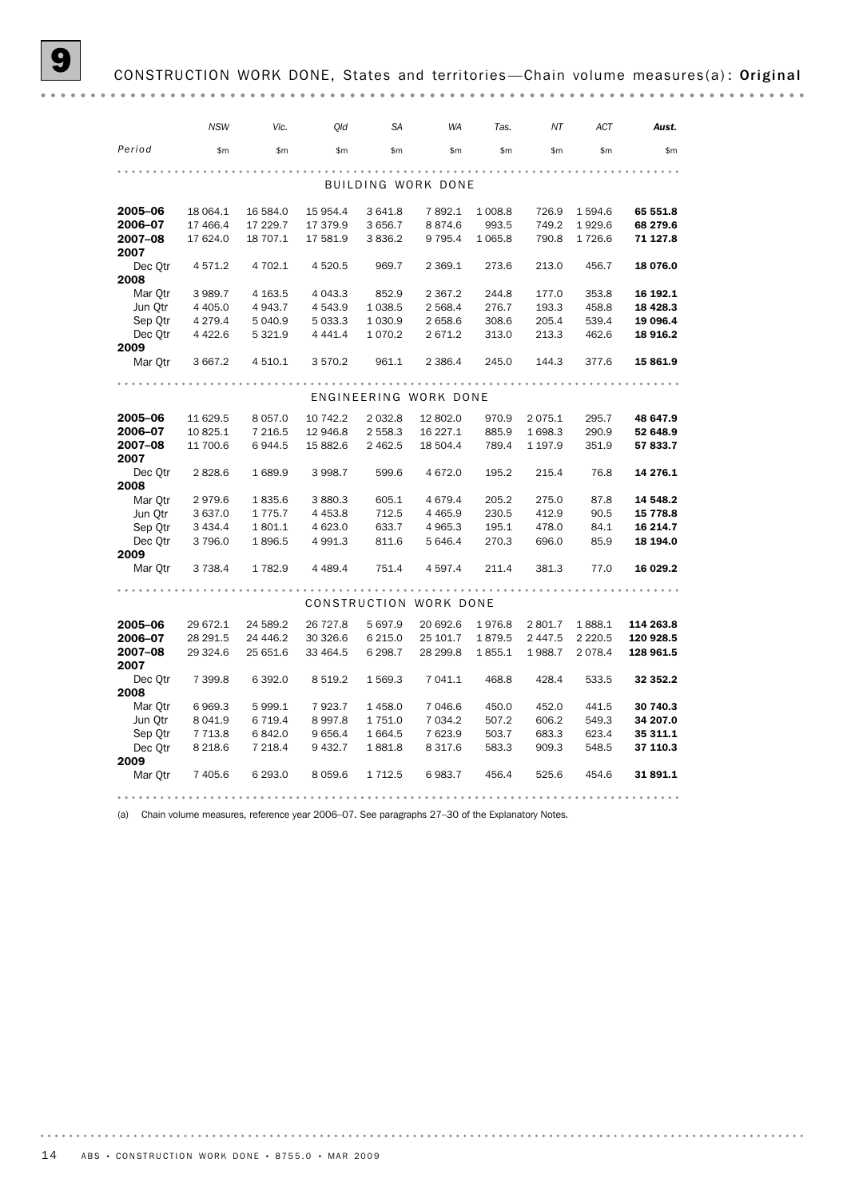# CONSTRUCTION WORK DONE, States and territories-Chain volume measures(a): Original

|                 | <b>NSW</b> | Vic.        | Old         | <b>SA</b>   | <b>WA</b>              | Tas.      | NT         | ACT       | Aust.     |
|-----------------|------------|-------------|-------------|-------------|------------------------|-----------|------------|-----------|-----------|
| Period          | \$m        | \$m\$       | \$m         | \$m         | \$m\$                  | \$m\$     | \$m        | \$m       | \$m\$     |
|                 |            |             |             |             |                        |           |            |           |           |
|                 |            |             |             |             | BUILDING WORK DONE     |           |            |           |           |
| 2005-06         | 18 064.1   | 16 584.0    | 15 954.4    | 3 641.8     | 7892.1                 | 1 008.8   | 726.9      | 1 594.6   | 65 551.8  |
| 2006-07         | 17 466.4   | 17 229.7    | 17 379.9    | 3 6 5 6.7   | 8874.6                 | 993.5     | 749.2      | 1929.6    | 68 279.6  |
| 2007-08         | 17 624.0   | 18 707.1    | 17 581.9    | 3836.2      | 9 7 9 5.4              | 1 0 6 5.8 | 790.8      | 1726.6    | 71 127.8  |
| 2007            |            |             |             |             |                        |           |            |           |           |
| Dec Otr<br>2008 | 4 571.2    | 4 702.1     | 4 5 20.5    | 969.7       | 2 3 6 9.1              | 273.6     | 213.0      | 456.7     | 18 076.0  |
| Mar Otr         | 3 989.7    | 4 1 6 3 .5  | 4 0 4 3 . 3 | 852.9       | 2 3 6 7 . 2            | 244.8     | 177.0      | 353.8     | 16 192.1  |
| Jun Qtr         | 4 4 0 5.0  | 4 943.7     | 4 5 4 3.9   | 1 0 38.5    | 2 568.4                | 276.7     | 193.3      | 458.8     | 18 4 28.3 |
| Sep Qtr         | 4 279.4    | 5 040.9     | 5 033.3     | 1 0 3 0.9   | 2 658.6                | 308.6     | 205.4      | 539.4     | 19 096.4  |
| Dec Otr         | 4 4 2 2.6  | 5 3 2 1.9   | 4 4 4 1.4   | 1070.2      | 2 671.2                | 313.0     | 213.3      | 462.6     | 18 916.2  |
| 2009            |            |             |             |             |                        |           |            |           |           |
| Mar Otr         | 3 667.2    | 4 5 1 0.1   | 3 570.2     | 961.1       | 2 3 8 6.4              | 245.0     | 144.3      | 377.6     | 15 861.9  |
|                 |            |             |             |             |                        |           |            |           |           |
|                 |            |             |             |             | ENGINEERING WORK DONE  |           |            |           |           |
| 2005-06         | 11 629.5   | 8 0 5 7 .0  | 10 742.2    | 2 0 3 2.8   | 12 802.0               | 970.9     | 2075.1     | 295.7     | 48 647.9  |
| 2006-07         | 10 825.1   | 7 2 1 6.5   | 12 946.8    | 2 5 5 8.3   | 16 227.1               | 885.9     | 1 698.3    | 290.9     | 52 648.9  |
| 2007-08         | 11 700.6   | 6944.5      | 15 882.6    | 2 4 6 2.5   | 18 504.4               | 789.4     | 1 197.9    | 351.9     | 57 833.7  |
| 2007            |            |             |             |             |                        |           |            |           |           |
| Dec Otr         | 2828.6     | 1689.9      | 3 9 9 8.7   | 599.6       | 4 672.0                | 195.2     | 215.4      | 76.8      | 14 276.1  |
| 2008            |            |             |             |             |                        |           |            |           |           |
| Mar Qtr         | 2979.6     | 1835.6      | 3 880.3     | 605.1       | 4 6 7 9.4              | 205.2     | 275.0      | 87.8      | 14 548.2  |
| Jun Qtr         | 3 637.0    | 1 7 7 5 . 7 | 4 4 5 3.8   | 712.5       | 4 4 6 5.9              | 230.5     | 412.9      | 90.5      | 15 778.8  |
| Sep Qtr         | 3 4 3 4.4  | 1801.1      | 4 623.0     | 633.7       | 4 9 6 5.3              | 195.1     | 478.0      | 84.1      | 16 214.7  |
| Dec Qtr         | 3796.0     | 1896.5      | 4 991.3     | 811.6       | 5 646.4                | 270.3     | 696.0      | 85.9      | 18 194.0  |
| 2009<br>Mar Qtr | 3 7 3 8.4  | 1782.9      | 4 4 8 9.4   | 751.4       | 4 5 9 7 . 4            | 211.4     | 381.3      | 77.0      | 16 029.2  |
|                 |            |             |             |             |                        |           |            |           |           |
|                 |            |             |             |             | CONSTRUCTION WORK DONE |           |            |           |           |
| 2005-06         | 29 672.1   | 24 589.2    | 26 727.8    | 5 697.9     | 20 692.6               | 1976.8    | 2 801.7    | 1888.1    | 114 263.8 |
| 2006-07         | 28 29 1.5  | 24 44 6.2   | 30 326.6    | 6 2 1 5 . 0 | 25 101.7               | 1879.5    | 2 4 4 7 .5 | 2 2 2 0.5 | 120 928.5 |
| 2007-08         | 29 324.6   | 25 651.6    | 33 464.5    | 6 298.7     | 28 299.8               | 1855.1    | 1988.7     | 2 0 78.4  | 128 961.5 |
| 2007            |            |             |             |             |                        |           |            |           |           |
| Dec Otr         | 7 399.8    | 6 3 9 2.0   | 8 5 1 9.2   | 1 569.3     | 7 041.1                | 468.8     | 428.4      | 533.5     | 32 352.2  |
| 2008            |            |             |             |             |                        |           |            |           |           |
| Mar Otr         | 6969.3     | 5 9 9 9.1   | 7923.7      | 1458.0      | 7 046.6                | 450.0     | 452.0      | 441.5     | 30 740.3  |
| Jun Otr         | 8 0 4 1.9  | 6 7 1 9.4   | 8 9 9 7.8   | 1 751.0     | 7 0 34.2               | 507.2     | 606.2      | 549.3     | 34 207.0  |
| Sep Qtr         | 7 7 1 3.8  | 6842.0      | 9656.4      | 1664.5      | 7 623.9                | 503.7     | 683.3      | 623.4     | 35 311.1  |
| Dec Qtr         | 8 2 18.6   | 7 2 18.4    | 9 432.7     | 1881.8      | 8 3 1 7 . 6            | 583.3     | 909.3      | 548.5     | 37 110.3  |
| 2009            |            |             |             |             |                        |           |            |           |           |
| Mar Otr         | 7 405.6    | 6 2 9 3.0   | 8 0 5 9.6   | 1 7 1 2 .5  | 6983.7                 | 456.4     | 525.6      | 454.6     | 31 891.1  |
|                 |            |             |             |             |                        |           |            |           |           |

(a) Chain volume measures, reference year 2006–07. See paragraphs 27–30 of the Explanatory Notes.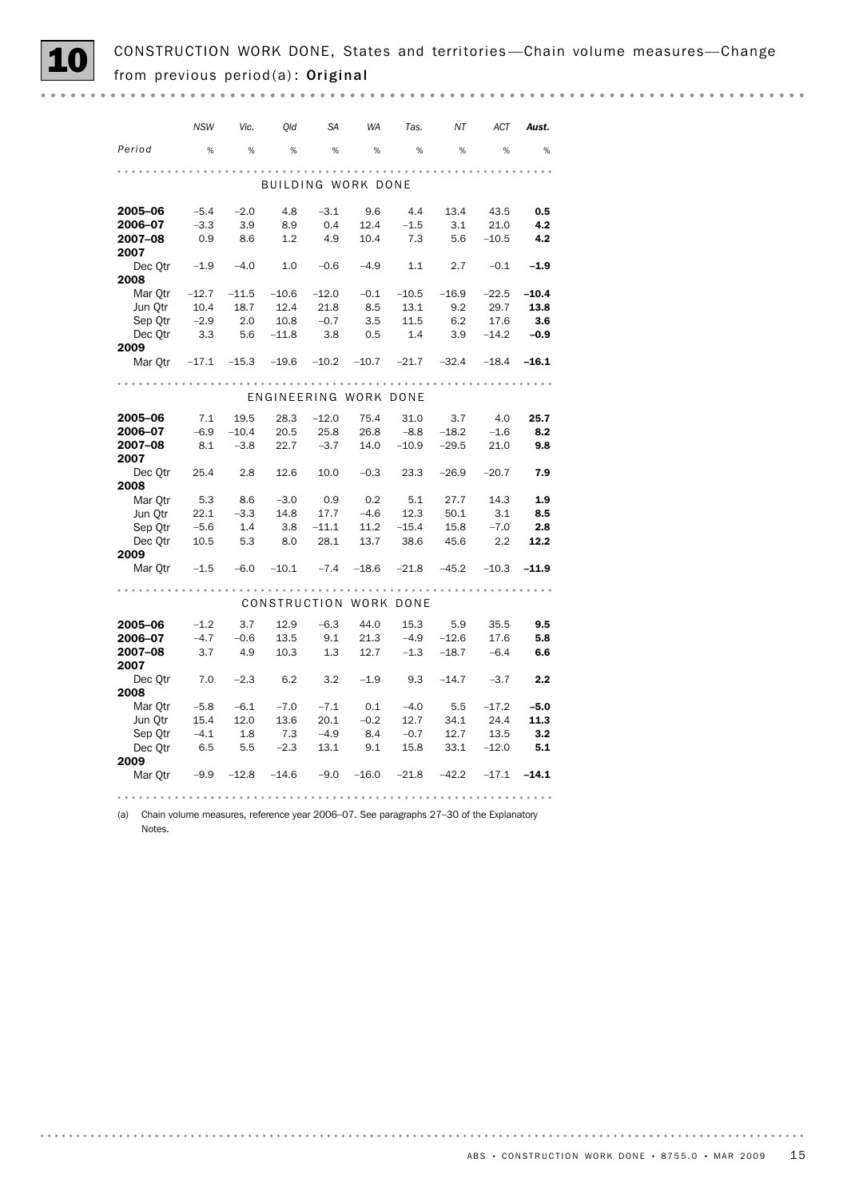CONSTRUCTION WORK DONE, States and territories—Chain volume measures—Change from previous period(a): Original

|                                                   | <b>NSW</b>             | Vic.    | Old                   | <b>SA</b> | <b>WA</b> | Tas.                                 | ΝT          | ACT          | Aust.   |
|---------------------------------------------------|------------------------|---------|-----------------------|-----------|-----------|--------------------------------------|-------------|--------------|---------|
| Period                                            | %                      | %       | %                     | %         | %         | %                                    | %           | %            | %       |
|                                                   |                        |         |                       |           |           |                                      |             |              |         |
|                                                   |                        |         | BUILDING WORK DONE    |           |           |                                      |             |              |         |
| 2005–06                                           | $-5.4$                 | $-2.0$  | 4.8                   | $-3.1$    | 9.6       | 4.4                                  | 13.4        | 43.5         | 0.5     |
| 2006-07                                           | $-3.3$                 | 3.9     | 8.9                   | 0.4       | 12.4      | $-1.5$                               | 3.1         | 21.0         | 4.2     |
| 2007–08                                           | 0.9                    | 8.6     | 1.2                   | 4.9       | 10.4      | 7.3                                  |             | $5.6 - 10.5$ | 4.2     |
| 2007                                              |                        |         |                       |           |           |                                      |             |              |         |
| Dec Qtr $-1.9$                                    |                        | $-4.0$  | 1.0                   | $-0.6$    | $-4.9$    | 1.1                                  | 2.7         | $-0.1$       | $-1.9$  |
| 2008                                              |                        |         |                       |           |           |                                      |             |              |         |
| Mar Otr $-12.7$                                   |                        | $-11.5$ | $-10.6$               | $-12.0$   | $-0.1$    | $-10.5$                              | $-16.9$     | $-22.5$      | $-10.4$ |
| Jun Otr                                           | 10.4                   | 18.7    | 12.4                  | 21.8      | 8.5       | 13.1                                 | 9.2         | 29.7         | 13.8    |
| Sep Qtr                                           | $-2.9$                 | 2.0     | 10.8                  | $-0.7$    | 3.5       | 11.5                                 | 6.2         | 17.6         | 3.6     |
| Dec Qtr 3.3 5.6 -11.8                             |                        |         |                       | 3.8       | 0.5       | 1.4                                  | $3.9 -14.2$ |              | $-0.9$  |
| 2009                                              |                        |         |                       |           |           |                                      |             |              |         |
| Mar Qtr -17.1 -15.3 -19.6 -10.2 -10.7 -21.7 -32.4 |                        |         |                       |           |           |                                      |             | $-18.4$      | $-16.1$ |
|                                                   |                        |         |                       |           |           |                                      |             |              |         |
|                                                   |                        |         | ENGINEERING WORK DONE |           |           |                                      |             |              |         |
| 2005-06                                           | 7.1                    | 19.5    | 28.3                  | $-12.0$   |           | 75.4 31.0 3.7 4.0                    |             |              | 25.7    |
| 2006–07                                           | $-6.9$                 | $-10.4$ | 20.5                  | 25.8      | 26.8      |                                      | -8.8 -18.2  | $-1.6$       | 8.2     |
| 2007-08                                           | 8.1                    | $-3.8$  | 22.7                  | $-3.7$    |           | $14.0 -10.9 -29.5$                   |             | 21.0         | 9.8     |
| 2007                                              |                        |         |                       |           |           |                                      |             |              |         |
| Dec Qtr 25.4 2.8                                  |                        |         | 12.6                  |           |           | $10.0$ $-0.3$ $23.3$ $-26.9$ $-20.7$ |             |              | 7.9     |
| 2008                                              |                        |         |                       |           |           |                                      |             |              |         |
| Mar Qtr 5.3                                       |                        |         | $8.6 -3.0 0.9$        |           | 0.2       | 5.1                                  | 27.7        | 14.3         | 1.9     |
| Jun Otr                                           | 22.1<br>$22.1$<br>-5.6 | $-3.3$  | 14.8                  | 17.7      | $-4.6$    | 12.3                                 | 50.1        | 3.1          | 8.5     |
| Sep Qtr                                           |                        | 1.4     | 3.8                   | $-11.1$   |           | $11.2 -15.4$                         | 15.8        | $-7.0$       | 2.8     |
| Dec Qtr 10.5                                      |                        | 5.3     | 8.0                   | 28.1      | 13.7      | 38.6                                 | 45.6        | 2.2          | 12.2    |
| 2009                                              |                        |         |                       |           |           |                                      |             |              |         |
| Mar Qtr $-1.5$ $-6.0$ $-10.1$                     |                        |         |                       | $-7.4$    | $-18.6$   | $-21.8$ $-45.2$                      |             | $-10.3$      | $-11.9$ |
|                                                   |                        |         |                       |           |           |                                      |             |              |         |
|                                                   |                        |         |                       |           |           | CONSTRUCTION WORK DONE               |             |              |         |
| 2005-06                                           | $-1.2$                 | 3.7     | 12.9                  | $-6.3$    | 44.0      |                                      | 15.3 5.9    | 35.5         | 9.5     |
| 2006-07                                           | $-4.7$                 | $-0.6$  | 13.5                  | 9.1       | 21.3      | $-4.9$                               | $-12.6$     | 17.6         | 5.8     |
| 2007-08<br>2007                                   | 3.7                    | 4.9     | 10.3                  | 1.3       | 12.7      | $-1.3 -18.7$                         |             | $-6.4$       | 6.6     |
| Dec Qtr 7.0                                       |                        | $-2.3$  | 6.2                   | 3.2       | $-1.9$    | 9.3                                  |             | $-14.7 -3.7$ | 2.2     |
| 2008                                              |                        |         |                       |           |           |                                      |             |              |         |
| Mar Otr                                           | $-5.8$                 | $-6.1$  | $-7.0$                | $-7.1$    | 0.1       | $-4.0$                               | 5.5         | $-17.2$      | $-5.0$  |
| Jun Qtr                                           | 15.4                   | 12.0    | 13.6                  | 20.1      | $-0.2$    | 12.7                                 | 34.1        | 24.4         | 11.3    |
| Sep Qtr                                           | $-4.1$                 | 1.8     | 7.3                   | $-4.9$    | 8.4       | $-0.7$                               | 12.7        | 13.5         | 3.2     |
| Dec Qtr                                           | 6.5                    | 5.5     | $-2.3$                | 13.1      | 9.1       | 15.8                                 | 33.1        | $-12.0$      | 5.1     |
| 2009                                              |                        |         |                       |           |           |                                      |             |              |         |
| Mar Qtr                                           | $-9.9$                 | $-12.8$ | $-14.6$               | $-9.0$    | $-16.0$   | $-21.8$                              | $-42.2$     | $-17.1$      | $-14.1$ |

(a) Chain volume measures, reference year 2006–07. See paragraphs 27–30 of the Explanatory Notes.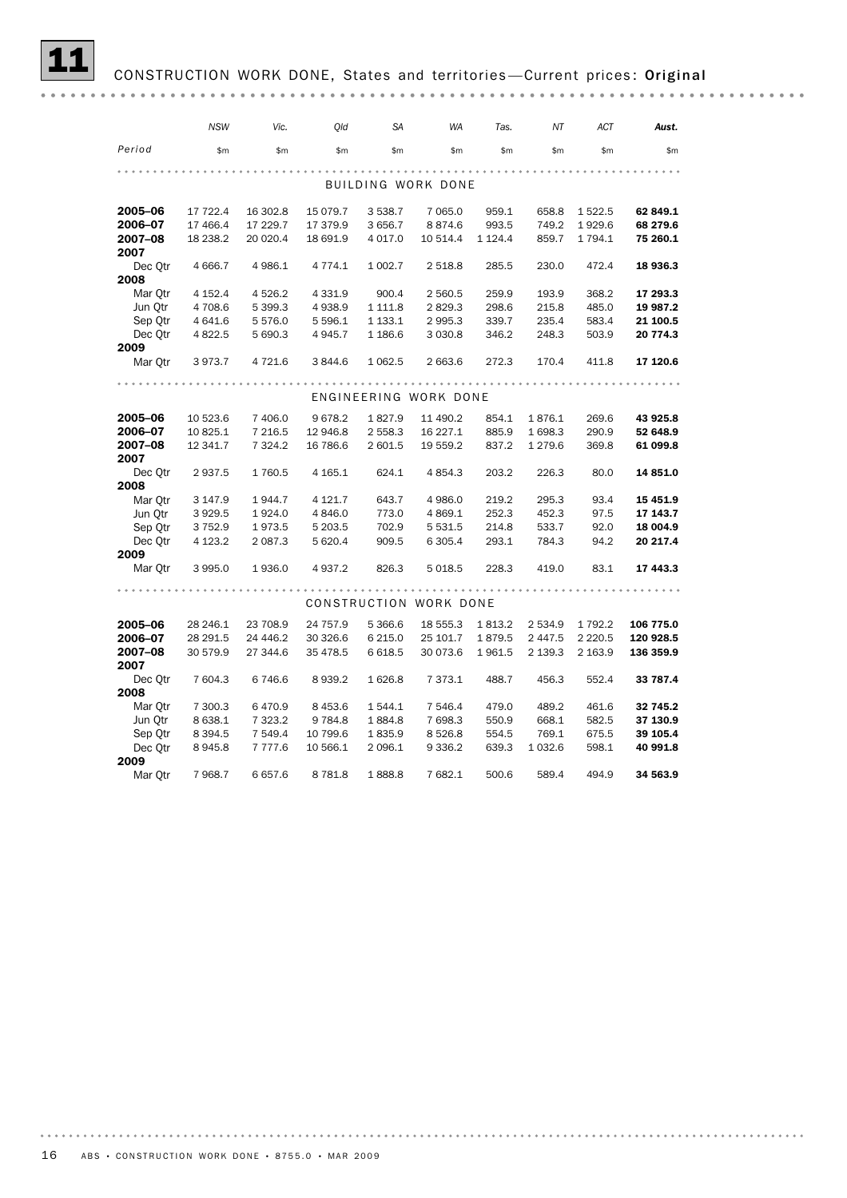# CONSTRUCTION WORK DONE, States and territories-Current prices: Original

|                 | <b>NSW</b> | Vic.        | Old         | <b>SA</b>   | <b>WA</b>              | Tas.        | ΝT         | ACT       | Aust.     |
|-----------------|------------|-------------|-------------|-------------|------------------------|-------------|------------|-----------|-----------|
| Period          | \$m        | \$m\$       | \$m\$       | \$m\$       | \$m\$                  | \$m\$       | \$m\$      | \$m\$     | \$m\$     |
|                 |            |             |             |             |                        |             |            |           |           |
|                 |            |             |             |             | BUILDING WORK DONE     |             |            |           |           |
| 2005-06         | 17 722.4   | 16 302.8    | 15 079.7    | 3 5 3 8.7   | 7 0 6 5 .0             | 959.1       | 658.8      | 1522.5    | 62 849.1  |
| 2006-07         | 17 466.4   | 17 229.7    | 17 379.9    | 3 6 5 6.7   | 8874.6                 | 993.5       | 749.2      | 1929.6    | 68 279.6  |
| 2007-08<br>2007 | 18 238.2   | 20 020.4    | 18 691.9    | 4 0 17.0    | 10 514.4               | 1 1 2 4 . 4 | 859.7      | 1794.1    | 75 260.1  |
| Dec Qtr         | 4 6 66.7   | 4 986.1     | 4 7 7 4 . 1 | 1 002.7     | 2 5 18.8               | 285.5       | 230.0      | 472.4     | 18 936.3  |
| 2008            |            |             |             |             |                        |             |            |           |           |
| Mar Otr         | 4 152.4    | 4 5 26.2    | 4 3 3 1.9   | 900.4       | 2 560.5                | 259.9       | 193.9      | 368.2     | 17 293.3  |
| Jun Qtr         | 4 708.6    | 5 399.3     | 4938.9      | 1 1 1 1 .8  | 2829.3                 | 298.6       | 215.8      | 485.0     | 19 987.2  |
| Sep Qtr         | 4 641.6    | 5 5 7 6.0   | 5 5 9 6.1   | 1 133.1     | 2 9 9 5.3              | 339.7       | 235.4      | 583.4     | 21 100.5  |
| Dec Otr<br>2009 | 4 8 2 2.5  | 5 690.3     | 4945.7      | 1 186.6     | 3 0 3 0.8              | 346.2       | 248.3      | 503.9     | 20 774.3  |
| Mar Otr         | 3973.7     | 4 721.6     | 3844.6      | 1 0 6 2.5   | 2 663.6                | 272.3       | 170.4      | 411.8     | 17 120.6  |
|                 |            |             |             |             |                        |             |            |           |           |
|                 |            |             |             |             | ENGINEERING WORK DONE  |             |            |           |           |
| 2005-06         | 10 523.6   | 7 406.0     | 9678.2      | 1827.9      | 11 490.2               | 854.1       | 1876.1     | 269.6     | 43 925.8  |
| 2006-07         | 10 825.1   | 7 2 1 6.5   | 12 946.8    | 2 558.3     | 16 227.1               | 885.9       | 1 698.3    | 290.9     | 52 648.9  |
| 2007-08<br>2007 | 12 341.7   | 7 3 2 4 . 2 | 16 786.6    | 2 601.5     | 19 559.2               | 837.2       | 1 2 7 9.6  | 369.8     | 61 099.8  |
| Dec Qtr<br>2008 | 2937.5     | 1760.5      | 4 1 65.1    | 624.1       | 4 8 5 4 . 3            | 203.2       | 226.3      | 80.0      | 14 851.0  |
| Mar Qtr         | 3 147.9    | 1944.7      | 4 1 2 1.7   | 643.7       | 4 986.0                | 219.2       | 295.3      | 93.4      | 15 451.9  |
| Jun Otr         | 3 9 29.5   | 1924.0      | 4 8 4 6.0   | 773.0       | 4 8 6 9.1              | 252.3       | 452.3      | 97.5      | 17 143.7  |
| Sep Qtr         | 3 7 5 2.9  | 1973.5      | 5 203.5     | 702.9       | 5 5 3 1.5              | 214.8       | 533.7      | 92.0      | 18 004.9  |
| Dec Otr         | 4 1 23.2   | 2 0 8 7 . 3 | 5 6 20.4    | 909.5       | 6 3 0 5.4              | 293.1       | 784.3      | 94.2      | 20 217.4  |
| 2009            |            |             |             |             |                        |             |            |           |           |
| Mar Otr         | 3 9 9 5.0  | 1936.0      | 4937.2      | 826.3       | 5 0 18.5               | 228.3       | 419.0      | 83.1      | 17 443.3  |
|                 |            |             |             |             | CONSTRUCTION WORK DONE |             |            |           |           |
|                 |            |             |             |             |                        |             |            |           |           |
| 2005-06         | 28 246.1   | 23 708.9    | 24 757.9    | 5 3 6 6.6   | 18 555.3               | 1813.2      | 2 534.9    | 1 792.2   | 106 775.0 |
| 2006-07         | 28 29 1.5  | 24 44 6.2   | 30 326.6    | 6 2 1 5 . 0 | 25 101.7               | 1879.5      | 2 4 4 7 .5 | 2 2 2 0.5 | 120 928.5 |
| 2007-08<br>2007 | 30 579.9   | 27 344.6    | 35 478.5    | 6618.5      | 30 073.6               | 1961.5      | 2 139.3    | 2 163.9   | 136 359.9 |
| Dec Qtr<br>2008 | 7 604.3    | 6 746.6     | 8939.2      | 1626.8      | 7 373.1                | 488.7       | 456.3      | 552.4     | 33 787.4  |
| Mar Qtr         | 7 300.3    | 6470.9      | 8 4 5 3.6   | 1544.1      | 7 546.4                | 479.0       | 489.2      | 461.6     | 32 745.2  |
| Jun Qtr         | 8 638.1    | 7 3 2 3.2   | 9784.8      | 1884.8      | 7 698.3                | 550.9       | 668.1      | 582.5     | 37 130.9  |
| Sep Qtr         | 8 3 9 4.5  | 7 549.4     | 10 799.6    | 1835.9      | 8526.8                 | 554.5       | 769.1      | 675.5     | 39 105.4  |
| Dec Qtr         | 8945.8     | 7 7 7 7 .6  | 10 566.1    | 2 096.1     | 9 3 3 6.2              | 639.3       | 1 0 3 2.6  | 598.1     | 40 991.8  |
| 2009            |            |             |             |             |                        |             |            |           |           |
| Mar Otr         | 7 9 68.7   | 6657.6      | 8781.8      | 1888.8      | 7682.1                 | 500.6       | 589.4      | 494.9     | 34 563.9  |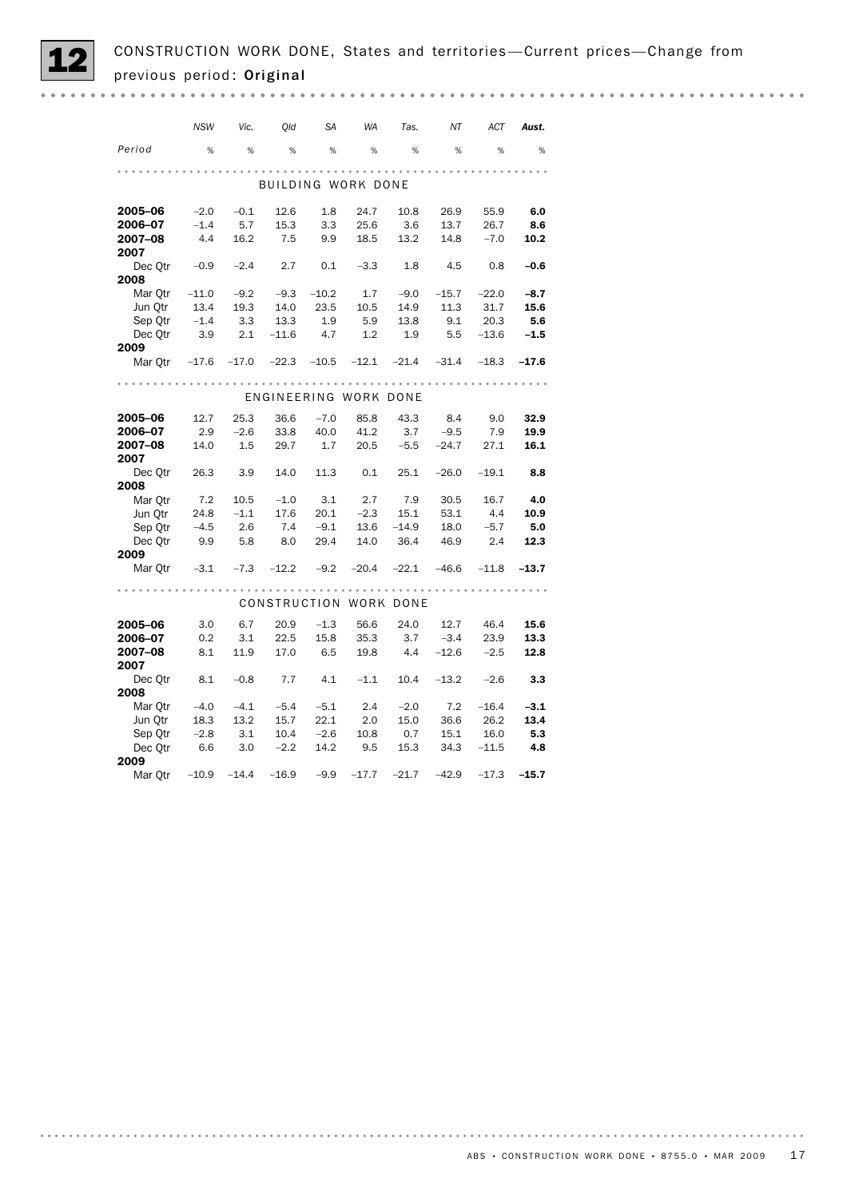| <b>NSW</b><br>Old<br>SA<br><b>WA</b><br>NΤ<br><b>ACT</b><br>Vic.<br>Tas.<br>Aust.<br>Period<br>%<br>%<br>%<br>%<br>%<br>%<br>%<br>%<br>%<br>BUILDING WORK DONE |
|----------------------------------------------------------------------------------------------------------------------------------------------------------------|
|                                                                                                                                                                |
|                                                                                                                                                                |
|                                                                                                                                                                |
|                                                                                                                                                                |
| 2005-06<br>$-2.0$<br>1.8<br>24.7<br>$-0.1$<br>12.6<br>10.8<br>26.9<br>55.9<br>6.0                                                                              |
| $-1.4$<br>5.7<br>2006-07<br>15.3<br>3.3<br>25.6<br>3.6<br>13.7<br>26.7<br>8.6                                                                                  |
| 4.4<br>2007-08<br>16.2<br>7.5<br>9.9<br>13.2<br>18.5<br>14.8<br>$-7.0$<br>10.2                                                                                 |
| 2007                                                                                                                                                           |
| $-0.9$<br>2.7<br>4.5<br>0.8<br>Dec Otr<br>$-2.4$<br>0.1<br>$-3.3$<br>1.8<br>$-0.6$                                                                             |
| 2008                                                                                                                                                           |
| $-11.0$<br>$-9.3$<br>$-10.2$<br>1.7<br>$-15.7$<br>$-22.0$<br>Mar Otr<br>$-9.2$<br>$-9.0$<br>$-8.7$                                                             |
| 11.3<br>Jun Qtr<br>13.4<br>19.3<br>14.0<br>23.5<br>10.5<br>14.9<br>31.7<br>15.6                                                                                |
| $-1.4$<br>1.9<br>Sep Qtr<br>3.3<br>13.3<br>5.9<br>13.8<br>9.1<br>20.3<br>5.6                                                                                   |
| Dec Qtr 3.9<br>2.1<br>$-11.6$ 4.7<br>5.5<br>1.2<br>1.9<br>$-13.6$<br>$-1.5$                                                                                    |
| 2009                                                                                                                                                           |
| Mar Qtr $-17.6$ $-17.0$ $-22.3$ $-10.5$ $-12.1$ $-21.4$ $-31.4$<br>$-17.6$<br>$-18.3$                                                                          |
|                                                                                                                                                                |
| ENGINEERING WORK DONE                                                                                                                                          |
| 2005-06<br>12.7<br>25.3<br>$-7.0$<br>85.8<br>43.3<br>8.4<br>9.0<br>32.9<br>36.6                                                                                |
| 2.9<br>$-2.6$<br>40.0<br>41.2<br>$3.7 -9.5$<br>7.9<br>2006–07<br>33.8<br>19.9                                                                                  |
| 2007-08<br>14.0<br>1.5<br>29.7<br>1.7<br>$20.5 -5.5 -24.7$ 27.1<br>16.1                                                                                        |
| 2007                                                                                                                                                           |
| 26.3<br>3.9<br>14.0<br>11.3 0.1<br>Dec Otr<br>$25.1 -26.0 -19.1$<br>8.8                                                                                        |
| 2008                                                                                                                                                           |
| 7.2<br>2.7<br>Mar Qtr<br>10.5<br>$-1.0$<br>3.1<br>7.9<br>30.5<br>16.7<br>4.0                                                                                   |
| 24.8<br>$-1.1$<br>17.6<br>$-2.3$<br>53.1<br>4.4<br>Jun Qtr<br>20.1<br>15.1<br>10.9                                                                             |
| Sep Qtr<br>$-4.5$<br>2.6<br>7.4<br>$-9.1$<br>13.6<br>$-14.9$<br>18.0<br>$-5.7$<br>- 5.0                                                                        |
| Dec Qtr 9.9<br>36.4<br>2.4<br>5.8<br>8.0<br>29.4<br>14.0<br>46.9<br>12.3                                                                                       |
| 2009<br>$-3.1$<br>$-7.3$<br>$-12.2$<br>$-20.4$<br>$-46.6$<br>Mar Qtr<br>$-9.2$<br>$-22.1$<br>$-11.8$<br>$-13.7$                                                |
|                                                                                                                                                                |
|                                                                                                                                                                |
| CONSTRUCTION WORK DONE                                                                                                                                         |
| 3.0<br>24.0<br>2005-06<br>6.7<br>20.9<br>$-1.3$<br>56.6<br>12.7<br>46.4<br>15.6                                                                                |
| 2006-07<br>3.1<br>3.7<br>$-3.4$<br>0.2<br>22.5<br>15.8<br>35.3<br>23.9<br>13.3                                                                                 |
| 2007-08<br>8.1<br>11.9<br>17.0<br>6.5<br>19.8<br>4.4<br>$-12.6$<br>$-2.5$<br>12.8                                                                              |
| 2007                                                                                                                                                           |
| Dec Qtr 8.1<br>$-0.8$<br>7.7<br>4.1<br>$-1.1$<br>10.4<br>$-13.2$<br>$-2.6$<br>3.3                                                                              |
| 2008                                                                                                                                                           |
| 2.4<br>7.2<br>Mar Qtr<br>$-4.0$<br>$-4.1$<br>$-5.4$<br>$-5.1$<br>$-2.0$<br>$-16.4$<br>$-3.1$                                                                   |
| Jun Qtr<br>18.3<br>13.2<br>15.7<br>22.1<br>2.0<br>15.0<br>36.6<br>26.2<br>13.4                                                                                 |
| Sep Qtr<br>$-2.8$<br>16.0<br>5.3<br>3.1<br>10.4<br>$-2.6$<br>10.8<br>0.7<br>15.1<br>Dec Otr                                                                    |
| 6.6<br>3.0<br>$-2.2$<br>14.2<br>9.5<br>15.3<br>34.3<br>$-11.5$<br>4.8<br>2009                                                                                  |
| Mar Otr<br>$-10.9$<br>$-14.4$<br>$-16.9$<br>$-9.9$<br>$-17.7$<br>$-21.7$<br>$-42.9$<br>$-17.3$<br>$-15.7$                                                      |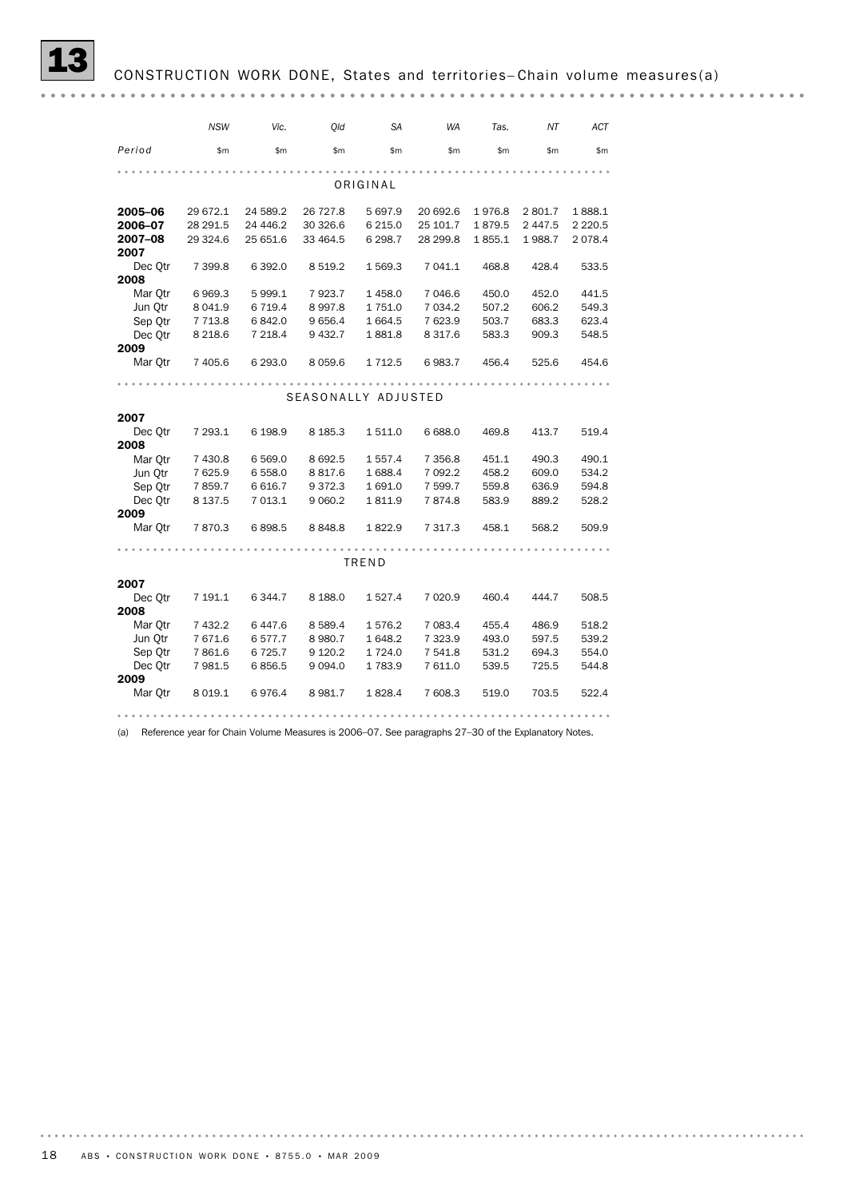|         | <b>NSW</b> | Vic.      | Old                 | <b>SA</b>   | <b>WA</b>   | Tas.   | ΝT      | <b>ACT</b> |
|---------|------------|-----------|---------------------|-------------|-------------|--------|---------|------------|
| Period  | \$m\$      | \$m\$     | \$m                 | \$m\$       | \$m\$       | \$m\$  | \$m\$   | \$m\$      |
|         |            |           |                     |             |             |        |         |            |
|         |            |           |                     | ORIGINAL    |             |        |         |            |
| 2005-06 | 29 672.1   | 24 589.2  | 26 727.8            | 5 697.9     | 20 692.6    | 1976.8 | 2 801.7 | 1888.1     |
| 2006-07 | 28 29 1.5  | 24 446.2  | 30 326.6            | 6 2 1 5 .0  | 25 101.7    | 1879.5 | 2 447.5 | 2 2 2 0.5  |
| 2007-08 | 29 324.6   | 25 651.6  | 33 464.5            | 6 2 9 8.7   | 28 299.8    | 1855.1 | 1988.7  | 2078.4     |
| 2007    |            |           |                     |             |             |        |         |            |
| Dec Otr | 7 399.8    | 6 3 9 2.0 | 8 5 1 9.2           | 1 569.3     | 7 041.1     | 468.8  | 428.4   | 533.5      |
| 2008    |            |           |                     |             |             |        |         |            |
| Mar Qtr | 6969.3     | 5 9 9 9.1 | 7923.7              | 1458.0      | 7 046.6     | 450.0  | 452.0   | 441.5      |
| Jun Otr | 8 0 4 1.9  | 6 7 1 9.4 | 8997.8              | 1751.0      | 7 0 3 4.2   | 507.2  | 606.2   | 549.3      |
| Sep Qtr | 7 7 1 3.8  | 6842.0    | 9 6 5 6.4           | 1 6 6 4.5   | 7 623.9     | 503.7  | 683.3   | 623.4      |
| Dec Otr | 8 2 18.6   | 7 218.4   | 9432.7              | 1881.8      | 8 3 1 7.6   | 583.3  | 909.3   | 548.5      |
| 2009    |            |           |                     |             |             |        |         |            |
| Mar Qtr | 7 405.6    | 6 293.0   | 8 0 5 9.6           | 1 7 1 2.5   | 6983.7      | 456.4  | 525.6   | 454.6      |
|         |            |           |                     |             |             |        |         |            |
|         |            |           | SEASONALLY ADJUSTED |             |             |        |         |            |
| 2007    |            |           |                     |             |             |        |         |            |
| Dec Qtr | 7 293.1    | 6 198.9   | 8 1 8 5 . 3         | 1 511.0     | 6 6 8 8.0   | 469.8  | 413.7   | 519.4      |
| 2008    |            |           |                     |             |             |        |         |            |
| Mar Otr | 7 430.8    | 6 5 69.0  | 8692.5              | 1 5 5 7 . 4 | 7 3 5 6.8   | 451.1  | 490.3   | 490.1      |
| Jun Qtr | 7 625.9    | 6 558.0   | 8817.6              | 1 688.4     | 7 092.2     | 458.2  | 609.0   | 534.2      |
| Sep Otr | 7859.7     | 6 6 16.7  | 9372.3              | 1691.0      | 7 599.7     | 559.8  | 636.9   | 594.8      |
| Dec Otr | 8 137.5    | 7 013.1   | 9 0 6 0.2           | 1811.9      | 7874.8      | 583.9  | 889.2   | 528.2      |
| 2009    |            |           |                     |             |             |        |         |            |
| Mar Qtr | 7870.3     | 6898.5    | 8848.8              | 1822.9      | 7 3 1 7 .3  | 458.1  | 568.2   | 509.9      |
|         |            |           |                     |             |             |        |         |            |
|         |            |           |                     | TREND       |             |        |         |            |
| 2007    |            |           |                     |             |             |        |         |            |
| Dec Otr | 7 191.1    | 6 344.7   | 8 1 8 8 .0          | 1527.4      | 7 0 2 0.9   | 460.4  | 444.7   | 508.5      |
| 2008    |            |           |                     |             |             |        |         |            |
| Mar Otr | 7 432.2    | 6447.6    | 8 5 8 9.4           | 1576.2      | 7 083.4     | 455.4  | 486.9   | 518.2      |
| Jun Otr | 7671.6     | 6 577.7   | 8 9 8 0.7           | 1648.2      | 7 3 2 3 . 9 | 493.0  | 597.5   | 539.2      |
| Sep Qtr | 7861.6     | 6 7 2 5.7 | 9 1 2 0.2           | 1724.0      | 7 541.8     | 531.2  | 694.3   | 554.0      |
| Dec Otr | 7981.5     | 6856.5    | 9 0 9 4.0           | 1783.9      | 7 611.0     | 539.5  | 725.5   | 544.8      |
| 2009    |            |           |                     |             |             |        |         |            |
| Mar Otr | 8 0 19.1   | 6976.4    | 8981.7              | 1828.4      | 7 608.3     | 519.0  | 703.5   | 522.4      |
|         |            |           |                     |             |             |        |         |            |

(a) Reference year for Chain Volume Measures is 2006–07. See paragraphs 27–30 of the Explanatory Notes.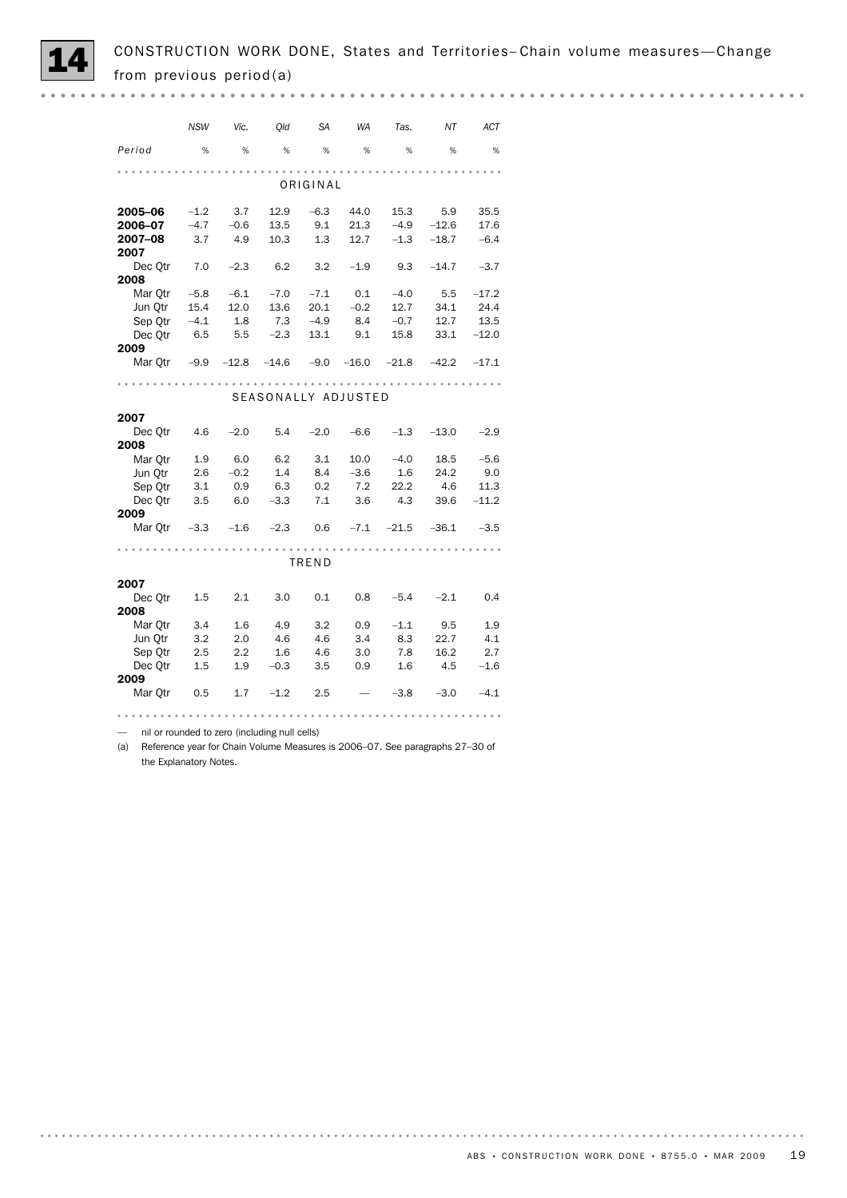

|         | <b>NSW</b> | Vic.    | Old                 | <b>SA</b> | <b>WA</b> | Tas.    | NΤ      | ACT     |
|---------|------------|---------|---------------------|-----------|-----------|---------|---------|---------|
| Period  | %          | %       | %                   | %         | %         | %       | %       | %       |
|         |            |         |                     |           |           |         |         |         |
|         |            |         |                     | ORIGINAL  |           |         |         |         |
| 2005-06 | $-1.2$     | 3.7     | 12.9                | $-6.3$    | 44.0      | 15.3    | 5.9     | 35.5    |
| 2006–07 | $-4.7$     | $-0.6$  | 13.5                | 9.1       | 21.3      | $-4.9$  | $-12.6$ | 17.6    |
| 2007-08 | 3.7        | 4.9     | 10.3                | 1.3       | 12.7      | $-1.3$  | $-18.7$ | $-6.4$  |
| 2007    |            |         |                     |           |           |         |         |         |
| Dec Qtr | 7.0        | $-2.3$  | 6.2                 | 3.2       | $-1.9$    | 9.3     | $-14.7$ | $-3.7$  |
| 2008    |            |         |                     |           |           |         |         |         |
| Mar Otr | $-5.8$     | $-6.1$  | $-7.0$              | $-7.1$    | 0.1       | $-4.0$  | 5.5     | $-17.2$ |
| Jun Otr | 15.4       | 12.0    | 13.6                | 20.1      | $-0.2$    | 12.7    | 34.1    | 24.4    |
| Sep Qtr | $-4.1$     | 1.8     | 7.3                 | $-4.9$    | 8.4       | $-0.7$  | 12.7    | 13.5    |
| Dec Otr | 6.5        |         | $-2.3$              |           | 9.1       |         |         | $-12.0$ |
|         |            | 5.5     |                     | 13.1      |           | 15.8    | 33.1    |         |
| 2009    |            |         |                     |           |           |         |         |         |
| Mar Otr | $-9.9$     | $-12.8$ | -14.6               | $-9.0$    | $-16.0$   | -21.8   | $-42.2$ | $-17.1$ |
|         |            |         |                     |           |           |         |         |         |
|         |            |         | SEASONALLY ADJUSTED |           |           |         |         |         |
| 2007    |            |         |                     |           |           |         |         |         |
| Dec Otr | 4.6        | $-2.0$  | 5.4                 | $-2.0$    | $-6.6$    | $-1.3$  | $-13.0$ | $-2.9$  |
| 2008    |            |         |                     |           |           |         |         |         |
| Mar Otr | 1.9        | 6.0     | 6.2                 | 3.1       | 10.0      | $-4.0$  | 18.5    | $-5.6$  |
| Jun Otr | 2.6        | $-0.2$  | 1.4                 | 8.4       | $-3.6$    | 1.6     | 24.2    | 9.0     |
| Sep Otr | 3.1        | 0.9     | 6.3                 | 0.2       | 7.2       | 22.2    | 4.6     | 11.3    |
| Dec Otr | 3.5        | 6.0     | $-3.3$              | 7.1       | 3.6       | 4.3     | 39.6    | $-11.2$ |
| 2009    |            |         |                     |           |           |         |         |         |
| Mar Otr | $-3.3$     | $-1.6$  | $-2.3$              | 0.6       | $-7.1$    | $-21.5$ | $-36.1$ | $-3.5$  |
|         |            |         |                     |           |           |         |         |         |
|         |            |         |                     | TREND     |           |         |         |         |
| 2007    |            |         |                     |           |           |         |         |         |
| Dec Otr | 1.5        | 2.1     | 3.0                 | 0.1       | 0.8       | $-5.4$  | $-2.1$  | 0.4     |
| 2008    |            |         |                     |           |           |         |         |         |
| Mar Otr | 3.4        | 1.6     | 4.9                 | 3.2       | 0.9       | $-1.1$  | 9.5     | 1.9     |
| Jun Otr | 3.2        | 2.0     | 4.6                 | 4.6       | 3.4       | 8.3     | 22.7    | 4.1     |
| Sep Qtr | 2.5        | 2.2     | 1.6                 | 4.6       | 3.0       | 7.8     | 16.2    | 2.7     |
| Dec Otr | 1.5        | 1.9     | $-0.3$              | 3.5       | 0.9       | 1.6     | 4.5     | $-1.6$  |
| 2009    |            |         |                     |           |           |         |         |         |
| Mar Qtr | 0.5        | 1.7     | $-1.2$              | 2.5       |           | $-3.8$  | $-3.0$  | $-4.1$  |
|         |            |         |                     |           |           |         |         |         |
|         |            |         |                     |           |           |         |         |         |

— nil or rounded to zero (including null cells)

(a) Reference year for Chain Volume Measures is 2006–07. See paragraphs 27–30 of the Explanatory Notes.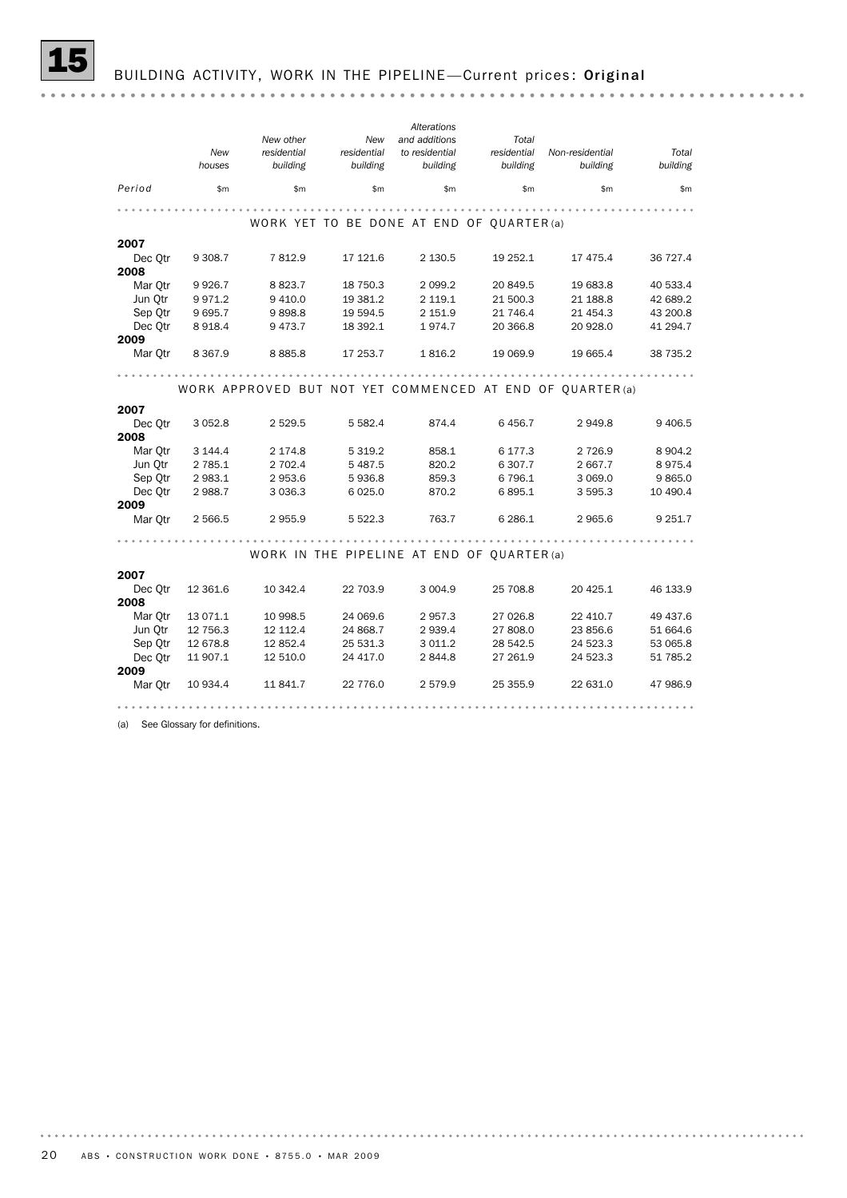|                    | New<br>houses      | New other<br>residential<br>building | New<br>residential<br>building | Alterations<br>and additions<br>to residential<br>building | Total<br>residential<br>building | Non-residential<br>building                               | Total<br>building |
|--------------------|--------------------|--------------------------------------|--------------------------------|------------------------------------------------------------|----------------------------------|-----------------------------------------------------------|-------------------|
| Period             | \$m\$              | \$m\$                                | \$m\$                          | \$m\$                                                      | \$m\$                            | \$m\$                                                     | \$m               |
|                    |                    |                                      |                                |                                                            |                                  |                                                           |                   |
|                    |                    |                                      |                                | WORK YET TO BE DONE AT END OF QUARTER (a)                  |                                  |                                                           |                   |
| 2007               |                    |                                      |                                |                                                            |                                  |                                                           |                   |
| Dec Qtr            | 9 3 0 8.7          | 7812.9                               | 17 121.6                       | 2 130.5                                                    | 19 252.1                         | 17 475.4                                                  | 36 727.4          |
| 2008               |                    |                                      |                                |                                                            |                                  |                                                           |                   |
| Mar Otr            | 9 9 2 6.7          | 8823.7                               | 18 750.3                       | 2 0 9 9.2                                                  | 20 849.5                         | 19 683.8                                                  | 40 533.4          |
| Jun Qtr            | 9 9 7 1.2          | 9 4 1 0.0                            | 19 381.2                       | 2 119.1                                                    | 21 500.3                         | 21 188.8                                                  | 42 689.2          |
| Sep Otr            | 9 6 9 5.7          | 9898.8                               | 19 594.5                       | 2 151.9                                                    | 21 746.4                         | 21 454.3                                                  | 43 200.8          |
| Dec Otr            | 8 9 18.4           | 9473.7                               | 18 392.1                       | 1974.7                                                     | 20 366.8                         | 20 928.0                                                  | 41 294.7          |
| 2009               |                    |                                      |                                |                                                            |                                  |                                                           |                   |
| Mar Qtr            | 8 3 6 7 . 9        | 8885.8                               | 17 253.7                       | 1816.2                                                     | 19 069.9                         | 19 665.4                                                  | 38 735.2          |
|                    |                    |                                      |                                |                                                            |                                  |                                                           |                   |
|                    |                    |                                      |                                |                                                            |                                  | WORK APPROVED BUT NOT YET COMMENCED AT END OF OUARTER (a) |                   |
|                    |                    |                                      |                                |                                                            |                                  |                                                           |                   |
| 2007               |                    |                                      |                                |                                                            |                                  |                                                           |                   |
| Dec Otr            | 3 0 5 2.8          | 2 5 2 9.5                            | 5 5 8 2.4                      | 874.4                                                      | 6456.7                           | 2949.8                                                    | 9 4 0 6.5         |
| 2008               |                    |                                      |                                |                                                            |                                  |                                                           |                   |
| Mar Otr<br>Jun Otr | 3 144.4            | 2 174.8                              | 5 3 1 9.2                      | 858.1                                                      | 6 177.3                          | 2 7 2 6.9                                                 | 8 9 0 4.2         |
| Sep Otr            | 2 785.1<br>2 983.1 | 2 702.4<br>2953.6                    | 5 4 8 7.5<br>5936.8            | 820.2<br>859.3                                             | 6 307.7<br>6 7 9 6.1             | 2 667.7<br>3 0 69.0                                       | 8975.4<br>9865.0  |
| Dec Otr            | 2 988.7            | 3 0 3 6 . 3                          | 6 0 25.0                       | 870.2                                                      | 6895.1                           | 3 595.3                                                   | 10 490.4          |
| 2009               |                    |                                      |                                |                                                            |                                  |                                                           |                   |
| Mar Otr            | 2 5 6 6.5          | 2955.9                               | 5 5 2 2.3                      | 763.7                                                      | 6 2 8 6.1                        | 2 9 6 5.6                                                 | 9 2 5 1.7         |
|                    |                    |                                      |                                |                                                            |                                  |                                                           |                   |
|                    |                    |                                      |                                | WORK IN THE PIPELINE AT END OF QUARTER (a)                 |                                  |                                                           |                   |
| 2007               |                    |                                      |                                |                                                            |                                  |                                                           |                   |
| Dec Otr            | 12 361.6           | 10 342.4                             | 22 703.9                       | 3 0 0 4.9                                                  | 25 708.8                         | 20 4 25.1                                                 | 46 133.9          |
| 2008               |                    |                                      |                                |                                                            |                                  |                                                           |                   |
| Mar Otr            | 13 071.1           | 10 998.5                             | 24 069.6                       | 2957.3                                                     | 27 026.8                         | 22 410.7                                                  | 49 437.6          |
| Jun Otr            | 12 756.3           | 12 112.4                             | 24 868.7                       | 2939.4                                                     | 27 808.0                         | 23 856.6                                                  | 51 664.6          |
| Sep Otr            | 12 678.8           | 12 852.4                             | 25 531.3                       | 3 0 1 1.2                                                  | 28 542.5                         | 24 523.3                                                  | 53 065.8          |
| Dec Otr            | 11 907.1           | 12 510.0                             | 24 417.0                       | 2844.8                                                     | 27 261.9                         | 24 523.3                                                  | 51 785.2          |
| 2009               |                    |                                      |                                |                                                            |                                  |                                                           |                   |
| Mar Otr            | 10 934.4           | 11 841.7                             | 22 776.0                       | 2579.9                                                     | 25 355.9                         | 22 631.0                                                  | 47 986.9          |
|                    |                    |                                      |                                |                                                            |                                  |                                                           |                   |

(a) See Glossary for definitions.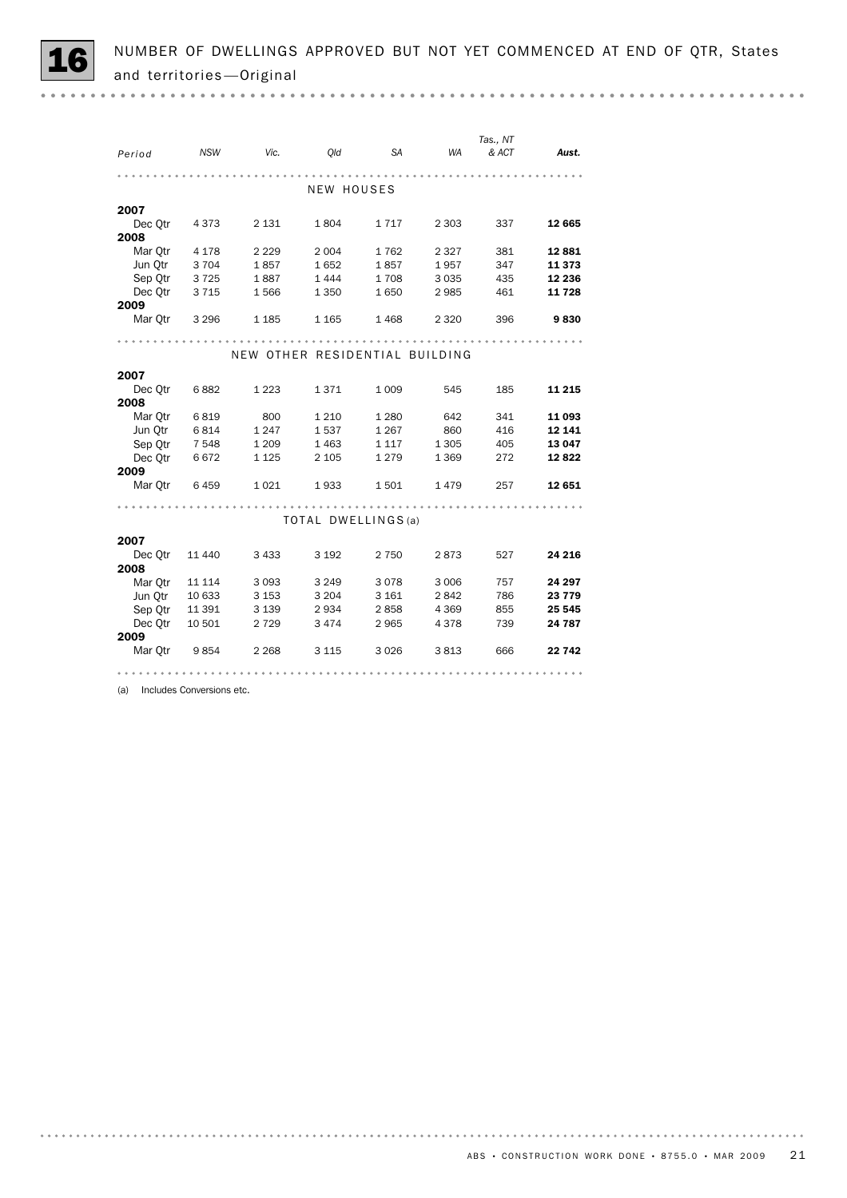| Period          | NSW     | Vic.    | <i>Old</i>                     | SA WA   |         | Tas., NT<br>& ACT | Aust.   |
|-----------------|---------|---------|--------------------------------|---------|---------|-------------------|---------|
|                 |         |         |                                |         |         |                   |         |
|                 |         |         |                                |         |         |                   |         |
|                 |         |         | NEW HOUSES                     |         |         |                   |         |
| 2007            |         |         |                                |         |         |                   |         |
| Dec Otr         | 4 3 7 3 | 2 1 3 1 | 1804                           | 1717    | 2 3 0 3 | 337               | 12 665  |
| 2008            |         |         |                                |         |         |                   |         |
| Mar Otr         | 4 1 7 8 | 2 2 2 9 | 2 0 0 4                        | 1762    | 2 3 2 7 | 381               | 12881   |
| Jun Otr         | 3 704   | 1857    | 1652                           | 1857    | 1957    | 347               | 11 373  |
| Sep Otr         | 3 7 2 5 | 1887    | 1444                           | 1708    | 3 0 3 5 | 435               | 12 236  |
| Dec Otr         | 3 7 1 5 | 1566    | 1 3 5 0                        | 1650    | 2985    | 461               | 11728   |
| 2009            |         |         |                                |         |         |                   |         |
| Mar Qtr         | 3 2 9 6 | 1 1 8 5 | 1 1 6 5                        | 1468    | 2 3 2 0 | 396               | 9830    |
|                 |         |         |                                |         |         |                   |         |
|                 |         |         | NEW OTHER RESIDENTIAL BUILDING |         |         |                   |         |
|                 |         |         |                                |         |         |                   |         |
| 2007            |         |         |                                |         |         |                   |         |
| Dec Otr<br>2008 | 6882    | 1 2 2 3 | 1371                           | 1 0 0 9 | 545     | 185               | 11 215  |
| Mar Otr         | 6819    | 800     | 1 2 1 0                        | 1 2 8 0 | 642     | 341               | 11 093  |
| Jun Qtr         | 6814    | 1 2 4 7 | 1537                           | 1 2 6 7 | 860     | 416               | 12 14 1 |
| Sep Otr         | 7 5 4 8 | 1 2 0 9 | 1 4 6 3                        | 1 1 1 7 | 1 3 0 5 | 405               | 13 047  |
| Dec Otr         | 6672    | 1 1 2 5 | 2 1 0 5                        | 1 2 7 9 | 1 3 6 9 | 272               | 12822   |
| 2009            |         |         |                                |         |         |                   |         |
| Mar Qtr         | 6459    | 1 0 2 1 | 1933                           | 1501    | 1479    | 257               | 12 651  |
|                 |         |         |                                |         |         |                   |         |
|                 |         |         | TOTAL DWELLINGS (a)            |         |         |                   |         |
|                 |         |         |                                |         |         |                   |         |
| 2007            |         |         |                                |         |         |                   |         |
| Dec Otr         | 11 440  | 3 4 3 3 | 3 1 9 2                        | 2 750   | 2873    | 527               | 24 216  |
| 2008            |         |         |                                |         |         |                   |         |
| Mar Qtr         | 11 114  | 3 0 9 3 | 3 2 4 9                        | 3078    | 3 0 0 6 | 757               | 24 297  |
| Jun Otr         | 10 633  | 3 1 5 3 | 3 2 0 4                        | 3 1 6 1 | 2842    | 786               | 23 779  |
| Sep Otr         | 11 391  | 3 1 3 9 | 2934                           | 2858    | 4 3 6 9 | 855               | 25 545  |
| Dec Otr         | 10 501  | 2 7 2 9 | 3474                           | 2 9 6 5 | 4 3 7 8 | 739               | 24 787  |
| 2009            |         |         |                                |         |         |                   |         |
| Mar Qtr         | 9 854   | 2 2 6 8 | 3 1 1 5                        | 3 0 2 6 | 3813    | 666               | 22 742  |
|                 |         |         |                                |         |         |                   |         |

(a) Includes Conversions etc.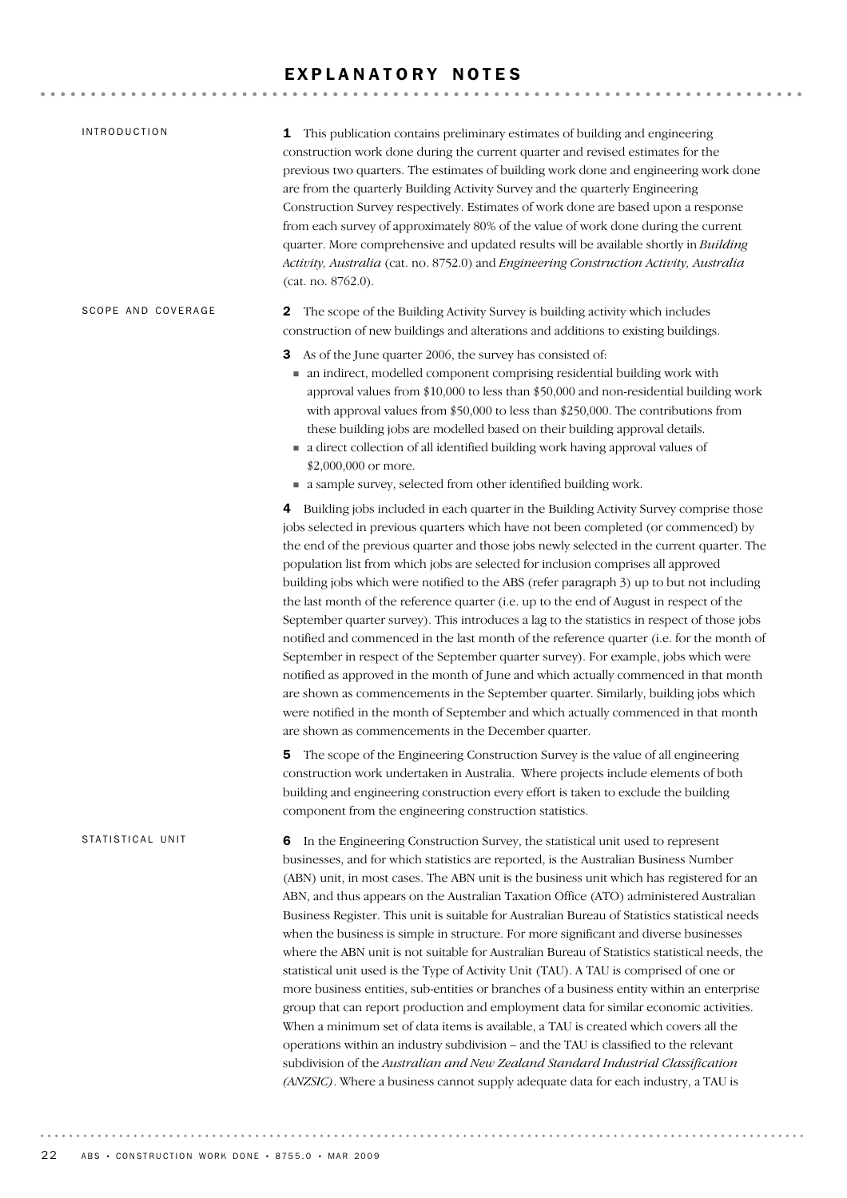# EXPLANATORY NOTES

| <b>INTRODUCTION</b> | <b>1</b> This publication contains preliminary estimates of building and engineering<br>construction work done during the current quarter and revised estimates for the<br>previous two quarters. The estimates of building work done and engineering work done<br>are from the quarterly Building Activity Survey and the quarterly Engineering<br>Construction Survey respectively. Estimates of work done are based upon a response<br>from each survey of approximately 80% of the value of work done during the current<br>quarter. More comprehensive and updated results will be available shortly in Building<br>Activity, Australia (cat. no. 8752.0) and Engineering Construction Activity, Australia<br>(cat. no. 8762.0).                                                                                                                                                                                                                                                                                                                                                                                                                                                                                                                                                                    |
|---------------------|----------------------------------------------------------------------------------------------------------------------------------------------------------------------------------------------------------------------------------------------------------------------------------------------------------------------------------------------------------------------------------------------------------------------------------------------------------------------------------------------------------------------------------------------------------------------------------------------------------------------------------------------------------------------------------------------------------------------------------------------------------------------------------------------------------------------------------------------------------------------------------------------------------------------------------------------------------------------------------------------------------------------------------------------------------------------------------------------------------------------------------------------------------------------------------------------------------------------------------------------------------------------------------------------------------|
| SCOPE AND COVERAGE  | The scope of the Building Activity Survey is building activity which includes<br>2<br>construction of new buildings and alterations and additions to existing buildings.                                                                                                                                                                                                                                                                                                                                                                                                                                                                                                                                                                                                                                                                                                                                                                                                                                                                                                                                                                                                                                                                                                                                 |
|                     | 3 As of the June quarter 2006, the survey has consisted of:<br>• an indirect, modelled component comprising residential building work with<br>approval values from \$10,000 to less than \$50,000 and non-residential building work<br>with approval values from \$50,000 to less than \$250,000. The contributions from<br>these building jobs are modelled based on their building approval details.<br>a direct collection of all identified building work having approval values of<br>\$2,000,000 or more.                                                                                                                                                                                                                                                                                                                                                                                                                                                                                                                                                                                                                                                                                                                                                                                          |
|                     | a sample survey, selected from other identified building work.                                                                                                                                                                                                                                                                                                                                                                                                                                                                                                                                                                                                                                                                                                                                                                                                                                                                                                                                                                                                                                                                                                                                                                                                                                           |
|                     | 4 Building jobs included in each quarter in the Building Activity Survey comprise those<br>jobs selected in previous quarters which have not been completed (or commenced) by<br>the end of the previous quarter and those jobs newly selected in the current quarter. The<br>population list from which jobs are selected for inclusion comprises all approved<br>building jobs which were notified to the ABS (refer paragraph 3) up to but not including<br>the last month of the reference quarter (i.e. up to the end of August in respect of the<br>September quarter survey). This introduces a lag to the statistics in respect of those jobs<br>notified and commenced in the last month of the reference quarter (i.e. for the month of<br>September in respect of the September quarter survey). For example, jobs which were<br>notified as approved in the month of June and which actually commenced in that month<br>are shown as commencements in the September quarter. Similarly, building jobs which<br>were notified in the month of September and which actually commenced in that month<br>are shown as commencements in the December quarter.                                                                                                                                     |
|                     | The scope of the Engineering Construction Survey is the value of all engineering<br>construction work undertaken in Australia. Where projects include elements of both<br>building and engineering construction every effort is taken to exclude the building<br>component from the engineering construction statistics.                                                                                                                                                                                                                                                                                                                                                                                                                                                                                                                                                                                                                                                                                                                                                                                                                                                                                                                                                                                 |
| STATISTICAL UNIT    | In the Engineering Construction Survey, the statistical unit used to represent<br>6<br>businesses, and for which statistics are reported, is the Australian Business Number<br>(ABN) unit, in most cases. The ABN unit is the business unit which has registered for an<br>ABN, and thus appears on the Australian Taxation Office (ATO) administered Australian<br>Business Register. This unit is suitable for Australian Bureau of Statistics statistical needs<br>when the business is simple in structure. For more significant and diverse businesses<br>where the ABN unit is not suitable for Australian Bureau of Statistics statistical needs, the<br>statistical unit used is the Type of Activity Unit (TAU). A TAU is comprised of one or<br>more business entities, sub-entities or branches of a business entity within an enterprise<br>group that can report production and employment data for similar economic activities.<br>When a minimum set of data items is available, a TAU is created which covers all the<br>operations within an industry subdivision - and the TAU is classified to the relevant<br>subdivision of the Australian and New Zealand Standard Industrial Classification<br>(ANZSIC). Where a business cannot supply adequate data for each industry, a TAU is |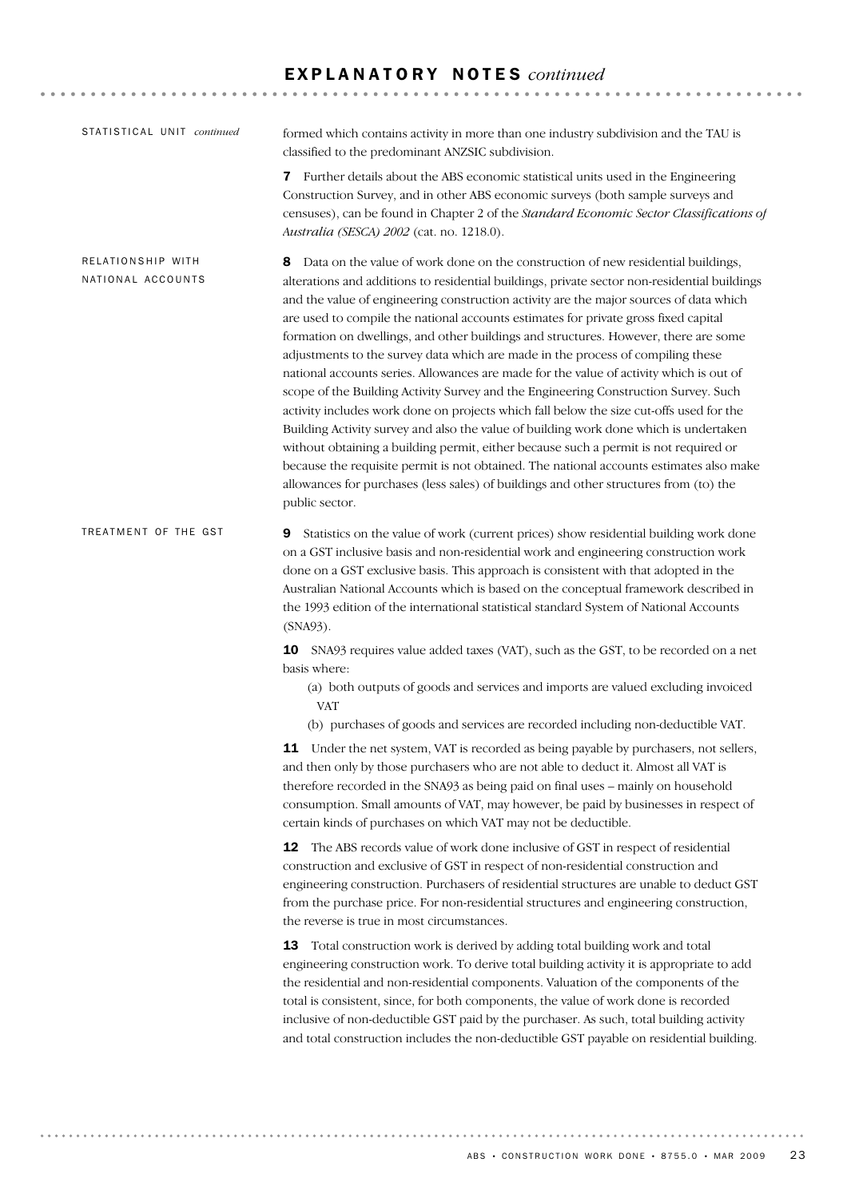# E X P L A N A T O R Y N O T E S *continued*

| STATISTICAL UNIT continued             | formed which contains activity in more than one industry subdivision and the TAU is<br>classified to the predominant ANZSIC subdivision.                                                                                                                                                                                                                                                                                                                                                                                                                                                                                                                                                                                                                                                                                                                                                                                                                                                                                                                                                                                                                                                                             |  |
|----------------------------------------|----------------------------------------------------------------------------------------------------------------------------------------------------------------------------------------------------------------------------------------------------------------------------------------------------------------------------------------------------------------------------------------------------------------------------------------------------------------------------------------------------------------------------------------------------------------------------------------------------------------------------------------------------------------------------------------------------------------------------------------------------------------------------------------------------------------------------------------------------------------------------------------------------------------------------------------------------------------------------------------------------------------------------------------------------------------------------------------------------------------------------------------------------------------------------------------------------------------------|--|
|                                        | <b>7</b> Further details about the ABS economic statistical units used in the Engineering<br>Construction Survey, and in other ABS economic surveys (both sample surveys and<br>censuses), can be found in Chapter 2 of the Standard Economic Sector Classifications of<br>Australia (SESCA) 2002 (cat. no. 1218.0).                                                                                                                                                                                                                                                                                                                                                                                                                                                                                                                                                                                                                                                                                                                                                                                                                                                                                                 |  |
| RELATIONSHIP WITH<br>NATIONAL ACCOUNTS | Data on the value of work done on the construction of new residential buildings,<br>8<br>alterations and additions to residential buildings, private sector non-residential buildings<br>and the value of engineering construction activity are the major sources of data which<br>are used to compile the national accounts estimates for private gross fixed capital<br>formation on dwellings, and other buildings and structures. However, there are some<br>adjustments to the survey data which are made in the process of compiling these<br>national accounts series. Allowances are made for the value of activity which is out of<br>scope of the Building Activity Survey and the Engineering Construction Survey. Such<br>activity includes work done on projects which fall below the size cut-offs used for the<br>Building Activity survey and also the value of building work done which is undertaken<br>without obtaining a building permit, either because such a permit is not required or<br>because the requisite permit is not obtained. The national accounts estimates also make<br>allowances for purchases (less sales) of buildings and other structures from (to) the<br>public sector. |  |
| TREATMENT OF THE GST                   | Statistics on the value of work (current prices) show residential building work done<br>9<br>on a GST inclusive basis and non-residential work and engineering construction work<br>done on a GST exclusive basis. This approach is consistent with that adopted in the<br>Australian National Accounts which is based on the conceptual framework described in<br>the 1993 edition of the international statistical standard System of National Accounts<br>(SNA93).                                                                                                                                                                                                                                                                                                                                                                                                                                                                                                                                                                                                                                                                                                                                                |  |
|                                        | 10 SNA93 requires value added taxes (VAT), such as the GST, to be recorded on a net<br>basis where:<br>(a) both outputs of goods and services and imports are valued excluding invoiced<br><b>VAT</b>                                                                                                                                                                                                                                                                                                                                                                                                                                                                                                                                                                                                                                                                                                                                                                                                                                                                                                                                                                                                                |  |
|                                        | (b) purchases of goods and services are recorded including non-deductible VAT.<br>11 Under the net system, VAT is recorded as being payable by purchasers, not sellers,<br>and then only by those purchasers who are not able to deduct it. Almost all VAT is<br>therefore recorded in the SNA93 as being paid on final uses - mainly on household<br>consumption. Small amounts of VAT, may however, be paid by businesses in respect of<br>certain kinds of purchases on which VAT may not be deductible.                                                                                                                                                                                                                                                                                                                                                                                                                                                                                                                                                                                                                                                                                                          |  |
|                                        | 12<br>The ABS records value of work done inclusive of GST in respect of residential<br>construction and exclusive of GST in respect of non-residential construction and<br>engineering construction. Purchasers of residential structures are unable to deduct GST<br>from the purchase price. For non-residential structures and engineering construction,<br>the reverse is true in most circumstances.                                                                                                                                                                                                                                                                                                                                                                                                                                                                                                                                                                                                                                                                                                                                                                                                            |  |
|                                        | 13 Total construction work is derived by adding total building work and total<br>engineering construction work. To derive total building activity it is appropriate to add<br>the residential and non-residential components. Valuation of the components of the<br>total is consistent, since, for both components, the value of work done is recorded<br>inclusive of non-deductible GST paid by the purchaser. As such, total building activity<br>and total construction includes the non-deductible GST payable on residential building.                                                                                                                                                                                                                                                                                                                                                                                                                                                                                                                                                                                                                                                                        |  |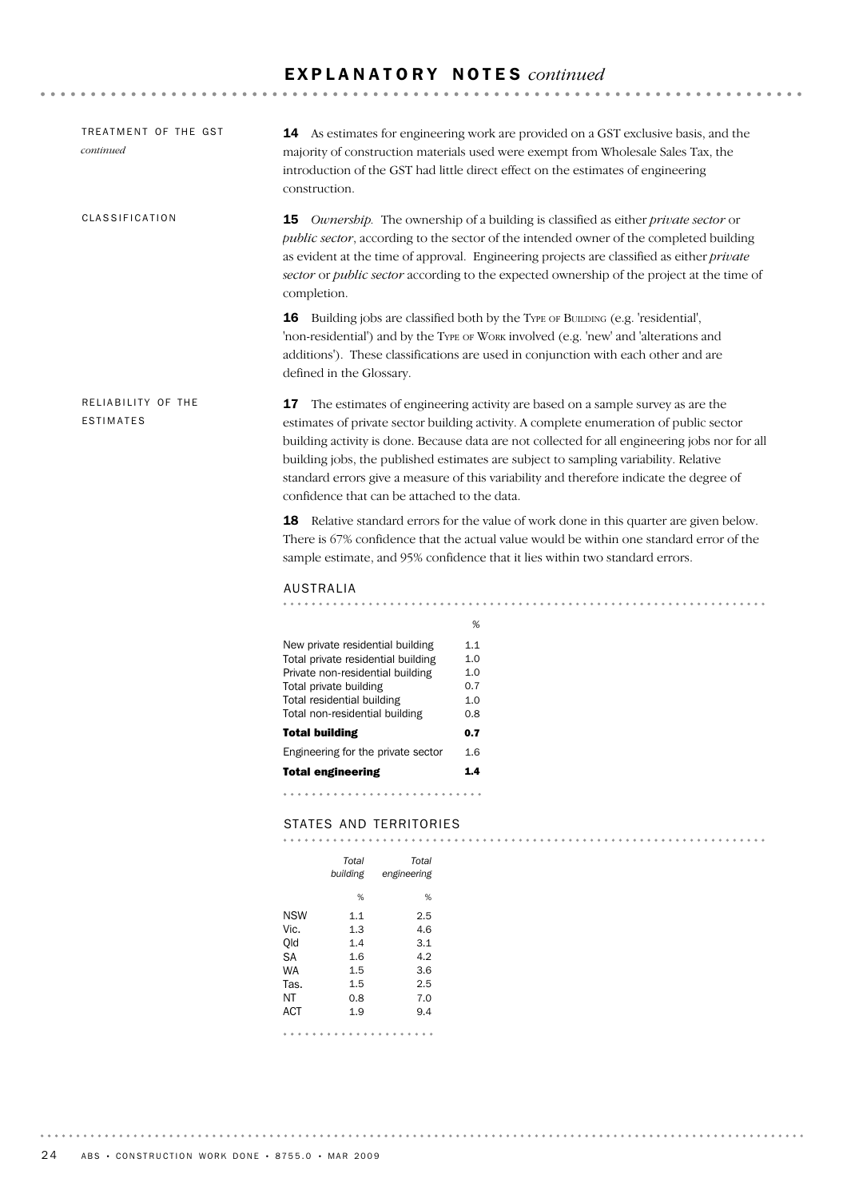| TREATMENT OF THE GST<br>continued      | construction.                                                                                                                                                                                        | <b>14</b> As estimates for engineering work are provided on a GST exclusive basis, and the<br>majority of construction materials used were exempt from Wholesale Sales Tax, the<br>introduction of the GST had little direct effect on the estimates of engineering                                                                                                                                                                                             |
|----------------------------------------|------------------------------------------------------------------------------------------------------------------------------------------------------------------------------------------------------|-----------------------------------------------------------------------------------------------------------------------------------------------------------------------------------------------------------------------------------------------------------------------------------------------------------------------------------------------------------------------------------------------------------------------------------------------------------------|
| CLASSIFICATION                         | 15<br>completion.                                                                                                                                                                                    | <i>Ownersbip.</i> The ownership of a building is classified as either <i>private sector</i> or<br>public sector, according to the sector of the intended owner of the completed building<br>as evident at the time of approval. Engineering projects are classified as either <i>private</i><br>sector or public sector according to the expected ownership of the project at the time of                                                                       |
|                                        | defined in the Glossary.                                                                                                                                                                             | <b>16</b> Building jobs are classified both by the TYPE OF BUILDING (e.g. 'residential',<br>'non-residential') and by the TYPE OF WORK involved (e.g. 'new' and 'alterations and<br>additions'). These classifications are used in conjunction with each other and are                                                                                                                                                                                          |
| RELIABILITY OF THE<br><b>ESTIMATES</b> | confidence that can be attached to the data.                                                                                                                                                         | 17 The estimates of engineering activity are based on a sample survey as are the<br>estimates of private sector building activity. A complete enumeration of public sector<br>building activity is done. Because data are not collected for all engineering jobs nor for all<br>building jobs, the published estimates are subject to sampling variability. Relative<br>standard errors give a measure of this variability and therefore indicate the degree of |
|                                        |                                                                                                                                                                                                      | <b>18</b> Relative standard errors for the value of work done in this quarter are given below.<br>There is 67% confidence that the actual value would be within one standard error of the<br>sample estimate, and 95% confidence that it lies within two standard errors.                                                                                                                                                                                       |
|                                        | AUSTRALIA                                                                                                                                                                                            |                                                                                                                                                                                                                                                                                                                                                                                                                                                                 |
|                                        |                                                                                                                                                                                                      |                                                                                                                                                                                                                                                                                                                                                                                                                                                                 |
|                                        | New private residential building<br>Total private residential building<br>Private non-residential building<br>Total private building<br>Total residential building<br>Total non-residential building | %<br>1.1<br>1.0<br>1.0<br>0.7<br>1.0<br>0.8                                                                                                                                                                                                                                                                                                                                                                                                                     |
|                                        | <b>Total building</b>                                                                                                                                                                                | 0.7                                                                                                                                                                                                                                                                                                                                                                                                                                                             |
|                                        | Engineering for the private sector                                                                                                                                                                   | 1.6                                                                                                                                                                                                                                                                                                                                                                                                                                                             |
|                                        | <b>Total engineering</b>                                                                                                                                                                             | 1.4 <sub>1</sub>                                                                                                                                                                                                                                                                                                                                                                                                                                                |
|                                        |                                                                                                                                                                                                      |                                                                                                                                                                                                                                                                                                                                                                                                                                                                 |
|                                        |                                                                                                                                                                                                      |                                                                                                                                                                                                                                                                                                                                                                                                                                                                 |
|                                        | STATES AND TERRITORIES                                                                                                                                                                               |                                                                                                                                                                                                                                                                                                                                                                                                                                                                 |
|                                        | Total<br>Total                                                                                                                                                                                       |                                                                                                                                                                                                                                                                                                                                                                                                                                                                 |
|                                        | building<br>engineering                                                                                                                                                                              |                                                                                                                                                                                                                                                                                                                                                                                                                                                                 |
|                                        | %<br>%                                                                                                                                                                                               |                                                                                                                                                                                                                                                                                                                                                                                                                                                                 |
|                                        | <b>NSW</b><br>2.5<br>1.1                                                                                                                                                                             |                                                                                                                                                                                                                                                                                                                                                                                                                                                                 |
|                                        | Vic.<br>1.3<br>4.6<br>Qld<br>1.4<br>3.1                                                                                                                                                              |                                                                                                                                                                                                                                                                                                                                                                                                                                                                 |
|                                        | SА<br>4.2<br>$1.6\,$                                                                                                                                                                                 |                                                                                                                                                                                                                                                                                                                                                                                                                                                                 |

NT 0.8 7.0 Tas. 1.5 2.5 WA 1.5 3.6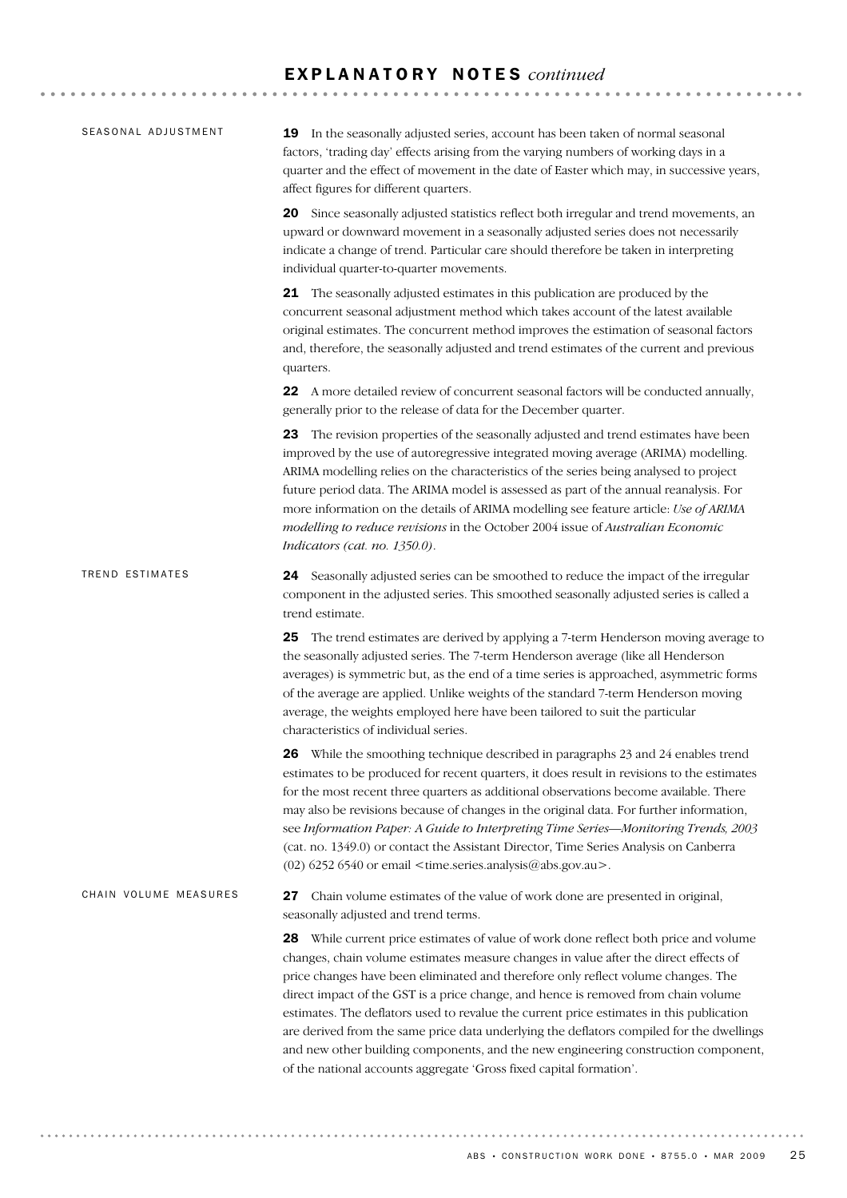# E X P L A N A T O R Y N O T E S *continued*

| SEASONAL ADJUSTMENT   | 19 In the seasonally adjusted series, account has been taken of normal seasonal<br>factors, 'trading day' effects arising from the varying numbers of working days in a<br>quarter and the effect of movement in the date of Easter which may, in successive years,<br>affect figures for different quarters.                                                                                                                                                                                                                                                                                                                                                                                                |
|-----------------------|--------------------------------------------------------------------------------------------------------------------------------------------------------------------------------------------------------------------------------------------------------------------------------------------------------------------------------------------------------------------------------------------------------------------------------------------------------------------------------------------------------------------------------------------------------------------------------------------------------------------------------------------------------------------------------------------------------------|
|                       | 20 Since seasonally adjusted statistics reflect both irregular and trend movements, an<br>upward or downward movement in a seasonally adjusted series does not necessarily<br>indicate a change of trend. Particular care should therefore be taken in interpreting<br>individual quarter-to-quarter movements.                                                                                                                                                                                                                                                                                                                                                                                              |
|                       | 21 The seasonally adjusted estimates in this publication are produced by the<br>concurrent seasonal adjustment method which takes account of the latest available<br>original estimates. The concurrent method improves the estimation of seasonal factors<br>and, therefore, the seasonally adjusted and trend estimates of the current and previous<br>quarters.                                                                                                                                                                                                                                                                                                                                           |
|                       | 22 A more detailed review of concurrent seasonal factors will be conducted annually,<br>generally prior to the release of data for the December quarter.                                                                                                                                                                                                                                                                                                                                                                                                                                                                                                                                                     |
|                       | 23 The revision properties of the seasonally adjusted and trend estimates have been<br>improved by the use of autoregressive integrated moving average (ARIMA) modelling.<br>ARIMA modelling relies on the characteristics of the series being analysed to project<br>future period data. The ARIMA model is assessed as part of the annual reanalysis. For<br>more information on the details of ARIMA modelling see feature article: Use of ARIMA<br>modelling to reduce revisions in the October 2004 issue of Australian Economic<br>Indicators (cat. no. 1350.0).                                                                                                                                       |
| TREND ESTIMATES       | 24 Seasonally adjusted series can be smoothed to reduce the impact of the irregular<br>component in the adjusted series. This smoothed seasonally adjusted series is called a<br>trend estimate.                                                                                                                                                                                                                                                                                                                                                                                                                                                                                                             |
|                       | The trend estimates are derived by applying a 7-term Henderson moving average to<br>25<br>the seasonally adjusted series. The 7-term Henderson average (like all Henderson<br>averages) is symmetric but, as the end of a time series is approached, asymmetric forms<br>of the average are applied. Unlike weights of the standard 7-term Henderson moving<br>average, the weights employed here have been tailored to suit the particular<br>characteristics of individual series.                                                                                                                                                                                                                         |
|                       | <b>26</b> While the smoothing technique described in paragraphs 23 and 24 enables trend<br>estimates to be produced for recent quarters, it does result in revisions to the estimates<br>for the most recent three quarters as additional observations become available. There<br>may also be revisions because of changes in the original data. For further information,<br>see Information Paper: A Guide to Interpreting Time Series-Monitoring Trends, 2003<br>(cat. no. 1349.0) or contact the Assistant Director, Time Series Analysis on Canberra<br>(02) 6252 6540 or email <time.series.analysis@abs.gov.au>.</time.series.analysis@abs.gov.au>                                                     |
| CHAIN VOLUME MEASURES | Chain volume estimates of the value of work done are presented in original,<br>27<br>seasonally adjusted and trend terms.                                                                                                                                                                                                                                                                                                                                                                                                                                                                                                                                                                                    |
|                       | 28 While current price estimates of value of work done reflect both price and volume<br>changes, chain volume estimates measure changes in value after the direct effects of<br>price changes have been eliminated and therefore only reflect volume changes. The<br>direct impact of the GST is a price change, and hence is removed from chain volume<br>estimates. The deflators used to revalue the current price estimates in this publication<br>are derived from the same price data underlying the deflators compiled for the dwellings<br>and new other building components, and the new engineering construction component,<br>of the national accounts aggregate 'Gross fixed capital formation'. |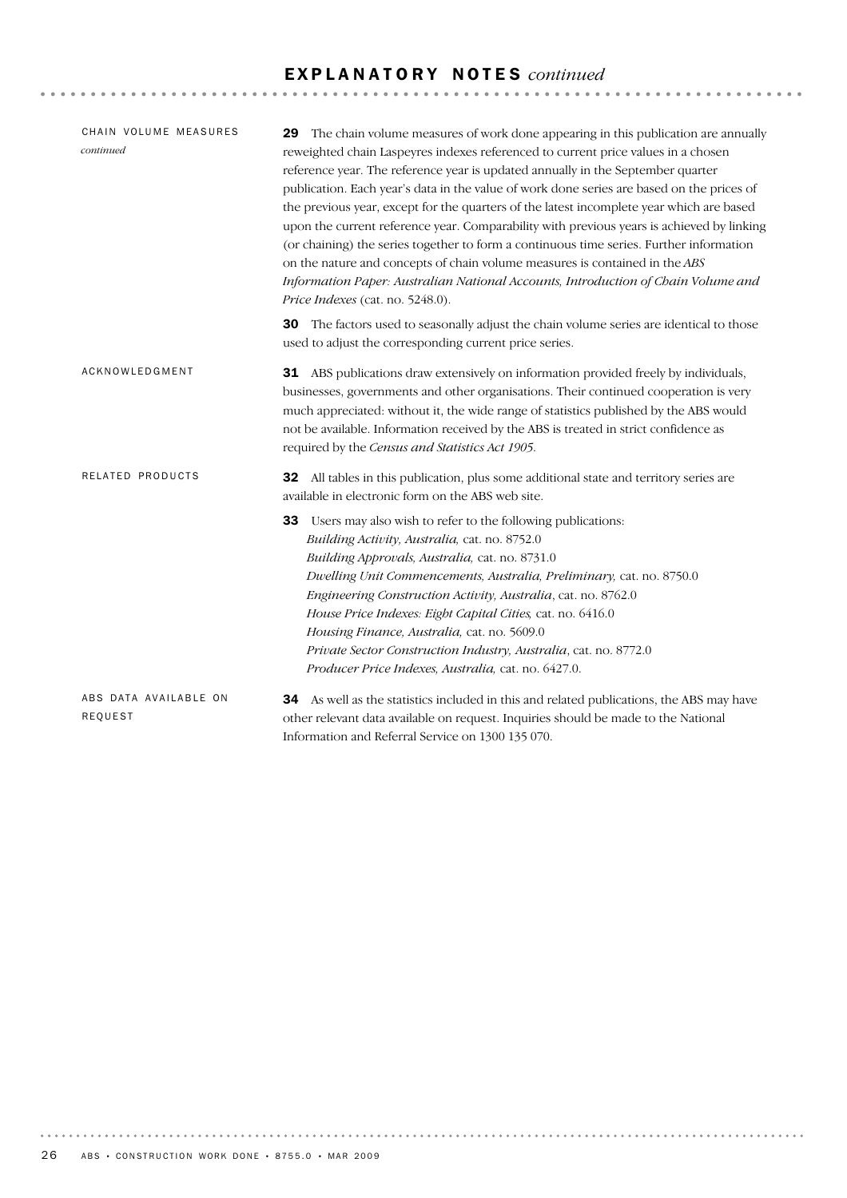# E X P L A N A T O R Y N O T E S *continued*

| CHAIN VOLUME MEASURES<br>continued | 29 The chain volume measures of work done appearing in this publication are annually<br>reweighted chain Laspeyres indexes referenced to current price values in a chosen<br>reference year. The reference year is updated annually in the September quarter<br>publication. Each year's data in the value of work done series are based on the prices of<br>the previous year, except for the quarters of the latest incomplete year which are based<br>upon the current reference year. Comparability with previous years is achieved by linking<br>(or chaining) the series together to form a continuous time series. Further information<br>on the nature and concepts of chain volume measures is contained in the ABS<br>Information Paper: Australian National Accounts, Introduction of Chain Volume and<br>Price Indexes (cat. no. 5248.0). |
|------------------------------------|-------------------------------------------------------------------------------------------------------------------------------------------------------------------------------------------------------------------------------------------------------------------------------------------------------------------------------------------------------------------------------------------------------------------------------------------------------------------------------------------------------------------------------------------------------------------------------------------------------------------------------------------------------------------------------------------------------------------------------------------------------------------------------------------------------------------------------------------------------|
|                                    | The factors used to seasonally adjust the chain volume series are identical to those<br>30<br>used to adjust the corresponding current price series.                                                                                                                                                                                                                                                                                                                                                                                                                                                                                                                                                                                                                                                                                                  |
| ACKNOWLEDGMENT                     | <b>31</b> ABS publications draw extensively on information provided freely by individuals,<br>businesses, governments and other organisations. Their continued cooperation is very<br>much appreciated: without it, the wide range of statistics published by the ABS would<br>not be available. Information received by the ABS is treated in strict confidence as<br>required by the Census and Statistics Act 1905.                                                                                                                                                                                                                                                                                                                                                                                                                                |
| RELATED PRODUCTS                   | 32 All tables in this publication, plus some additional state and territory series are<br>available in electronic form on the ABS web site.                                                                                                                                                                                                                                                                                                                                                                                                                                                                                                                                                                                                                                                                                                           |
|                                    | Users may also wish to refer to the following publications:<br>33<br>Building Activity, Australia, cat. no. 8752.0<br>Building Approvals, Australia, cat. no. 8731.0<br>Dwelling Unit Commencements, Australia, Preliminary, cat. no. 8750.0<br>Engineering Construction Activity, Australia, cat. no. 8762.0<br>House Price Indexes: Eight Capital Cities, cat. no. 6416.0<br>Housing Finance, Australia, cat. no. 5609.0<br>Private Sector Construction Industry, Australia, cat. no. 8772.0<br>Producer Price Indexes, Australia, cat. no. 6427.0.                                                                                                                                                                                                                                                                                                 |
| ABS DATA AVAILABLE ON<br>REQUEST   | As well as the statistics included in this and related publications, the ABS may have<br>34<br>other relevant data available on request. Inquiries should be made to the National                                                                                                                                                                                                                                                                                                                                                                                                                                                                                                                                                                                                                                                                     |

Information and Referral Service on 1300 135 070.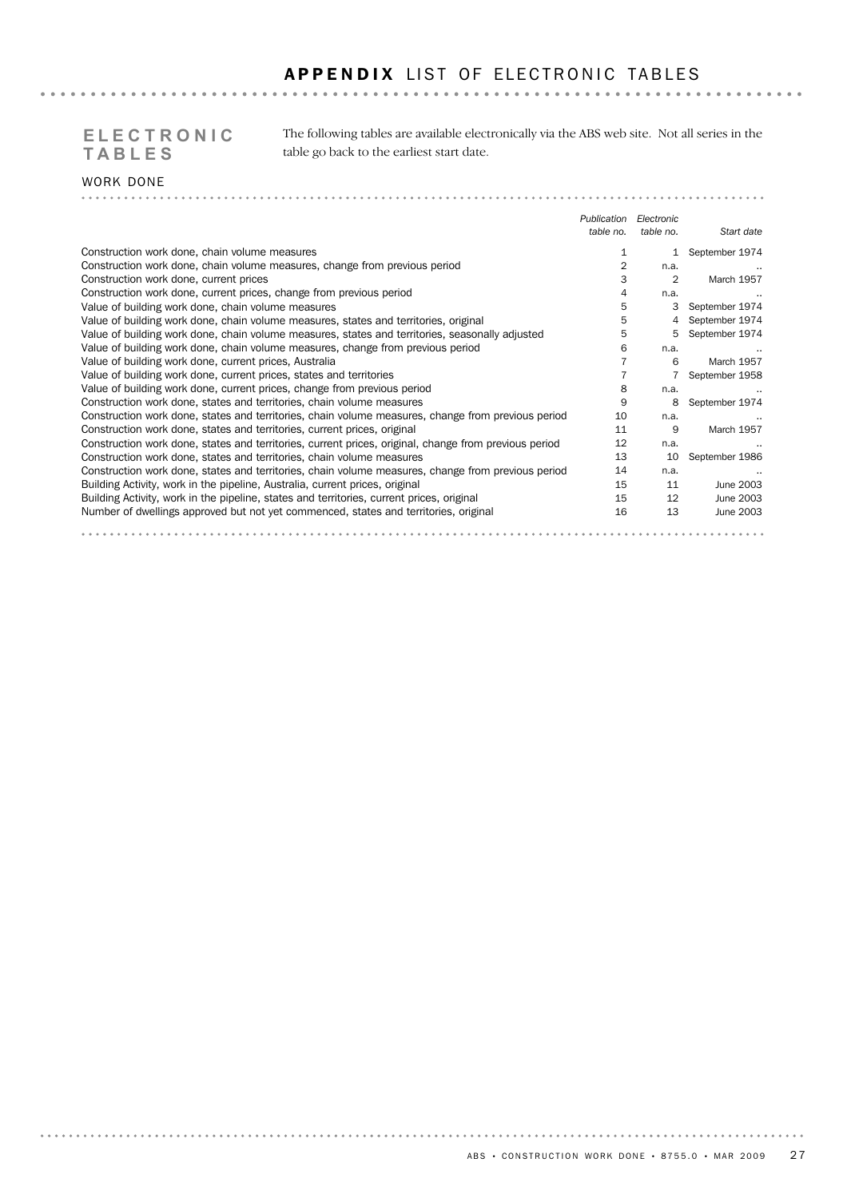# APPENDIX LIST OF ELECTRONIC TABLES

# **TABLES**

The following tables are available electronically via the ABS web site. Not all series in the **ELECTRONIC**  table go back to the earliest start date.

#### WORK DONE . . . . . . . . . .

|                                                                                                       | Publication | Electronic |                   |
|-------------------------------------------------------------------------------------------------------|-------------|------------|-------------------|
|                                                                                                       | table no.   | table no.  | Start date        |
| Construction work done, chain volume measures                                                         |             |            | September 1974    |
| Construction work done, chain volume measures, change from previous period                            | 2           | n.a.       |                   |
| Construction work done, current prices                                                                | З           | 2          | <b>March 1957</b> |
| Construction work done, current prices, change from previous period                                   | 4           | n.a.       |                   |
| Value of building work done, chain volume measures                                                    | 5           | 3          | September 1974    |
| Value of building work done, chain volume measures, states and territories, original                  | 5           |            | September 1974    |
| Value of building work done, chain volume measures, states and territories, seasonally adjusted       | 5           | 5          | September 1974    |
| Value of building work done, chain volume measures, change from previous period                       | 6           | n.a.       |                   |
| Value of building work done, current prices, Australia                                                |             | 6          | March 1957        |
| Value of building work done, current prices, states and territories                                   |             |            | September 1958    |
| Value of building work done, current prices, change from previous period                              | 8           | n.a.       |                   |
| Construction work done, states and territories, chain volume measures                                 | 9           | 8          | September 1974    |
| Construction work done, states and territories, chain volume measures, change from previous period    | 10          | n.a.       |                   |
| Construction work done, states and territories, current prices, original                              | 11          | 9          | March 1957        |
| Construction work done, states and territories, current prices, original, change from previous period | 12          | n.a.       |                   |
| Construction work done, states and territories, chain volume measures                                 | 13          | 10         | September 1986    |
| Construction work done, states and territories, chain volume measures, change from previous period    | 14          | n.a.       |                   |
| Building Activity, work in the pipeline, Australia, current prices, original                          | 15          | 11         | June 2003         |
| Building Activity, work in the pipeline, states and territories, current prices, original             | 15          | 12         | June 2003         |
| Number of dwellings approved but not yet commenced, states and territories, original                  | 16          | 13         | June 2003         |
|                                                                                                       |             |            |                   |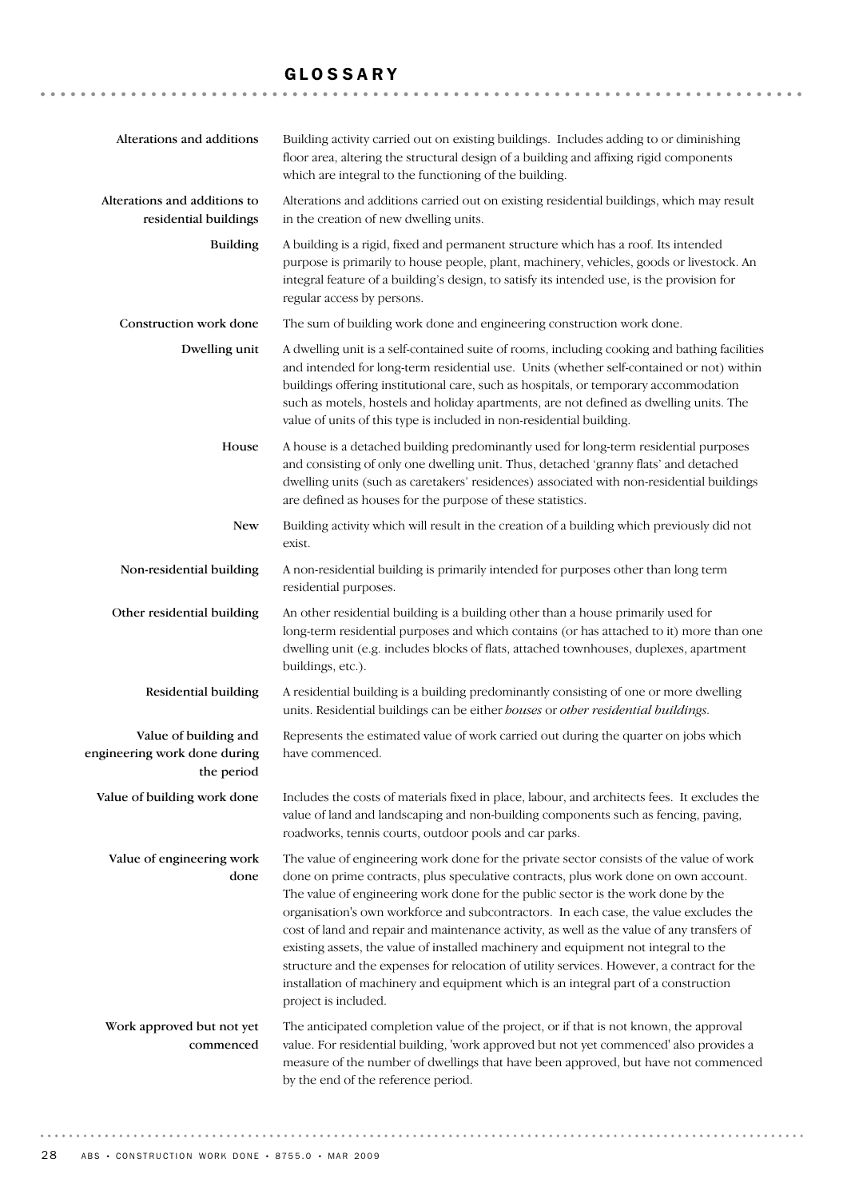# GLOSSARY

| Alterations and additions                                           | Building activity carried out on existing buildings. Includes adding to or diminishing<br>floor area, altering the structural design of a building and affixing rigid components<br>which are integral to the functioning of the building.                                                                                                                                                                                                                                                                                                                                                                                                                                                                                                                    |
|---------------------------------------------------------------------|---------------------------------------------------------------------------------------------------------------------------------------------------------------------------------------------------------------------------------------------------------------------------------------------------------------------------------------------------------------------------------------------------------------------------------------------------------------------------------------------------------------------------------------------------------------------------------------------------------------------------------------------------------------------------------------------------------------------------------------------------------------|
| Alterations and additions to<br>residential buildings               | Alterations and additions carried out on existing residential buildings, which may result<br>in the creation of new dwelling units.                                                                                                                                                                                                                                                                                                                                                                                                                                                                                                                                                                                                                           |
| <b>Building</b>                                                     | A building is a rigid, fixed and permanent structure which has a roof. Its intended<br>purpose is primarily to house people, plant, machinery, vehicles, goods or livestock. An<br>integral feature of a building's design, to satisfy its intended use, is the provision for<br>regular access by persons.                                                                                                                                                                                                                                                                                                                                                                                                                                                   |
| Construction work done                                              | The sum of building work done and engineering construction work done.                                                                                                                                                                                                                                                                                                                                                                                                                                                                                                                                                                                                                                                                                         |
| Dwelling unit                                                       | A dwelling unit is a self-contained suite of rooms, including cooking and bathing facilities<br>and intended for long-term residential use. Units (whether self-contained or not) within<br>buildings offering institutional care, such as hospitals, or temporary accommodation<br>such as motels, hostels and holiday apartments, are not defined as dwelling units. The<br>value of units of this type is included in non-residential building.                                                                                                                                                                                                                                                                                                            |
| House                                                               | A house is a detached building predominantly used for long-term residential purposes<br>and consisting of only one dwelling unit. Thus, detached 'granny flats' and detached<br>dwelling units (such as caretakers' residences) associated with non-residential buildings<br>are defined as houses for the purpose of these statistics.                                                                                                                                                                                                                                                                                                                                                                                                                       |
| <b>New</b>                                                          | Building activity which will result in the creation of a building which previously did not<br>exist.                                                                                                                                                                                                                                                                                                                                                                                                                                                                                                                                                                                                                                                          |
| Non-residential building                                            | A non-residential building is primarily intended for purposes other than long term<br>residential purposes.                                                                                                                                                                                                                                                                                                                                                                                                                                                                                                                                                                                                                                                   |
| Other residential building                                          | An other residential building is a building other than a house primarily used for<br>long-term residential purposes and which contains (or has attached to it) more than one<br>dwelling unit (e.g. includes blocks of flats, attached townhouses, duplexes, apartment<br>buildings, etc.).                                                                                                                                                                                                                                                                                                                                                                                                                                                                   |
| Residential building                                                | A residential building is a building predominantly consisting of one or more dwelling<br>units. Residential buildings can be either houses or other residential buildings.                                                                                                                                                                                                                                                                                                                                                                                                                                                                                                                                                                                    |
| Value of building and<br>engineering work done during<br>the period | Represents the estimated value of work carried out during the quarter on jobs which<br>have commenced.                                                                                                                                                                                                                                                                                                                                                                                                                                                                                                                                                                                                                                                        |
| Value of building work done                                         | Includes the costs of materials fixed in place, labour, and architects fees. It excludes the<br>value of land and landscaping and non-building components such as fencing, paving,<br>roadworks, tennis courts, outdoor pools and car parks.                                                                                                                                                                                                                                                                                                                                                                                                                                                                                                                  |
| Value of engineering work<br>done                                   | The value of engineering work done for the private sector consists of the value of work<br>done on prime contracts, plus speculative contracts, plus work done on own account.<br>The value of engineering work done for the public sector is the work done by the<br>organisation's own workforce and subcontractors. In each case, the value excludes the<br>cost of land and repair and maintenance activity, as well as the value of any transfers of<br>existing assets, the value of installed machinery and equipment not integral to the<br>structure and the expenses for relocation of utility services. However, a contract for the<br>installation of machinery and equipment which is an integral part of a construction<br>project is included. |
| Work approved but not yet<br>commenced                              | The anticipated completion value of the project, or if that is not known, the approval<br>value. For residential building, 'work approved but not yet commenced' also provides a<br>measure of the number of dwellings that have been approved, but have not commenced<br>by the end of the reference period.                                                                                                                                                                                                                                                                                                                                                                                                                                                 |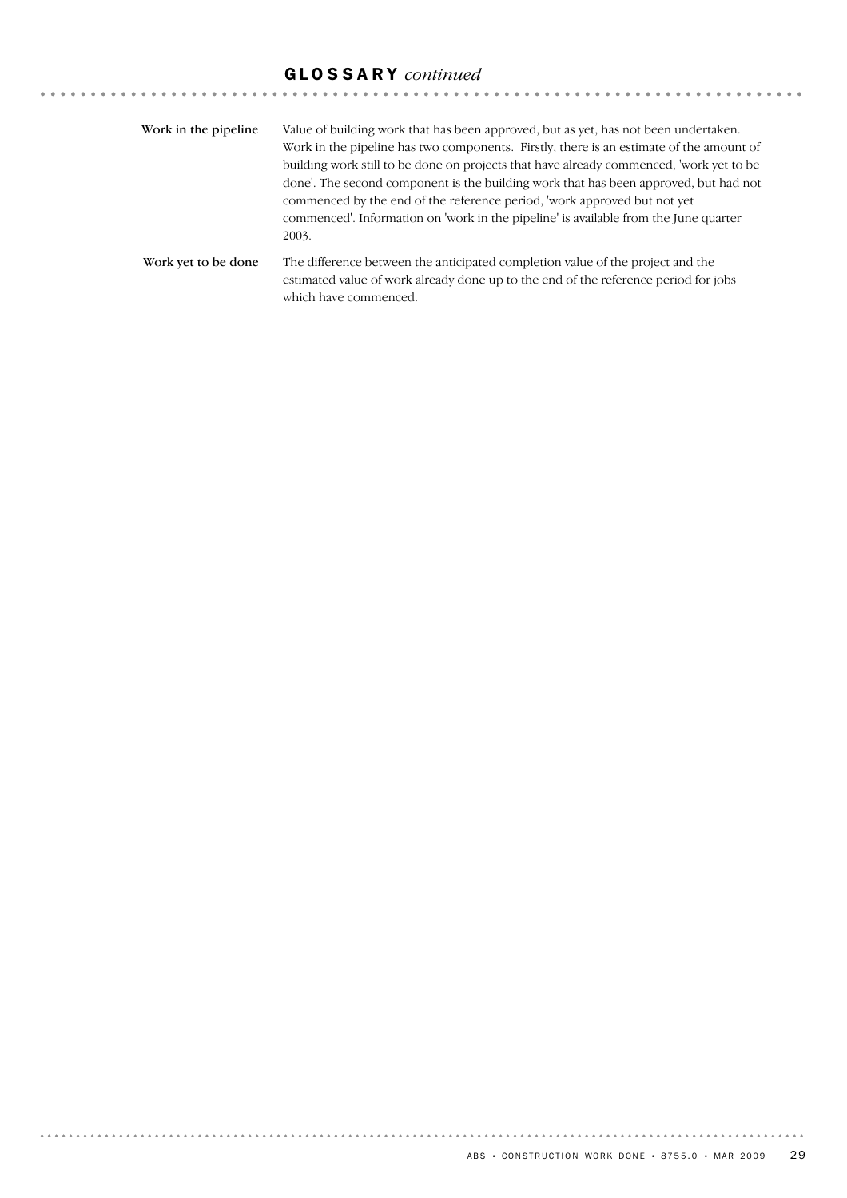# GLOSSARY *continued*

| Work in the pipeline. | Value of building work that has been approved, but as yet, has not been undertaken.<br>Work in the pipeline has two components. Firstly, there is an estimate of the amount of<br>building work still to be done on projects that have already commenced, 'work yet to be<br>done'. The second component is the building work that has been approved, but had not<br>commenced by the end of the reference period, work approved but not yet<br>commenced'. Information on 'work in the pipeline' is available from the June quarter<br>2003. |
|-----------------------|-----------------------------------------------------------------------------------------------------------------------------------------------------------------------------------------------------------------------------------------------------------------------------------------------------------------------------------------------------------------------------------------------------------------------------------------------------------------------------------------------------------------------------------------------|
| Work yet to be done   | The difference between the anticipated completion value of the project and the<br>estimated value of work already done up to the end of the reference period for jobs<br>which have commenced.                                                                                                                                                                                                                                                                                                                                                |